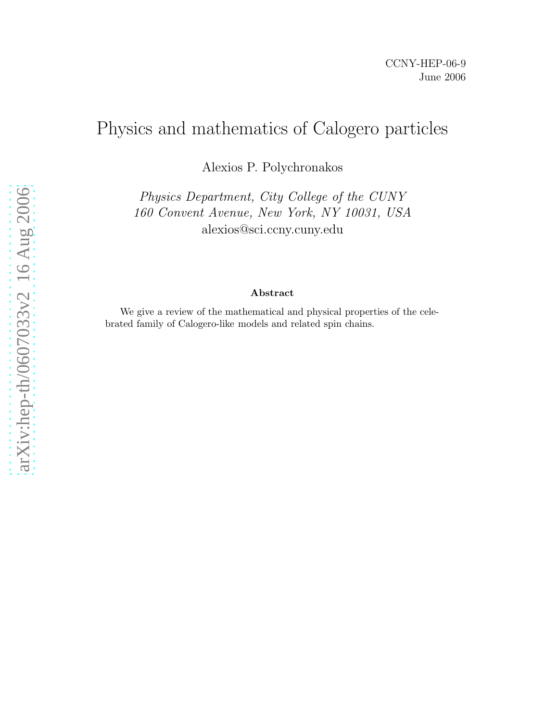# Physics and mathematics of Calogero particles

Alexios P. Polychronakos

Physics Department, City College of the CUNY 160 Convent Avenue, New York, NY 10031, USA alexios@sci.ccny.cuny.edu

#### Abstract

We give a review of the mathematical and physical properties of the celebrated family of Calogero-like models and related spin chains.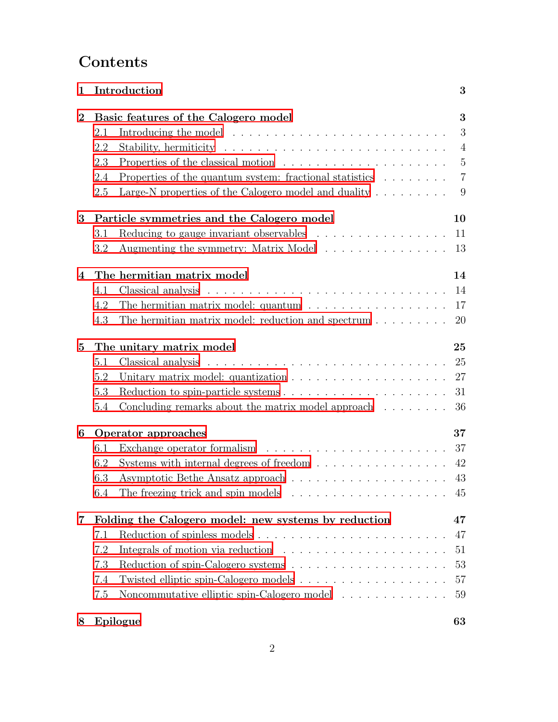# Contents

| 1                | Introduction                                                                                                                                                                                                                                                                                    | 3                                                                 |
|------------------|-------------------------------------------------------------------------------------------------------------------------------------------------------------------------------------------------------------------------------------------------------------------------------------------------|-------------------------------------------------------------------|
| $\boldsymbol{2}$ | Basic features of the Calogero model<br>Introducing the model $\dots \dots \dots \dots \dots \dots \dots \dots \dots \dots$<br>2.1<br>2.2<br>2.3<br>Properties of the quantum system: fractional statistics<br>2.4<br>Large-N properties of the Calogero model and duality $\dots \dots$<br>2.5 | 3<br>3<br>$\overline{4}$<br>$\overline{5}$<br>$\overline{7}$<br>9 |
| 3                | Particle symmetries and the Calogero model<br>Reducing to gauge invariant observables<br>3.1<br>Augmenting the symmetry: Matrix Model<br>3.2                                                                                                                                                    | 10<br>11<br>13                                                    |
| $\overline{4}$   | The hermitian matrix model<br>4.1<br>The hermitian matrix model: quantum<br>4.2<br>The hermitian matrix model: reduction and spectrum $\ldots \ldots \ldots$<br>4.3                                                                                                                             | 14<br>14<br>17<br>20                                              |
| $\bf{5}$         | The unitary matrix model<br>5.1<br>5.2<br>5.3<br>Concluding remarks about the matrix model approach $\dots \dots$<br>5.4                                                                                                                                                                        | 25<br>25<br>27<br>31<br>36                                        |
| 6                | Operator approaches<br>6.1<br>Systems with internal degrees of freedom $\ldots \ldots \ldots \ldots \ldots$<br>6.2<br>6.3<br>6.4                                                                                                                                                                | 37<br>37<br>42<br>43<br>45                                        |
| 7                | Folding the Calogero model: new systems by reduction<br>7.1<br>7.2<br>7.3<br>7.4<br>Noncommutative elliptic spin-Calogero model<br>7.5                                                                                                                                                          | 47<br>47<br>51<br>53<br>57<br>59                                  |
| 8                | Epilogue                                                                                                                                                                                                                                                                                        | 63                                                                |

2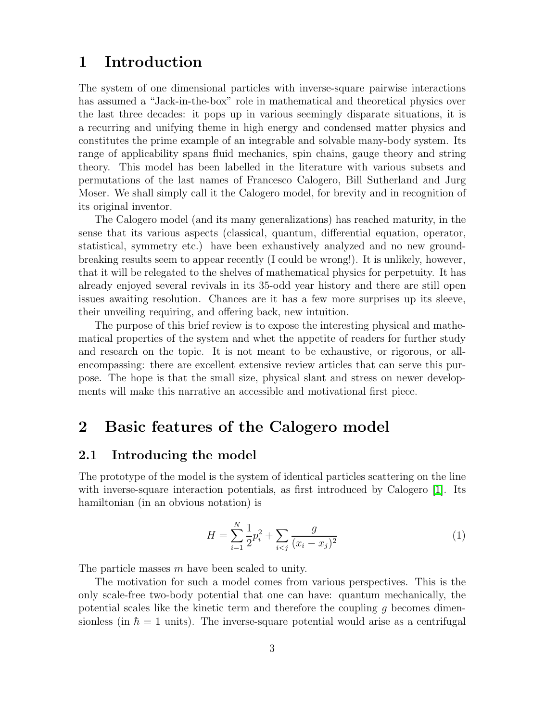## <span id="page-2-0"></span>1 Introduction

The system of one dimensional particles with inverse-square pairwise interactions has assumed a "Jack-in-the-box" role in mathematical and theoretical physics over the last three decades: it pops up in various seemingly disparate situations, it is a recurring and unifying theme in high energy and condensed matter physics and constitutes the prime example of an integrable and solvable many-body system. Its range of applicability spans fluid mechanics, spin chains, gauge theory and string theory. This model has been labelled in the literature with various subsets and permutations of the last names of Francesco Calogero, Bill Sutherland and Jurg Moser. We shall simply call it the Calogero model, for brevity and in recognition of its original inventor.

The Calogero model (and its many generalizations) has reached maturity, in the sense that its various aspects (classical, quantum, differential equation, operator, statistical, symmetry etc.) have been exhaustively analyzed and no new groundbreaking results seem to appear recently (I could be wrong!). It is unlikely, however, that it will be relegated to the shelves of mathematical physics for perpetuity. It has already enjoyed several revivals in its 35-odd year history and there are still open issues awaiting resolution. Chances are it has a few more surprises up its sleeve, their unveiling requiring, and offering back, new intuition.

The purpose of this brief review is to expose the interesting physical and mathematical properties of the system and whet the appetite of readers for further study and research on the topic. It is not meant to be exhaustive, or rigorous, or allencompassing: there are excellent extensive review articles that can serve this purpose. The hope is that the small size, physical slant and stress on newer developments will make this narrative an accessible and motivational first piece.

## <span id="page-2-1"></span>2 Basic features of the Calogero model

#### <span id="page-2-2"></span>2.1 Introducing the model

The prototype of the model is the system of identical particles scattering on the line with inverse-square interaction potentials, as first introduced by Calogero [\[1\]](#page-62-1). Its hamiltonian (in an obvious notation) is

$$
H = \sum_{i=1}^{N} \frac{1}{2} p_i^2 + \sum_{i < j} \frac{g}{(x_i - x_j)^2} \tag{1}
$$

The particle masses  $m$  have been scaled to unity.

The motivation for such a model comes from various perspectives. This is the only scale-free two-body potential that one can have: quantum mechanically, the potential scales like the kinetic term and therefore the coupling  $q$  becomes dimensionless (in  $\hbar = 1$  units). The inverse-square potential would arise as a centrifugal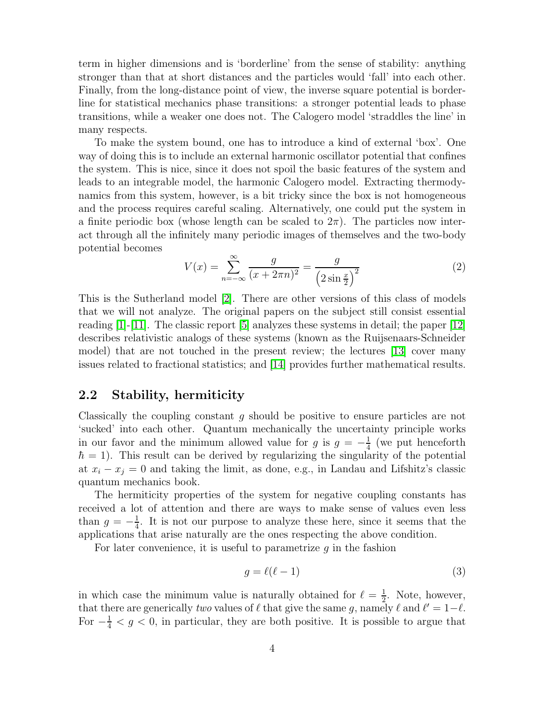term in higher dimensions and is 'borderline' from the sense of stability: anything stronger than that at short distances and the particles would 'fall' into each other. Finally, from the long-distance point of view, the inverse square potential is borderline for statistical mechanics phase transitions: a stronger potential leads to phase transitions, while a weaker one does not. The Calogero model 'straddles the line' in many respects.

To make the system bound, one has to introduce a kind of external 'box'. One way of doing this is to include an external harmonic oscillator potential that confines the system. This is nice, since it does not spoil the basic features of the system and leads to an integrable model, the harmonic Calogero model. Extracting thermodynamics from this system, however, is a bit tricky since the box is not homogeneous and the process requires careful scaling. Alternatively, one could put the system in a finite periodic box (whose length can be scaled to  $2\pi$ ). The particles now interact through all the infinitely many periodic images of themselves and the two-body potential becomes

$$
V(x) = \sum_{n = -\infty}^{\infty} \frac{g}{(x + 2\pi n)^2} = \frac{g}{(2\sin\frac{x}{2})^2}
$$
 (2)

This is the Sutherland model [\[2\]](#page-62-2). There are other versions of this class of models that we will not analyze. The original papers on the subject still consist essential reading [\[1\]](#page-62-1)-[\[11\]](#page-63-0). The classic report [\[5\]](#page-63-1) analyzes these systems in detail; the paper [\[12\]](#page-63-2) describes relativistic analogs of these systems (known as the Ruijsenaars-Schneider model) that are not touched in the present review; the lectures [\[13\]](#page-63-3) cover many issues related to fractional statistics; and [\[14\]](#page-63-4) provides further mathematical results.

#### <span id="page-3-0"></span>2.2 Stability, hermiticity

Classically the coupling constant  $g$  should be positive to ensure particles are not 'sucked' into each other. Quantum mechanically the uncertainty principle works in our favor and the minimum allowed value for g is  $g = -\frac{1}{4}$  $\frac{1}{4}$  (we put henceforth  $\hbar = 1$ ). This result can be derived by regularizing the singularity of the potential at  $x_i - x_j = 0$  and taking the limit, as done, e.g., in Landau and Lifshitz's classic quantum mechanics book.

The hermiticity properties of the system for negative coupling constants has received a lot of attention and there are ways to make sense of values even less than  $g = -\frac{1}{4}$  $\frac{1}{4}$ . It is not our purpose to analyze these here, since it seems that the applications that arise naturally are the ones respecting the above condition.

For later convenience, it is useful to parametrize  $q$  in the fashion

$$
g = \ell(\ell - 1) \tag{3}
$$

in which case the minimum value is naturally obtained for  $\ell = \frac{1}{2}$  $\frac{1}{2}$ . Note, however, that there are generically two values of  $\ell$  that give the same g, namely  $\ell$  and  $\ell' = 1 - \ell$ . For  $-\frac{1}{4} < g < 0$ , in particular, they are both positive. It is possible to argue that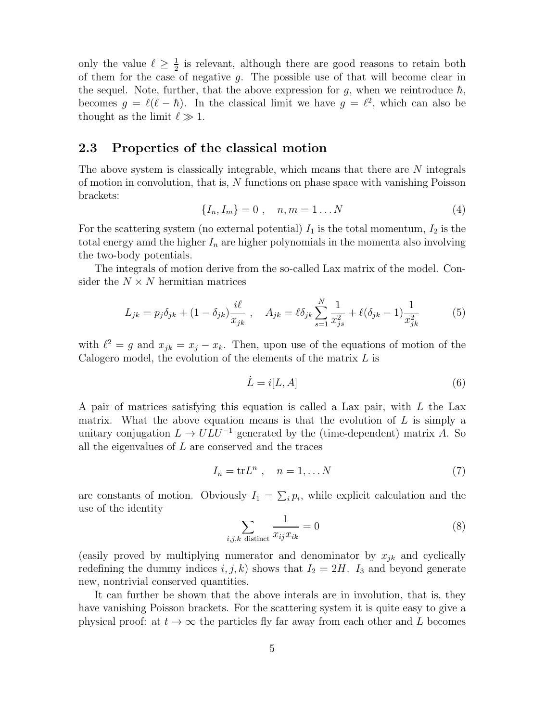only the value  $\ell \geq \frac{1}{2}$  $\frac{1}{2}$  is relevant, although there are good reasons to retain both of them for the case of negative  $g$ . The possible use of that will become clear in the sequel. Note, further, that the above expression for  $q$ , when we reintroduce  $\hbar$ , becomes  $g = \ell(\ell - \hbar)$ . In the classical limit we have  $g = \ell^2$ , which can also be thought as the limit  $\ell \gg 1$ .

#### <span id="page-4-0"></span>2.3 Properties of the classical motion

The above system is classically integrable, which means that there are N integrals of motion in convolution, that is, N functions on phase space with vanishing Poisson brackets:

$$
\{I_n, I_m\} = 0 \;, \quad n, m = 1 \dots N \tag{4}
$$

For the scattering system (no external potential)  $I_1$  is the total momentum,  $I_2$  is the total energy amd the higher  $I_n$  are higher polynomials in the momenta also involving the two-body potentials.

The integrals of motion derive from the so-called Lax matrix of the model. Consider the  $N \times N$  hermitian matrices

$$
L_{jk} = p_j \delta_{jk} + (1 - \delta_{jk}) \frac{i\ell}{x_{jk}}, \quad A_{jk} = \ell \delta_{jk} \sum_{s=1}^{N} \frac{1}{x_{js}^2} + \ell(\delta_{jk} - 1) \frac{1}{x_{jk}^2}
$$
(5)

with  $\ell^2 = g$  and  $x_{jk} = x_j - x_k$ . Then, upon use of the equations of motion of the Calogero model, the evolution of the elements of the matrix  $L$  is

$$
\dot{L} = i[L, A] \tag{6}
$$

A pair of matrices satisfying this equation is called a Lax pair, with L the Lax matrix. What the above equation means is that the evolution of  $L$  is simply a unitary conjugation  $L \to U L U^{-1}$  generated by the (time-dependent) matrix A. So all the eigenvalues of  $L$  are conserved and the traces

$$
I_n = \text{tr} L^n \ , \quad n = 1, \dots N \tag{7}
$$

are constants of motion. Obviously  $I_1 = \sum_i p_i$ , while explicit calculation and the use of the identity

$$
\sum_{i,j,k \text{ distinct}} \frac{1}{x_{ij} x_{ik}} = 0 \tag{8}
$$

(easily proved by multiplying numerator and denominator by  $x_{jk}$  and cyclically redefining the dummy indices  $i, j, k$ ) shows that  $I_2 = 2H$ .  $I_3$  and beyond generate new, nontrivial conserved quantities.

It can further be shown that the above interals are in involution, that is, they have vanishing Poisson brackets. For the scattering system it is quite easy to give a physical proof: at  $t \to \infty$  the particles fly far away from each other and L becomes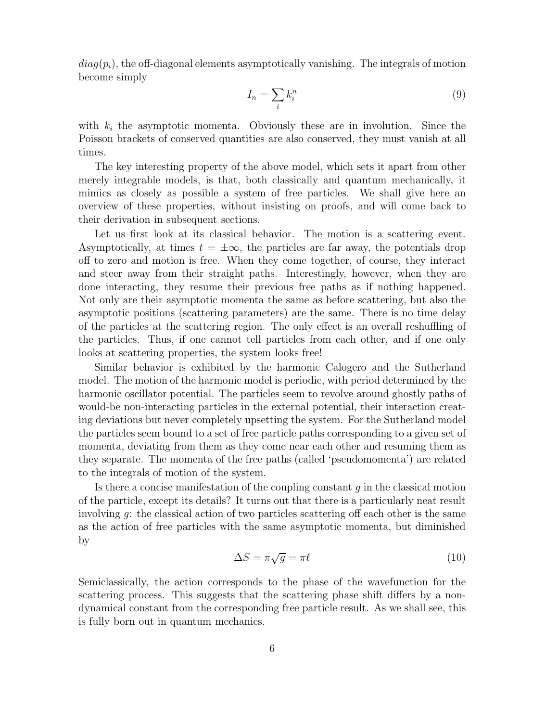$diag(p_i)$ , the off-diagonal elements asymptotically vanishing. The integrals of motion become simply

$$
I_n = \sum_i k_i^n \tag{9}
$$

with  $k_i$  the asymptotic momenta. Obviously these are in involution. Since the Poisson brackets of conserved quantities are also conserved, they must vanish at all times.

The key interesting property of the above model, which sets it apart from other merely integrable models, is that, both classically and quantum mechanically, it mimics as closely as possible a system of free particles. We shall give here an overview of these properties, without insisting on proofs, and will come back to their derivation in subsequent sections.

Let us first look at its classical behavior. The motion is a scattering event. Asymptotically, at times  $t = \pm \infty$ , the particles are far away, the potentials drop off to zero and motion is free. When they come together, of course, they interact and steer away from their straight paths. Interestingly, however, when they are done interacting, they resume their previous free paths as if nothing happened. Not only are their asymptotic momenta the same as before scattering, but also the asymptotic positions (scattering parameters) are the same. There is no time delay of the particles at the scattering region. The only effect is an overall reshuffling of the particles. Thus, if one cannot tell particles from each other, and if one only looks at scattering properties, the system looks free!

Similar behavior is exhibited by the harmonic Calogero and the Sutherland model. The motion of the harmonic model is periodic, with period determined by the harmonic oscillator potential. The particles seem to revolve around ghostly paths of would-be non-interacting particles in the external potential, their interaction creating deviations but never completely upsetting the system. For the Sutherland model the particles seem bound to a set of free particle paths corresponding to a given set of momenta, deviating from them as they come near each other and resuming them as they separate. The momenta of the free paths (called 'pseudomomenta') are related to the integrals of motion of the system.

Is there a concise manifestation of the coupling constant  $q$  in the classical motion of the particle, except its details? It turns out that there is a particularly neat result involving  $q$ : the classical action of two particles scattering off each other is the same as the action of free particles with the same asymptotic momenta, but diminished by

$$
\Delta S = \pi \sqrt{g} = \pi \ell \tag{10}
$$

Semiclassically, the action corresponds to the phase of the wavefunction for the scattering process. This suggests that the scattering phase shift differs by a nondynamical constant from the corresponding free particle result. As we shall see, this is fully born out in quantum mechanics.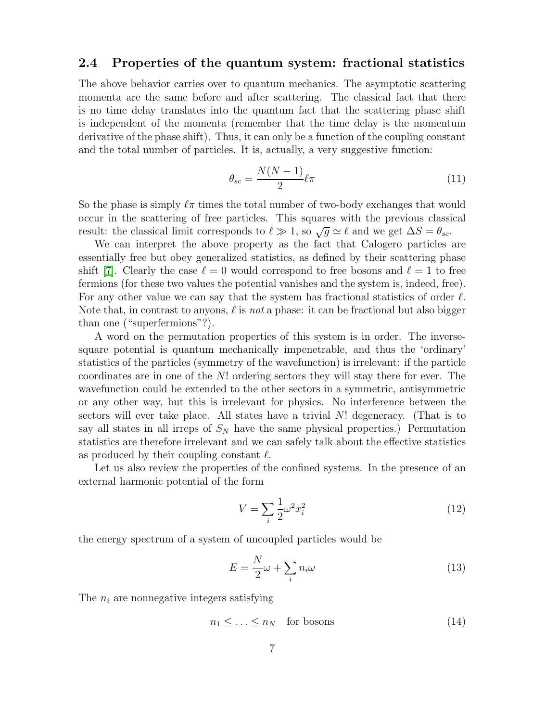#### <span id="page-6-0"></span>2.4 Properties of the quantum system: fractional statistics

The above behavior carries over to quantum mechanics. The asymptotic scattering momenta are the same before and after scattering. The classical fact that there is no time delay translates into the quantum fact that the scattering phase shift is independent of the momenta (remember that the time delay is the momentum derivative of the phase shift). Thus, it can only be a function of the coupling constant and the total number of particles. It is, actually, a very suggestive function:

$$
\theta_{sc} = \frac{N(N-1)}{2} \ell \pi \tag{11}
$$

So the phase is simply  $\ell\pi$  times the total number of two-body exchanges that would occur in the scattering of free particles. This squares with the previous classical result: the classical limit corresponds to  $\ell \gg 1$ , so  $\sqrt{g} \simeq \ell$  and we get  $\Delta S = \theta_{sc}$ .

We can interpret the above property as the fact that Calogero particles are essentially free but obey generalized statistics, as defined by their scattering phase shift [\[7\]](#page-63-5). Clearly the case  $\ell = 0$  would correspond to free bosons and  $\ell = 1$  to free fermions (for these two values the potential vanishes and the system is, indeed, free). For any other value we can say that the system has fractional statistics of order  $\ell$ . Note that, in contrast to anyons,  $\ell$  is not a phase: it can be fractional but also bigger than one ("superfermions"?).

A word on the permutation properties of this system is in order. The inversesquare potential is quantum mechanically impenetrable, and thus the 'ordinary' statistics of the particles (symmetry of the wavefunction) is irrelevant: if the particle coordinates are in one of the N! ordering sectors they will stay there for ever. The wavefunction could be extended to the other sectors in a symmetric, antisymmetric or any other way, but this is irrelevant for physics. No interference between the sectors will ever take place. All states have a trivial N! degeneracy. (That is to say all states in all irreps of  $S_N$  have the same physical properties.) Permutation statistics are therefore irrelevant and we can safely talk about the effective statistics as produced by their coupling constant  $\ell$ .

Let us also review the properties of the confined systems. In the presence of an external harmonic potential of the form

$$
V = \sum_{i} \frac{1}{2} \omega^2 x_i^2 \tag{12}
$$

the energy spectrum of a system of uncoupled particles would be

<span id="page-6-1"></span>
$$
E = \frac{N}{2}\omega + \sum_{i} n_i \omega \tag{13}
$$

The  $n_i$  are nonnegative integers satisfying

$$
n_1 \leq \ldots \leq n_N \quad \text{for bosons} \tag{14}
$$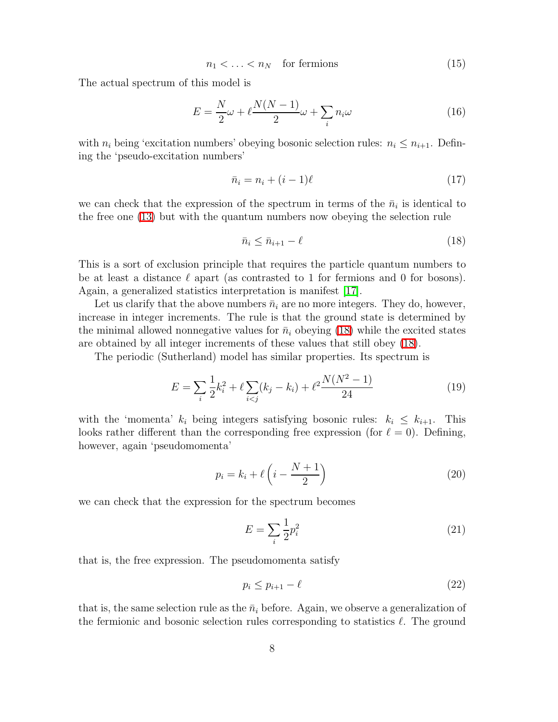$$
n_1 < \ldots < n_N \quad \text{for fermions} \tag{15}
$$

The actual spectrum of this model is

$$
E = \frac{N}{2}\omega + \ell \frac{N(N-1)}{2}\omega + \sum_{i} n_i \omega \tag{16}
$$

with  $n_i$  being 'excitation numbers' obeying bosonic selection rules:  $n_i \leq n_{i+1}$ . Defining the 'pseudo-excitation numbers'

$$
\bar{n}_i = n_i + (i - 1)\ell \tag{17}
$$

we can check that the expression of the spectrum in terms of the  $\bar{n}_i$  is identical to the free one [\(13\)](#page-6-1) but with the quantum numbers now obeying the selection rule

<span id="page-7-0"></span>
$$
\bar{n}_i \le \bar{n}_{i+1} - \ell \tag{18}
$$

This is a sort of exclusion principle that requires the particle quantum numbers to be at least a distance  $\ell$  apart (as contrasted to 1 for fermions and 0 for bosons). Again, a generalized statistics interpretation is manifest [\[17\]](#page-63-6).

Let us clarify that the above numbers  $\bar{n}_i$  are no more integers. They do, however, increase in integer increments. The rule is that the ground state is determined by the minimal allowed nonnegative values for  $\bar{n}_i$  obeying [\(18\)](#page-7-0) while the excited states are obtained by all integer increments of these values that still obey [\(18\)](#page-7-0).

The periodic (Sutherland) model has similar properties. Its spectrum is

$$
E = \sum_{i} \frac{1}{2} k_i^2 + \ell \sum_{i < j} (k_j - k_i) + \ell^2 \frac{N(N^2 - 1)}{24} \tag{19}
$$

with the 'momenta'  $k_i$  being integers satisfying bosonic rules:  $k_i \leq k_{i+1}$ . This looks rather different than the corresponding free expression (for  $\ell = 0$ ). Defining, however, again 'pseudomomenta'

$$
p_i = k_i + \ell \left( i - \frac{N+1}{2} \right) \tag{20}
$$

we can check that the expression for the spectrum becomes

$$
E = \sum_{i} \frac{1}{2} p_i^2 \tag{21}
$$

that is, the free expression. The pseudomomenta satisfy

<span id="page-7-1"></span>
$$
p_i \le p_{i+1} - \ell \tag{22}
$$

that is, the same selection rule as the  $\bar{n}_i$  before. Again, we observe a generalization of the fermionic and bosonic selection rules corresponding to statistics  $\ell$ . The ground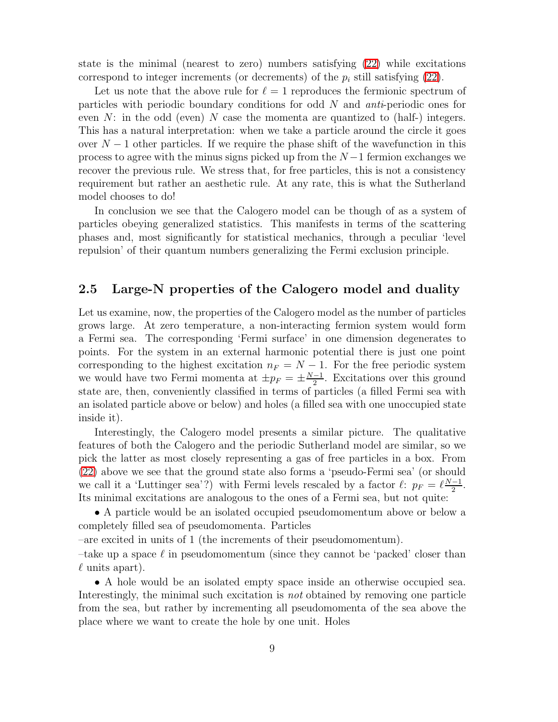state is the minimal (nearest to zero) numbers satisfying [\(22\)](#page-7-1) while excitations correspond to integer increments (or decrements) of the  $p_i$  still satisfying [\(22\)](#page-7-1).

Let us note that the above rule for  $\ell = 1$  reproduces the fermionic spectrum of particles with periodic boundary conditions for odd N and anti-periodic ones for even  $N$ : in the odd (even)  $N$  case the momenta are quantized to (half-) integers. This has a natural interpretation: when we take a particle around the circle it goes over  $N-1$  other particles. If we require the phase shift of the wavefunction in this process to agree with the minus signs picked up from the  $N-1$  fermion exchanges we recover the previous rule. We stress that, for free particles, this is not a consistency requirement but rather an aesthetic rule. At any rate, this is what the Sutherland model chooses to do!

In conclusion we see that the Calogero model can be though of as a system of particles obeying generalized statistics. This manifests in terms of the scattering phases and, most significantly for statistical mechanics, through a peculiar 'level repulsion' of their quantum numbers generalizing the Fermi exclusion principle.

#### <span id="page-8-0"></span>2.5 Large-N properties of the Calogero model and duality

Let us examine, now, the properties of the Calogero model as the number of particles grows large. At zero temperature, a non-interacting fermion system would form a Fermi sea. The corresponding 'Fermi surface' in one dimension degenerates to points. For the system in an external harmonic potential there is just one point corresponding to the highest excitation  $n_F = N - 1$ . For the free periodic system we would have two Fermi momenta at  $\pm p_F = \pm \frac{N-1}{2}$  $\frac{-1}{2}$ . Excitations over this ground state are, then, conveniently classified in terms of particles (a filled Fermi sea with an isolated particle above or below) and holes (a filled sea with one unoccupied state inside it).

Interestingly, the Calogero model presents a similar picture. The qualitative features of both the Calogero and the periodic Sutherland model are similar, so we pick the latter as most closely representing a gas of free particles in a box. From [\(22\)](#page-7-1) above we see that the ground state also forms a 'pseudo-Fermi sea' (or should we call it a 'Luttinger sea'?) with Fermi levels rescaled by a factor  $\ell: p_F = \ell \frac{N-1}{2}$  $\frac{-1}{2}$ . Its minimal excitations are analogous to the ones of a Fermi sea, but not quite:

• A particle would be an isolated occupied pseudomomentum above or below a completely filled sea of pseudomomenta. Particles

–are excited in units of 1 (the increments of their pseudomomentum).

–take up a space  $\ell$  in pseudomomentum (since they cannot be 'packed' closer than  $\ell$  units apart).

• A hole would be an isolated empty space inside an otherwise occupied sea. Interestingly, the minimal such excitation is not obtained by removing one particle from the sea, but rather by incrementing all pseudomomenta of the sea above the place where we want to create the hole by one unit. Holes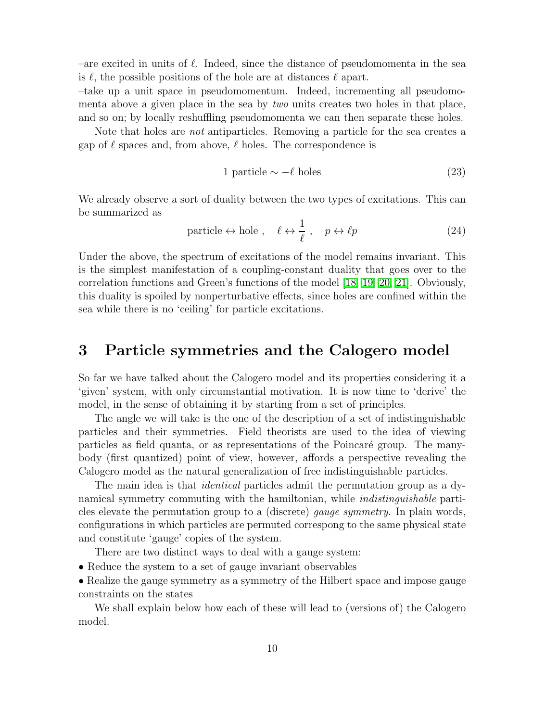–are excited in units of  $\ell$ . Indeed, since the distance of pseudomomenta in the sea is  $\ell$ , the possible positions of the hole are at distances  $\ell$  apart.

–take up a unit space in pseudomomentum. Indeed, incrementing all pseudomomenta above a given place in the sea by two units creates two holes in that place, and so on; by locally reshuffling pseudomomenta we can then separate these holes.

Note that holes are not antiparticles. Removing a particle for the sea creates a gap of  $\ell$  spaces and, from above,  $\ell$  holes. The correspondence is

$$
1\ \text{particle} \sim -\ell\ \text{holes} \tag{23}
$$

We already observe a sort of duality between the two types of excitations. This can be summarized as

$$
particle \leftrightarrow hole , \quad \ell \leftrightarrow \frac{1}{\ell} , \quad p \leftrightarrow \ell p \tag{24}
$$

Under the above, the spectrum of excitations of the model remains invariant. This is the simplest manifestation of a coupling-constant duality that goes over to the correlation functions and Green's functions of the model [\[18,](#page-63-7) [19,](#page-63-8) [20,](#page-63-9) [21\]](#page-63-10). Obviously, this duality is spoiled by nonperturbative effects, since holes are confined within the sea while there is no 'ceiling' for particle excitations.

### <span id="page-9-0"></span>3 Particle symmetries and the Calogero model

So far we have talked about the Calogero model and its properties considering it a 'given' system, with only circumstantial motivation. It is now time to 'derive' the model, in the sense of obtaining it by starting from a set of principles.

The angle we will take is the one of the description of a set of indistinguishable particles and their symmetries. Field theorists are used to the idea of viewing particles as field quanta, or as representations of the Poincaré group. The manybody (first quantized) point of view, however, affords a perspective revealing the Calogero model as the natural generalization of free indistinguishable particles.

The main idea is that *identical* particles admit the permutation group as a dynamical symmetry commuting with the hamiltonian, while indistinguishable particles elevate the permutation group to a (discrete) gauge symmetry. In plain words, configurations in which particles are permuted correspong to the same physical state and constitute 'gauge' copies of the system.

There are two distinct ways to deal with a gauge system:

- Reduce the system to a set of gauge invariant observables
- Realize the gauge symmetry as a symmetry of the Hilbert space and impose gauge constraints on the states

We shall explain below how each of these will lead to (versions of) the Calogero model.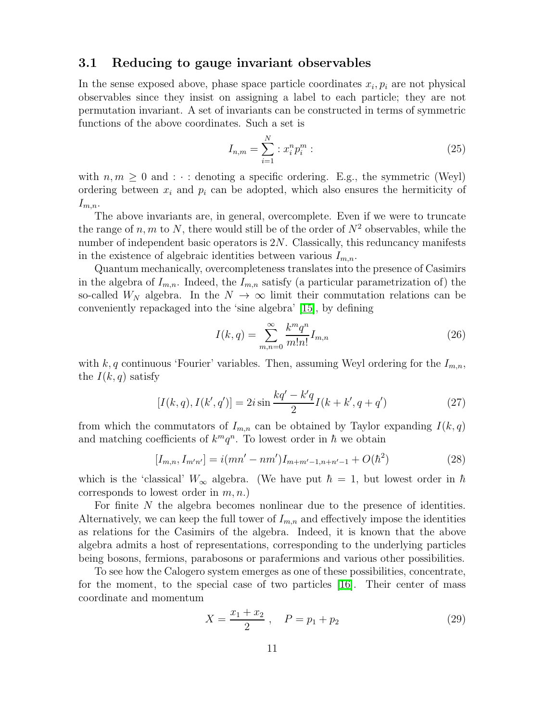#### <span id="page-10-0"></span>3.1 Reducing to gauge invariant observables

In the sense exposed above, phase space particle coordinates  $x_i, p_i$  are not physical observables since they insist on assigning a label to each particle; they are not permutation invariant. A set of invariants can be constructed in terms of symmetric functions of the above coordinates. Such a set is

$$
I_{n,m} = \sum_{i=1}^{N} :x_i^n p_i^m:
$$
 (25)

with  $n, m \geq 0$  and :  $\cdot$ : denoting a specific ordering. E.g., the symmetric (Weyl) ordering between  $x_i$  and  $p_i$  can be adopted, which also ensures the hermiticity of  $I_{m,n}$ .

The above invariants are, in general, overcomplete. Even if we were to truncate the range of n, m to N, there would still be of the order of  $N^2$  observables, while the number of independent basic operators is  $2N$ . Classically, this reduncancy manifests in the existence of algebraic identities between various  $I_{m,n}$ .

Quantum mechanically, overcompleteness translates into the presence of Casimirs in the algebra of  $I_{m,n}$ . Indeed, the  $I_{m,n}$  satisfy (a particular parametrization of) the so-called  $W_N$  algebra. In the  $N \to \infty$  limit their commutation relations can be conveniently repackaged into the 'sine algebra' [\[15\]](#page-63-11), by defining

$$
I(k,q) = \sum_{m,n=0}^{\infty} \frac{k^m q^n}{m! n!} I_{m,n}
$$
 (26)

with k, q continuous 'Fourier' variables. Then, assuming Weyl ordering for the  $I_{m,n}$ , the  $I(k, q)$  satisfy

$$
[I(k,q), I(k',q')] = 2i \sin \frac{kq' - k'q}{2} I(k+k', q+q')
$$
 (27)

from which the commutators of  $I_{m,n}$  can be obtained by Taylor expanding  $I(k, q)$ and matching coefficients of  $k^m q^n$ . To lowest order in  $\hbar$  we obtain

$$
[I_{m,n}, I_{m'n'}] = i(mn' - nm')I_{m+m'-1,n+n'-1} + O(\hbar^2)
$$
\n(28)

which is the 'classical'  $W_{\infty}$  algebra. (We have put  $\hbar = 1$ , but lowest order in  $\hbar$ corresponds to lowest order in  $m, n$ .

For finite N the algebra becomes nonlinear due to the presence of identities. Alternatively, we can keep the full tower of  $I_{m,n}$  and effectively impose the identities as relations for the Casimirs of the algebra. Indeed, it is known that the above algebra admits a host of representations, corresponding to the underlying particles being bosons, fermions, parabosons or parafermions and various other possibilities.

To see how the Calogero system emerges as one of these possibilities, concentrate, for the moment, to the special case of two particles [\[16\]](#page-63-12). Their center of mass coordinate and momentum

$$
X = \frac{x_1 + x_2}{2}, \quad P = p_1 + p_2 \tag{29}
$$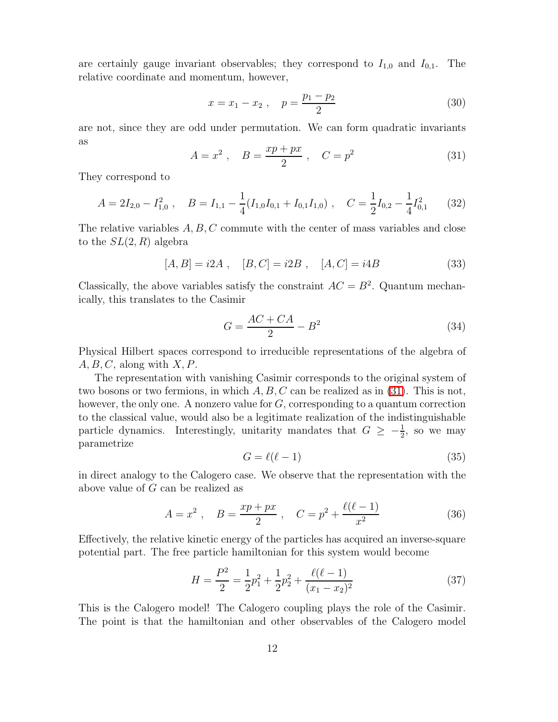are certainly gauge invariant observables; they correspond to  $I_{1,0}$  and  $I_{0,1}$ . The relative coordinate and momentum, however,

$$
x = x_1 - x_2 , \quad p = \frac{p_1 - p_2}{2}
$$
 (30)

<span id="page-11-0"></span>are not, since they are odd under permutation. We can form quadratic invariants as

$$
A = x^2 \ , \quad B = \frac{xp + px}{2} \ , \quad C = p^2 \tag{31}
$$

They correspond to

$$
A = 2I_{2,0} - I_{1,0}^2 \ , \quad B = I_{1,1} - \frac{1}{4}(I_{1,0}I_{0,1} + I_{0,1}I_{1,0}) \ , \quad C = \frac{1}{2}I_{0,2} - \frac{1}{4}I_{0,1}^2 \tag{32}
$$

The relative variables  $A, B, C$  commute with the center of mass variables and close to the  $SL(2, R)$  algebra

$$
[A, B] = i2A , [B, C] = i2B , [A, C] = i4B
$$
 (33)

Classically, the above variables satisfy the constraint  $AC = B^2$ . Quantum mechanically, this translates to the Casimir

$$
G = \frac{AC + CA}{2} - B^2 \tag{34}
$$

Physical Hilbert spaces correspond to irreducible representations of the algebra of  $A, B, C$ , along with  $X, P$ .

The representation with vanishing Casimir corresponds to the original system of two bosons or two fermions, in which  $A, B, C$  can be realized as in [\(31\)](#page-11-0). This is not, however, the only one. A nonzero value for  $G$ , corresponding to a quantum correction to the classical value, would also be a legitimate realization of the indistinguishable particle dynamics. Interestingly, unitarity mandates that  $G \geq -\frac{1}{2}$ , so we may parametrize

$$
G = \ell(\ell - 1) \tag{35}
$$

in direct analogy to the Calogero case. We observe that the representation with the above value of G can be realized as

$$
A = x^2 \ , \quad B = \frac{xp + px}{2} \ , \quad C = p^2 + \frac{\ell(\ell - 1)}{x^2} \tag{36}
$$

Effectively, the relative kinetic energy of the particles has acquired an inverse-square potential part. The free particle hamiltonian for this system would become

$$
H = \frac{P^2}{2} = \frac{1}{2}p_1^2 + \frac{1}{2}p_2^2 + \frac{\ell(\ell-1)}{(x_1 - x_2)^2}
$$
(37)

This is the Calogero model! The Calogero coupling plays the role of the Casimir. The point is that the hamiltonian and other observables of the Calogero model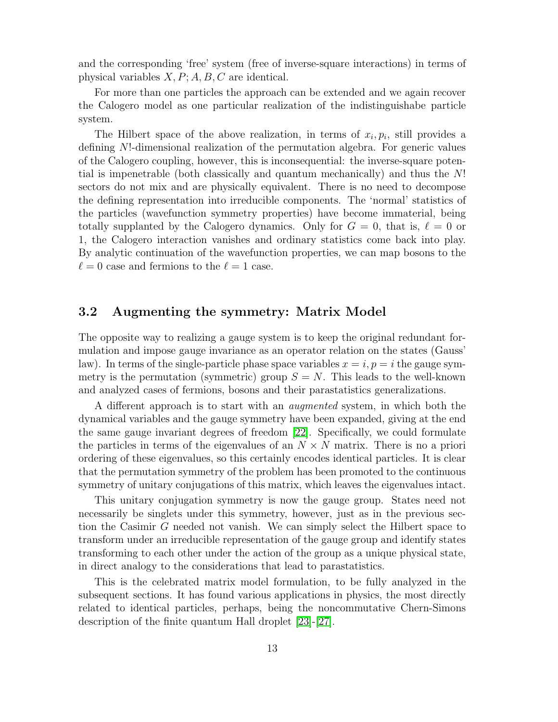and the corresponding 'free' system (free of inverse-square interactions) in terms of physical variables  $X, P; A, B, C$  are identical.

For more than one particles the approach can be extended and we again recover the Calogero model as one particular realization of the indistinguishabe particle system.

The Hilbert space of the above realization, in terms of  $x_i, p_i$ , still provides a defining N!-dimensional realization of the permutation algebra. For generic values of the Calogero coupling, however, this is inconsequential: the inverse-square potential is impenetrable (both classically and quantum mechanically) and thus the N! sectors do not mix and are physically equivalent. There is no need to decompose the defining representation into irreducible components. The 'normal' statistics of the particles (wavefunction symmetry properties) have become immaterial, being totally supplanted by the Calogero dynamics. Only for  $G = 0$ , that is,  $\ell = 0$  or 1, the Calogero interaction vanishes and ordinary statistics come back into play. By analytic continuation of the wavefunction properties, we can map bosons to the  $\ell = 0$  case and fermions to the  $\ell = 1$  case.

#### <span id="page-12-0"></span>3.2 Augmenting the symmetry: Matrix Model

The opposite way to realizing a gauge system is to keep the original redundant formulation and impose gauge invariance as an operator relation on the states (Gauss' law). In terms of the single-particle phase space variables  $x = i$ ,  $p = i$  the gauge symmetry is the permutation (symmetric) group  $S = N$ . This leads to the well-known and analyzed cases of fermions, bosons and their parastatistics generalizations.

A different approach is to start with an augmented system, in which both the dynamical variables and the gauge symmetry have been expanded, giving at the end the same gauge invariant degrees of freedom [\[22\]](#page-63-13). Specifically, we could formulate the particles in terms of the eigenvalues of an  $N \times N$  matrix. There is no a priori ordering of these eigenvalues, so this certainly encodes identical particles. It is clear that the permutation symmetry of the problem has been promoted to the continuous symmetry of unitary conjugations of this matrix, which leaves the eigenvalues intact.

This unitary conjugation symmetry is now the gauge group. States need not necessarily be singlets under this symmetry, however, just as in the previous section the Casimir G needed not vanish. We can simply select the Hilbert space to transform under an irreducible representation of the gauge group and identify states transforming to each other under the action of the group as a unique physical state, in direct analogy to the considerations that lead to parastatistics.

This is the celebrated matrix model formulation, to be fully analyzed in the subsequent sections. It has found various applications in physics, the most directly related to identical particles, perhaps, being the noncommutative Chern-Simons description of the finite quantum Hall droplet [\[23\]](#page-63-14)-[\[27\]](#page-64-0).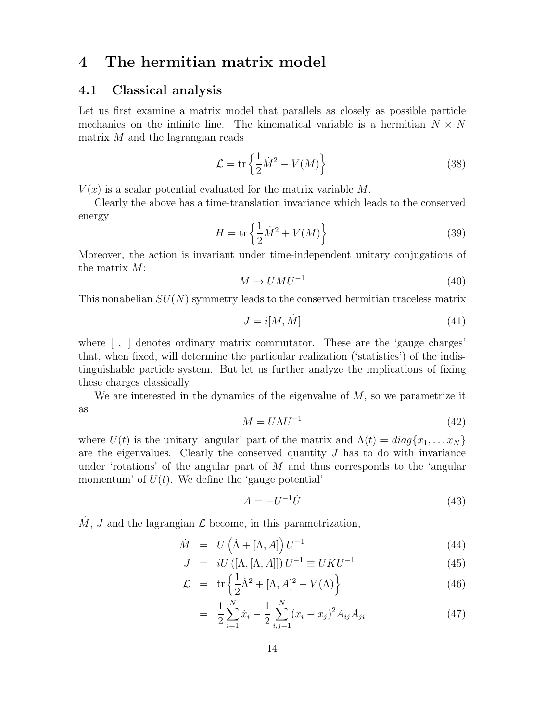## <span id="page-13-1"></span><span id="page-13-0"></span>4 The hermitian matrix model

#### 4.1 Classical analysis

Let us first examine a matrix model that parallels as closely as possible particle mechanics on the infinite line. The kinematical variable is a hermitian  $N \times N$ matrix M and the lagrangian reads

$$
\mathcal{L} = \text{tr}\left\{\frac{1}{2}\dot{M}^2 - V(M)\right\} \tag{38}
$$

 $V(x)$  is a scalar potential evaluated for the matrix variable M.

Clearly the above has a time-translation invariance which leads to the conserved energy

$$
H = \text{tr}\left\{\frac{1}{2}\dot{M}^2 + V(M)\right\} \tag{39}
$$

Moreover, the action is invariant under time-independent unitary conjugations of the matrix M:

$$
M \to U M U^{-1} \tag{40}
$$

This nonabelian  $SU(N)$  symmetry leads to the conserved hermitian traceless matrix

$$
J = i[M, \dot{M}] \tag{41}
$$

where [ , ] denotes ordinary matrix commutator. These are the 'gauge charges' that, when fixed, will determine the particular realization ('statistics') of the indistinguishable particle system. But let us further analyze the implications of fixing these charges classically.

We are interested in the dynamics of the eigenvalue of  $M$ , so we parametrize it as

$$
M = U\Lambda U^{-1} \tag{42}
$$

where  $U(t)$  is the unitary 'angular' part of the matrix and  $\Lambda(t) = diag\{x_1, \ldots x_N\}$ are the eigenvalues. Clearly the conserved quantity  $J$  has to do with invariance under 'rotations' of the angular part of  $M$  and thus corresponds to the 'angular momentum' of  $U(t)$ . We define the 'gauge potential'

$$
A = -U^{-1}\dot{U} \tag{43}
$$

<span id="page-13-2"></span> $\dot{M}$ , J and the lagrangian  $\mathcal{L}$  become, in this parametrization,

$$
\dot{M} = U\left(\dot{\Lambda} + [\Lambda, A]\right)U^{-1} \tag{44}
$$

$$
J = iU([\Lambda, [\Lambda, A]]) U^{-1} \equiv UKU^{-1}
$$
\n(45)

$$
\mathcal{L} = \text{tr}\left\{\frac{1}{2}\dot{\Lambda}^2 + [\Lambda, A]^2 - V(\Lambda)\right\} \tag{46}
$$

$$
= \frac{1}{2} \sum_{i=1}^{N} \dot{x}_i - \frac{1}{2} \sum_{i,j=1}^{N} (x_i - x_j)^2 A_{ij} A_{ji}
$$
 (47)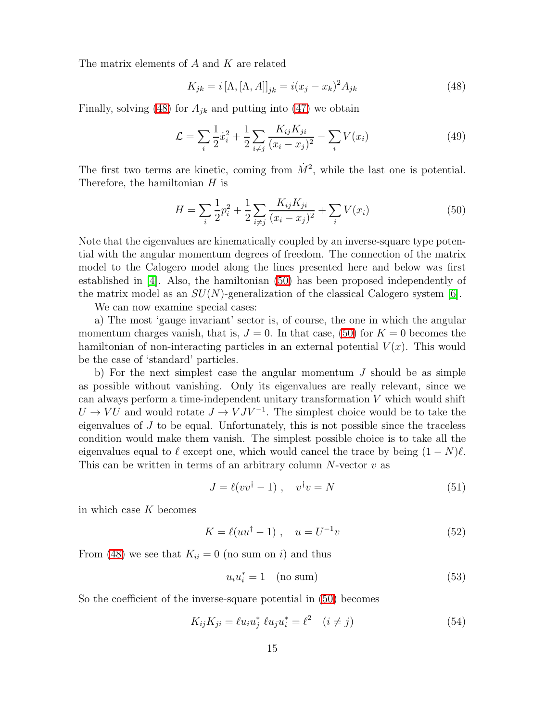<span id="page-14-0"></span>The matrix elements of A and K are related

$$
K_{jk} = i \left[ \Lambda, [\Lambda, A] \right]_{jk} = i (x_j - x_k)^2 A_{jk}
$$
 (48)

Finally, solving [\(48\)](#page-14-0) for  $A_{jk}$  and putting into [\(47\)](#page-13-2) we obtain

$$
\mathcal{L} = \sum_{i} \frac{1}{2} \dot{x}_i^2 + \frac{1}{2} \sum_{i \neq j} \frac{K_{ij} K_{ji}}{(x_i - x_j)^2} - \sum_{i} V(x_i)
$$
(49)

<span id="page-14-1"></span>The first two terms are kinetic, coming from  $\dot{M}^2$ , while the last one is potential. Therefore, the hamiltonian  $H$  is

$$
H = \sum_{i} \frac{1}{2} p_i^2 + \frac{1}{2} \sum_{i \neq j} \frac{K_{ij} K_{ji}}{(x_i - x_j)^2} + \sum_{i} V(x_i)
$$
 (50)

Note that the eigenvalues are kinematically coupled by an inverse-square type potential with the angular momentum degrees of freedom. The connection of the matrix model to the Calogero model along the lines presented here and below was first established in [\[4\]](#page-63-15). Also, the hamiltonian [\(50\)](#page-14-1) has been proposed independently of the matrix model as an  $SU(N)$ -generalization of the classical Calogero system [\[6\]](#page-63-16).

We can now examine special cases:

a) The most 'gauge invariant' sector is, of course, the one in which the angular momentum charges vanish, that is,  $J = 0$ . In that case, [\(50\)](#page-14-1) for  $K = 0$  becomes the hamiltonian of non-interacting particles in an external potential  $V(x)$ . This would be the case of 'standard' particles.

b) For the next simplest case the angular momentum  $J$  should be as simple as possible without vanishing. Only its eigenvalues are really relevant, since we can always perform a time-independent unitary transformation  $V$  which would shift  $U \to VU$  and would rotate  $J \to VJV^{-1}$ . The simplest choice would be to take the eigenvalues of  $J$  to be equal. Unfortunately, this is not possible since the traceless condition would make them vanish. The simplest possible choice is to take all the eigenvalues equal to  $\ell$  except one, which would cancel the trace by being  $(1 - N)\ell$ . This can be written in terms of an arbitrary column  $N$ -vector  $v$  as

$$
J = \ell(vv^{\dagger} - 1) , \quad v^{\dagger}v = N \tag{51}
$$

in which case K becomes

$$
K = \ell(uu^{\dagger} - 1) , \quad u = U^{-1}v \tag{52}
$$

From [\(48\)](#page-14-0) we see that  $K_{ii} = 0$  (no sum on i) and thus

$$
u_i u_i^* = 1 \quad \text{(no sum)} \tag{53}
$$

So the coefficient of the inverse-square potential in [\(50\)](#page-14-1) becomes

$$
K_{ij}K_{ji} = \ell u_i u_j^* \; \ell u_j u_i^* = \ell^2 \quad (i \neq j)
$$
\n(54)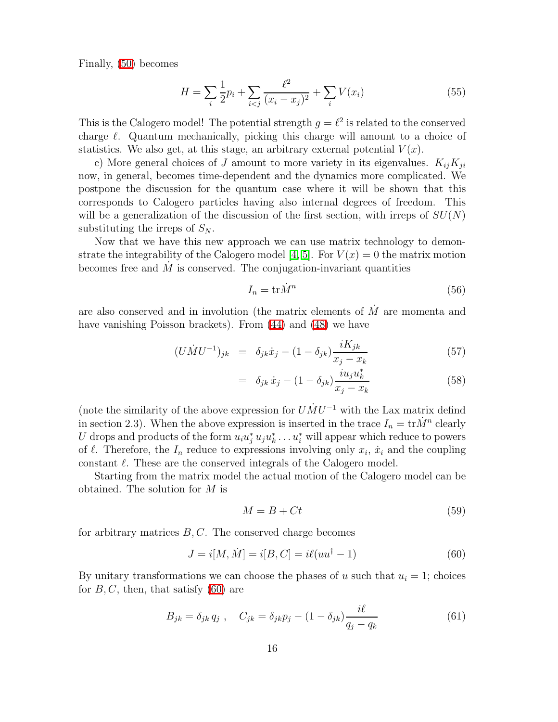Finally, [\(50\)](#page-14-1) becomes

$$
H = \sum_{i} \frac{1}{2} p_i + \sum_{i < j} \frac{\ell^2}{(x_i - x_j)^2} + \sum_{i} V(x_i) \tag{55}
$$

This is the Calogero model! The potential strength  $g = \ell^2$  is related to the conserved charge  $\ell$ . Quantum mechanically, picking this charge will amount to a choice of statistics. We also get, at this stage, an arbitrary external potential  $V(x)$ .

c) More general choices of J amount to more variety in its eigenvalues.  $K_{ij}K_{ji}$ now, in general, becomes time-dependent and the dynamics more complicated. We postpone the discussion for the quantum case where it will be shown that this corresponds to Calogero particles having also internal degrees of freedom. This will be a generalization of the discussion of the first section, with irreps of  $SU(N)$ substituting the irreps of  $S_N$ .

Now that we have this new approach we can use matrix technology to demon-strate the integrability of the Calogero model [\[4,](#page-63-15) [5\]](#page-63-1). For  $V(x) = 0$  the matrix motion becomes free and  $\dot{M}$  is conserved. The conjugation-invariant quantities

$$
I_n = \text{tr}\dot{M}^n \tag{56}
$$

are also conserved and in involution (the matrix elements of  $\dot{M}$  are momenta and have vanishing Poisson brackets). From  $(44)$  and  $(48)$  we have

$$
(U\dot{M}U^{-1})_{jk} = \delta_{jk}\dot{x}_j - (1 - \delta_{jk})\frac{iK_{jk}}{x_j - x_k}
$$
(57)

$$
= \delta_{jk}\dot{x}_j - (1 - \delta_{jk})\frac{i u_j u_k^*}{x_j - x_k} \tag{58}
$$

(note the similarity of the above expression for  $U\dot{M}U^{-1}$  with the Lax matrix defind in section 2.3). When the above expression is inserted in the trace  $I_n = \text{tr}\dot{M}^n$  clearly U drops and products of the form  $u_i u_j^* u_j u_k^* \dots u_i^*$  will appear which reduce to powers of  $\ell$ . Therefore, the  $I_n$  reduce to expressions involving only  $x_i$ ,  $\dot{x}_i$  and the coupling constant  $\ell$ . These are the conserved integrals of the Calogero model.

Starting from the matrix model the actual motion of the Calogero model can be obtained. The solution for M is

$$
M = B + Ct \tag{59}
$$

<span id="page-15-0"></span>for arbitrary matrices  $B, C$ . The conserved charge becomes

$$
J = i[M, \dot{M}] = i[B, C] = i\ell(uu^{\dagger} - 1)
$$
\n(60)

By unitary transformations we can choose the phases of u such that  $u_i = 1$ ; choices for  $B, C$ , then, that satisfy [\(60\)](#page-15-0) are

$$
B_{jk} = \delta_{jk} q_j , \quad C_{jk} = \delta_{jk} p_j - (1 - \delta_{jk}) \frac{i\ell}{q_j - q_k}
$$
 (61)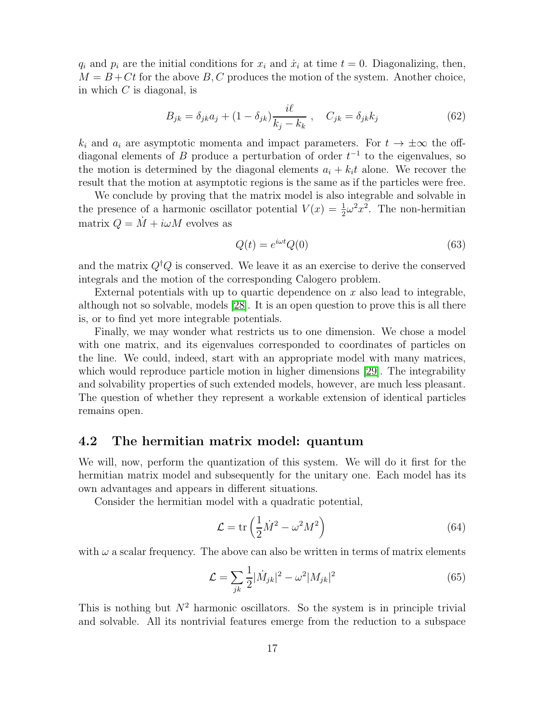$q_i$  and  $p_i$  are the initial conditions for  $x_i$  and  $\dot{x}_i$  at time  $t = 0$ . Diagonalizing, then,  $M = B + Ct$  for the above B, C produces the motion of the system. Another choice, in which  $C$  is diagonal, is

$$
B_{jk} = \delta_{jk} a_j + (1 - \delta_{jk}) \frac{i\ell}{k_j - k_k}, \quad C_{jk} = \delta_{jk} k_j
$$
 (62)

 $k_i$  and  $a_i$  are asymptotic momenta and impact parameters. For  $t \to \pm \infty$  the offdiagonal elements of B produce a perturbation of order  $t^{-1}$  to the eigenvalues, so the motion is determined by the diagonal elements  $a_i + k_i t$  alone. We recover the result that the motion at asymptotic regions is the same as if the particles were free.

We conclude by proving that the matrix model is also integrable and solvable in the presence of a harmonic oscillator potential  $V(x) = \frac{1}{2}\omega^2 x^2$ . The non-hermitian matrix  $Q = \dot{M} + i\omega M$  evolves as

$$
Q(t) = e^{i\omega t} Q(0)
$$
\n(63)

and the matrix  $Q^{\dagger}Q$  is conserved. We leave it as an exercise to derive the conserved integrals and the motion of the corresponding Calogero problem.

External potentials with up to quartic dependence on  $x$  also lead to integrable, although not so solvable, models [\[28\]](#page-64-1). It is an open question to prove this is all there is, or to find yet more integrable potentials.

Finally, we may wonder what restricts us to one dimension. We chose a model with one matrix, and its eigenvalues corresponded to coordinates of particles on the line. We could, indeed, start with an appropriate model with many matrices, which would reproduce particle motion in higher dimensions [\[29\]](#page-64-2). The integrability and solvability properties of such extended models, however, are much less pleasant. The question of whether they represent a workable extension of identical particles remains open.

#### <span id="page-16-0"></span>4.2 The hermitian matrix model: quantum

We will, now, perform the quantization of this system. We will do it first for the hermitian matrix model and subsequently for the unitary one. Each model has its own advantages and appears in different situations.

Consider the hermitian model with a quadratic potential,

$$
\mathcal{L} = \text{tr}\left(\frac{1}{2}\dot{M}^2 - \omega^2 M^2\right) \tag{64}
$$

with  $\omega$  a scalar frequency. The above can also be written in terms of matrix elements

$$
\mathcal{L} = \sum_{jk} \frac{1}{2} |\dot{M}_{jk}|^2 - \omega^2 |M_{jk}|^2
$$
 (65)

This is nothing but  $N^2$  harmonic oscillators. So the system is in principle trivial and solvable. All its nontrivial features emerge from the reduction to a subspace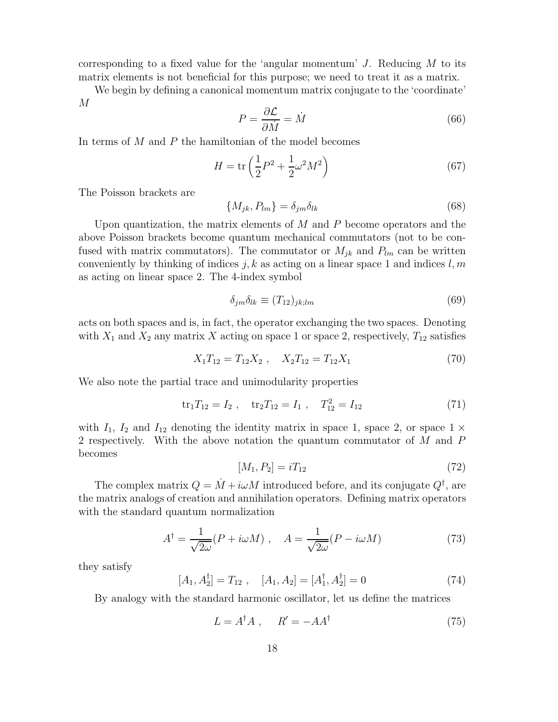corresponding to a fixed value for the 'angular momentum'  $J$ . Reducing  $M$  to its matrix elements is not beneficial for this purpose; we need to treat it as a matrix.

We begin by defining a canonical momentum matrix conjugate to the 'coordinate' M

$$
P = \frac{\partial \mathcal{L}}{\partial \dot{M}} = \dot{M} \tag{66}
$$

In terms of M and P the hamiltonian of the model becomes

$$
H = \text{tr}\left(\frac{1}{2}P^2 + \frac{1}{2}\omega^2 M^2\right) \tag{67}
$$

The Poisson brackets are

$$
\{M_{jk}, P_{lm}\} = \delta_{jm}\delta_{lk} \tag{68}
$$

Upon quantization, the matrix elements of  $M$  and  $P$  become operators and the above Poisson brackets become quantum mechanical commutators (not to be confused with matrix commutators). The commutator or  $M_{ik}$  and  $P_{lm}$  can be written conveniently by thinking of indices j, k as acting on a linear space 1 and indices  $l, m$ as acting on linear space 2. The 4-index symbol

$$
\delta_{jm}\delta_{lk} \equiv (T_{12})_{jk;lm} \tag{69}
$$

<span id="page-17-1"></span>acts on both spaces and is, in fact, the operator exchanging the two spaces. Denoting with  $X_1$  and  $X_2$  any matrix X acting on space 1 or space 2, respectively,  $T_{12}$  satisfies

$$
X_1 T_{12} = T_{12} X_2 , \quad X_2 T_{12} = T_{12} X_1 \tag{70}
$$

<span id="page-17-2"></span>We also note the partial trace and unimodularity properties

$$
\text{tr}_1 T_{12} = I_2 \ , \quad \text{tr}_2 T_{12} = I_1 \ , \quad T_{12}^2 = I_{12} \tag{71}
$$

with  $I_1$ ,  $I_2$  and  $I_{12}$  denoting the identity matrix in space 1, space 2, or space 1  $\times$ 2 respectively. With the above notation the quantum commutator of M and P becomes

$$
[M_1, P_2] = iT_{12} \tag{72}
$$

The complex matrix  $Q = \dot{M} + i\omega M$  introduced before, and its conjugate  $Q^{\dagger}$ , are the matrix analogs of creation and annihilation operators. Defining matrix operators with the standard quantum normalization

$$
A^{\dagger} = \frac{1}{\sqrt{2\omega}}(P + i\omega M) , \quad A = \frac{1}{\sqrt{2\omega}}(P - i\omega M)
$$
 (73)

<span id="page-17-0"></span>they satisfy

$$
[A_1, A_2^{\dagger}] = T_{12} , \quad [A_1, A_2] = [A_1^{\dagger}, A_2^{\dagger}] = 0 \tag{74}
$$

By analogy with the standard harmonic oscillator, let us define the matrices

$$
L = A^{\dagger} A , \qquad R' = -AA^{\dagger} \tag{75}
$$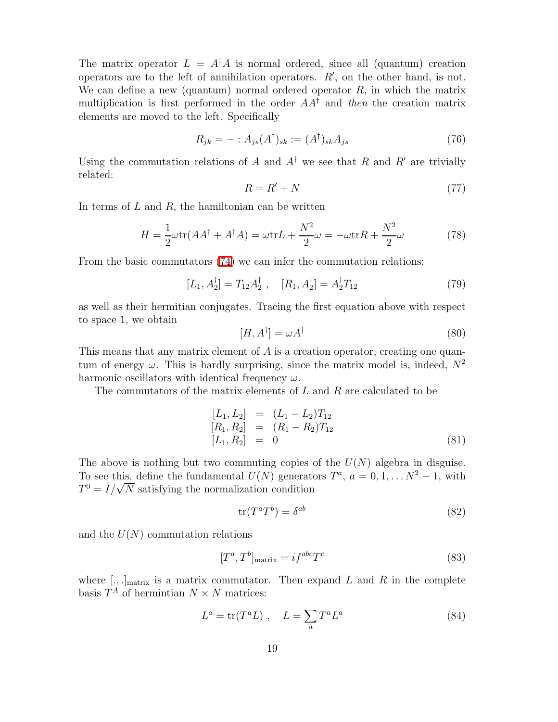The matrix operator  $L = A^{\dagger} A$  is normal ordered, since all (quantum) creation operators are to the left of annihilation operators. R′ , on the other hand, is not. We can define a new (quantum) normal ordered operator  $R$ , in which the matrix multiplication is first performed in the order  $AA^{\dagger}$  and then the creation matrix elements are moved to the left. Specifically

$$
R_{jk} = - :A_{js}(A^{\dagger})_{sk} := (A^{\dagger})_{sk} A_{js} \tag{76}
$$

Using the commutation relations of A and  $A^{\dagger}$  we see that R and R' are trivially related:

$$
R = R' + N \tag{77}
$$

In terms of  $L$  and  $R$ , the hamiltonian can be written

$$
H = \frac{1}{2}\omega \text{tr}(AA^{\dagger} + A^{\dagger}A) = \omega \text{tr}L + \frac{N^2}{2}\omega = -\omega \text{tr}R + \frac{N^2}{2}\omega
$$
 (78)

From the basic commutators [\(74\)](#page-17-0) we can infer the commutation relations:

$$
[L_1, A_2^{\dagger}] = T_{12} A_2^{\dagger} , \quad [R_1, A_2^{\dagger}] = A_2^{\dagger} T_{12}
$$
 (79)

as well as their hermitian conjugates. Tracing the first equation above with respect to space 1, we obtain

$$
[H, A^{\dagger}] = \omega A^{\dagger} \tag{80}
$$

This means that any matrix element of A is a creation operator, creating one quantum of energy  $\omega$ . This is hardly surprising, since the matrix model is, indeed,  $N^2$ harmonic oscillators with identical frequency  $\omega$ .

<span id="page-18-0"></span>The commutators of the matrix elements of  $L$  and  $R$  are calculated to be

$$
\begin{array}{rcl}\n[L_1, L_2] & = & (L_1 - L_2) T_{12} \\
[R_1, R_2] & = & (R_1 - R_2) T_{12} \\
[L_1, R_2] & = & 0\n\end{array}\n\tag{81}
$$

The above is nothing but two commuting copies of the  $U(N)$  algebra in disguise. To see this, define the fundamental  $U(N)$  generators  $T^a$ ,  $a = 0, 1, \ldots N^2 - 1$ , with  $T^0 = I/\sqrt{N}$  satisfying the normalization condition

$$
\text{tr}(T^a T^b) = \delta^{ab} \tag{82}
$$

and the  $U(N)$  commutation relations

$$
[T^a, T^b]_{\text{matrix}} = i f^{abc} T^c \tag{83}
$$

where  $[.,.]_{\text{matrix}}$  is a matrix commutator. Then expand L and R in the complete basis  $T^A$  of hermintian  $N \times N$  matrices:

$$
L^a = \text{tr}(T^a L) , \quad L = \sum_a T^a L^a \tag{84}
$$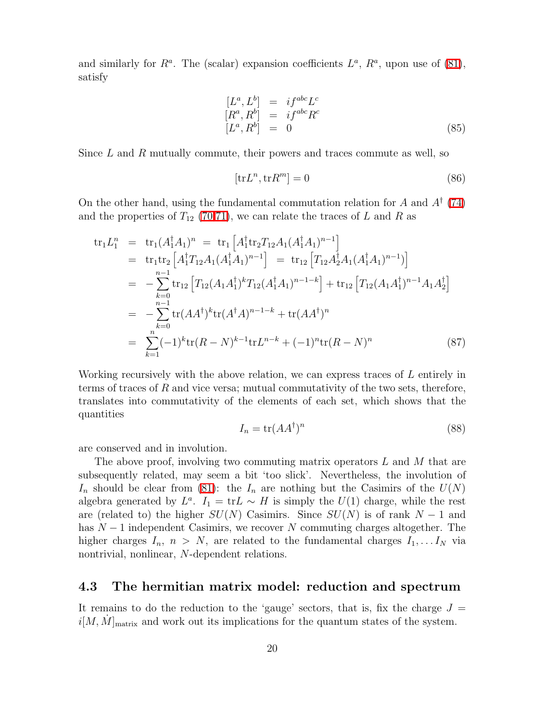and similarly for  $R^a$ . The (scalar) expansion coefficients  $L^a$ ,  $R^a$ , upon use of [\(81\)](#page-18-0), satisfy

$$
\begin{array}{rcl}\n[L^a, L^b] & = & if^{abc} L^c \\
[R^a, R^b] & = & if^{abc} R^c \\
[L^a, R^b] & = & 0\n\end{array}\n\tag{85}
$$

Since  $L$  and  $R$  mutually commute, their powers and traces commute as well, so

$$
[\text{tr}L^n, \text{tr}R^m] = 0\tag{86}
$$

On the other hand, using the fundamental commutation relation for A and  $A^{\dagger}$  [\(74\)](#page-17-0) and the properties of  $T_{12}$  [\(70](#page-17-1)[,71\)](#page-17-2), we can relate the traces of L and R as

$$
\begin{split}\n\text{tr}_{1}L_{1}^{n} &= \text{tr}_{1}(A_{1}^{\dagger}A_{1})^{n} = \text{tr}_{1}\left[A_{1}^{\dagger}\text{tr}_{2}T_{12}A_{1}(A_{1}^{\dagger}A_{1})^{n-1}\right] \\
&= \text{tr}_{1}\text{tr}_{2}\left[A_{1}^{\dagger}T_{12}A_{1}(A_{1}^{\dagger}A_{1})^{n-1}\right] = \text{tr}_{12}\left[T_{12}A_{2}^{\dagger}A_{1}(A_{1}^{\dagger}A_{1})^{n-1}\right] \\
&= -\sum_{k=0}^{n-1} \text{tr}_{12}\left[T_{12}(A_{1}A_{1}^{\dagger})^{k}T_{12}(A_{1}^{\dagger}A_{1})^{n-1-k}\right] + \text{tr}_{12}\left[T_{12}(A_{1}A_{1}^{\dagger})^{n-1}A_{1}A_{2}^{\dagger}\right] \\
&= -\sum_{k=0}^{n-1} \text{tr}(AA^{\dagger})^{k} \text{tr}(A^{\dagger}A)^{n-1-k} + \text{tr}(AA^{\dagger})^{n} \\
&= \sum_{k=1}^{n} (-1)^{k} \text{tr}(R-N)^{k-1} \text{tr}L^{n-k} + (-1)^{n} \text{tr}(R-N)^{n} \tag{87}\n\end{split}
$$

Working recursively with the above relation, we can express traces of L entirely in terms of traces of  $R$  and vice versa; mutual commutativity of the two sets, therefore, translates into commutativity of the elements of each set, which shows that the quantities

$$
I_n = \text{tr}(AA^\dagger)^n \tag{88}
$$

are conserved and in involution.

The above proof, involving two commuting matrix operators L and M that are subsequently related, may seem a bit 'too slick'. Nevertheless, the involution of  $I_n$  should be clear from [\(81\)](#page-18-0): the  $I_n$  are nothing but the Casimirs of the  $U(N)$ algebra generated by  $L^a$ .  $I_1 = \text{tr} L \sim H$  is simply the  $U(1)$  charge, while the rest are (related to) the higher  $SU(N)$  Casimirs. Since  $SU(N)$  is of rank  $N-1$  and has  $N-1$  independent Casimirs, we recover N commuting charges altogether. The higher charges  $I_n$ ,  $n > N$ , are related to the fundamental charges  $I_1, \ldots I_N$  via nontrivial, nonlinear, N-dependent relations.

#### <span id="page-19-0"></span>4.3 The hermitian matrix model: reduction and spectrum

It remains to do the reduction to the 'gauge' sectors, that is, fix the charge  $J =$  $i[M, \dot{M}]_{\text{matrix}}$  and work out its implications for the quantum states of the system.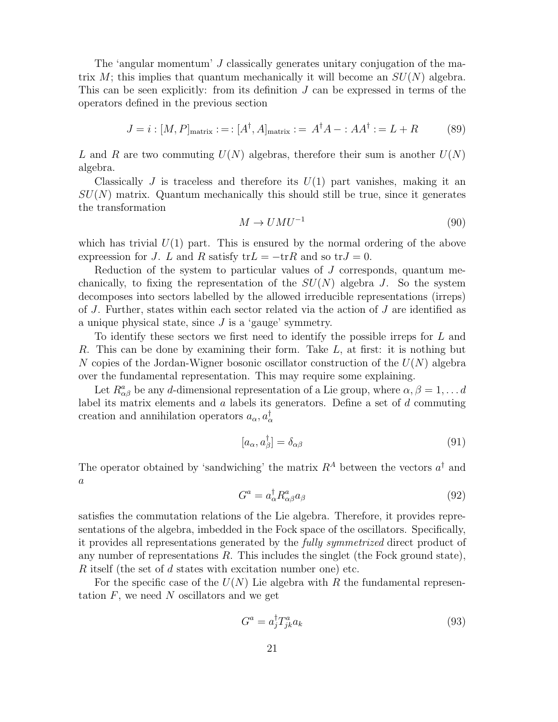The 'angular momentum'  $J$  classically generates unitary conjugation of the matrix M; this implies that quantum mechanically it will become an  $SU(N)$  algebra. This can be seen explicitly: from its definition  $J$  can be expressed in terms of the operators defined in the previous section

$$
J = i : [M, P]_{\text{matrix}} : = : [A^{\dagger}, A]_{\text{matrix}} : = A^{\dagger} A - : A A^{\dagger} : = L + R
$$
 (89)

L and R are two commuting  $U(N)$  algebras, therefore their sum is another  $U(N)$ algebra.

Classically J is traceless and therefore its  $U(1)$  part vanishes, making it an  $SU(N)$  matrix. Quantum mechanically this should still be true, since it generates the transformation

$$
M \to U M U^{-1} \tag{90}
$$

which has trivial  $U(1)$  part. This is ensured by the normal ordering of the above expreession for J. L and R satisfy  $tr L = -tr R$  and so  $tr J = 0$ .

Reduction of the system to particular values of  $J$  corresponds, quantum mechanically, to fixing the representation of the  $SU(N)$  algebra J. So the system decomposes into sectors labelled by the allowed irreducible representations (irreps) of J. Further, states within each sector related via the action of J are identified as a unique physical state, since  $J$  is a 'gauge' symmetry.

To identify these sectors we first need to identify the possible irreps for L and R. This can be done by examining their form. Take L, at first: it is nothing but N copies of the Jordan-Wigner bosonic oscillator construction of the  $U(N)$  algebra over the fundamental representation. This may require some explaining.

Let  $R^a_{\alpha\beta}$  be any d-dimensional representation of a Lie group, where  $\alpha, \beta = 1, \dots d$ label its matrix elements and a labels its generators. Define a set of d commuting creation and annihilation operators  $a_{\alpha}, a_{\alpha}^{\dagger}$ 

$$
[a_{\alpha}, a_{\beta}^{\dagger}] = \delta_{\alpha\beta} \tag{91}
$$

The operator obtained by 'sandwiching' the matrix  $R^A$  between the vectors  $a^{\dagger}$  and  $\boldsymbol{a}$ 

$$
G^a = a^{\dagger}_{\alpha} R^a_{\alpha\beta} a_{\beta} \tag{92}
$$

satisfies the commutation relations of the Lie algebra. Therefore, it provides representations of the algebra, imbedded in the Fock space of the oscillators. Specifically, it provides all representations generated by the fully symmetrized direct product of any number of representations  $R$ . This includes the singlet (the Fock ground state), R itself (the set of d states with excitation number one) etc.

For the specific case of the  $U(N)$  Lie algebra with R the fundamental representation  $F$ , we need  $N$  oscillators and we get

$$
G^a = a_j^{\dagger} T^a_{jk} a_k \tag{93}
$$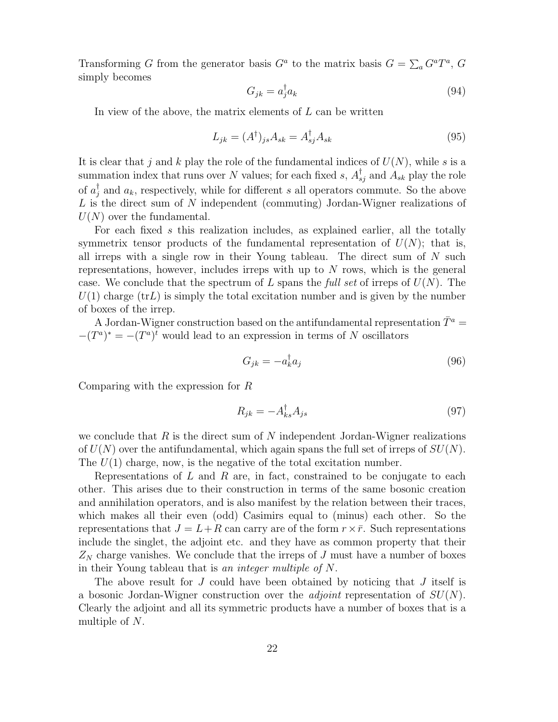Transforming G from the generator basis  $G^a$  to the matrix basis  $G = \sum_a G^a T^a$ , G simply becomes

$$
G_{jk} = a_j^{\dagger} a_k \tag{94}
$$

In view of the above, the matrix elements of  $L$  can be written

$$
L_{jk} = (A^{\dagger})_{js} A_{sk} = A_{sj}^{\dagger} A_{sk} \tag{95}
$$

It is clear that j and k play the role of the fundamental indices of  $U(N)$ , while s is a summation index that runs over N values; for each fixed s,  $A_{sj}^{\dagger}$  and  $A_{sk}$  play the role of  $a_j^{\dagger}$  and  $a_k$ , respectively, while for different s all operators commute. So the above L is the direct sum of N independent (commuting) Jordan-Wigner realizations of  $U(N)$  over the fundamental.

For each fixed s this realization includes, as explained earlier, all the totally symmetrix tensor products of the fundamental representation of  $U(N)$ ; that is, all irreps with a single row in their Young tableau. The direct sum of  $N$  such representations, however, includes irreps with up to  $N$  rows, which is the general case. We conclude that the spectrum of L spans the full set of irreps of  $U(N)$ . The  $U(1)$  charge (trL) is simply the total excitation number and is given by the number of boxes of the irrep.

A Jordan-Wigner construction based on the antifundamental representation  $\bar{T}^a$  =  $-(T^a)^* = -(T^a)^t$  would lead to an expression in terms of N oscillators

$$
G_{jk} = -a_k^{\dagger} a_j \tag{96}
$$

Comparing with the expression for  $R$ 

$$
R_{jk} = -A_{ks}^{\dagger} A_{js} \tag{97}
$$

we conclude that  $R$  is the direct sum of  $N$  independent Jordan-Wigner realizations of  $U(N)$  over the antifundamental, which again spans the full set of irreps of  $SU(N)$ . The  $U(1)$  charge, now, is the negative of the total excitation number.

Representations of  $L$  and  $R$  are, in fact, constrained to be conjugate to each other. This arises due to their construction in terms of the same bosonic creation and annihilation operators, and is also manifest by the relation between their traces, which makes all their even (odd) Casimirs equal to (minus) each other. So the representations that  $J = L + R$  can carry are of the form  $r \times \bar{r}$ . Such representations include the singlet, the adjoint etc. and they have as common property that their  $Z_N$  charge vanishes. We conclude that the irreps of  $J$  must have a number of boxes in their Young tableau that is an integer multiple of N.

The above result for J could have been obtained by noticing that J itself is a bosonic Jordan-Wigner construction over the *adjoint* representation of  $SU(N)$ . Clearly the adjoint and all its symmetric products have a number of boxes that is a multiple of N.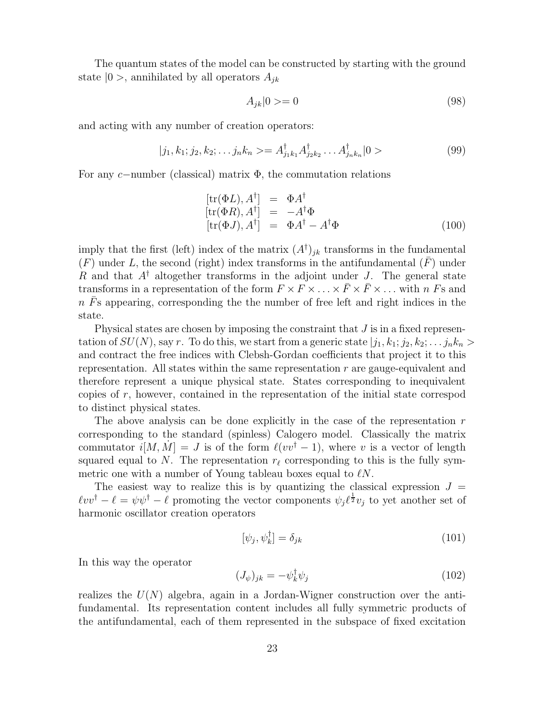The quantum states of the model can be constructed by starting with the ground state  $|0\rangle$ , annihilated by all operators  $A_{jk}$ 

$$
A_{jk}|0\rangle = 0\tag{98}
$$

and acting with any number of creation operators:

$$
|j_1, k_1; j_2, k_2; \dots j_n k_n \rangle = A_{j_1 k_1}^{\dagger} A_{j_2 k_2}^{\dagger} \dots A_{j_n k_n}^{\dagger} |0 \rangle
$$
\n(99)

For any c−number (classical) matrix  $\Phi$ , the commutation relations

$$
[\text{tr}(\Phi L), A^{\dagger}] = \Phi A^{\dagger} [\text{tr}(\Phi R), A^{\dagger}] = -A^{\dagger} \Phi [\text{tr}(\Phi J), A^{\dagger}] = \Phi A^{\dagger} - A^{\dagger} \Phi
$$
 (100)

imply that the first (left) index of the matrix  $(A^{\dagger})_{jk}$  transforms in the fundamental  $(F)$  under L, the second (right) index transforms in the antifundamental  $(F)$  under R and that  $A^{\dagger}$  altogether transforms in the adjoint under J. The general state transforms in a representation of the form  $F \times F \times \ldots \times \bar{F} \times \bar{F} \times \ldots$  with n Fs and  $n \bar{F}$ s appearing, corresponding the the number of free left and right indices in the state.

Physical states are chosen by imposing the constraint that J is in a fixed representation of  $SU(N)$ , say r. To do this, we start from a generic state  $|j_1, k_1; j_2, k_2; \ldots j_n k_n>$ and contract the free indices with Clebsh-Gordan coefficients that project it to this representation. All states within the same representation  $r$  are gauge-equivalent and therefore represent a unique physical state. States corresponding to inequivalent copies of  $r$ , however, contained in the representation of the initial state correspod to distinct physical states.

The above analysis can be done explicitly in the case of the representation  $r$ corresponding to the standard (spinless) Calogero model. Classically the matrix commutator  $i[M, \dot{M}] = J$  is of the form  $\ell(vv^{\dagger} - 1)$ , where v is a vector of length squared equal to N. The representation  $r_{\ell}$  corresponding to this is the fully symmetric one with a number of Young tableau boxes equal to  $\ell N$ .

The easiest way to realize this is by quantizing the classical expression  $J =$  $\ell v v^{\dagger} - \ell = \psi \psi^{\dagger} - \ell$  promoting the vector components  $\psi_j \ell^{\frac{1}{2}} v_j$  to yet another set of harmonic oscillator creation operators

$$
[\psi_j, \psi_k^{\dagger}] = \delta_{jk} \tag{101}
$$

In this way the operator

$$
(J_{\psi})_{jk} = -\psi_k^{\dagger} \psi_j \tag{102}
$$

realizes the  $U(N)$  algebra, again in a Jordan-Wigner construction over the antifundamental. Its representation content includes all fully symmetric products of the antifundamental, each of them represented in the subspace of fixed excitation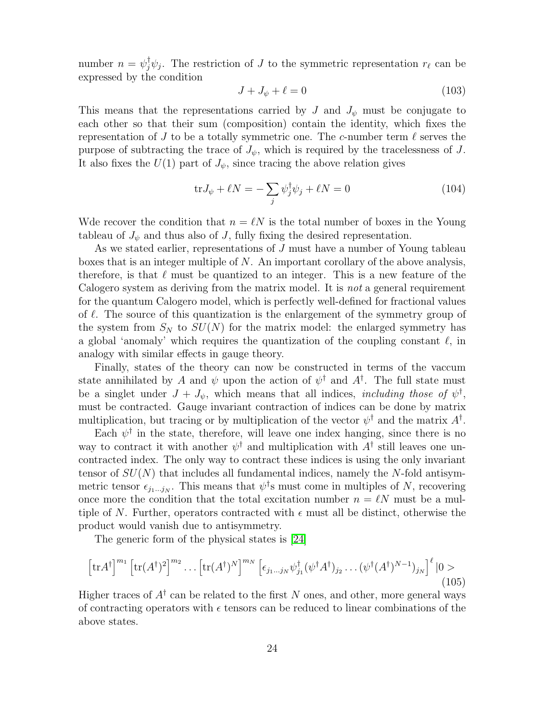number  $n = \psi_j^{\dagger} \psi_j$ . The restriction of J to the symmetric representation  $r_{\ell}$  can be expressed by the condition

$$
J + J_{\psi} + \ell = 0 \tag{103}
$$

This means that the representations carried by J and  $J_{\psi}$  must be conjugate to each other so that their sum (composition) contain the identity, which fixes the representation of J to be a totally symmetric one. The c-number term  $\ell$  serves the purpose of subtracting the trace of  $J_{\psi}$ , which is required by the tracelessness of J. It also fixes the  $U(1)$  part of  $J_{\psi}$ , since tracing the above relation gives

$$
\text{tr}J_{\psi} + \ell N = -\sum_{j} \psi_{j}^{\dagger} \psi_{j} + \ell N = 0 \qquad (104)
$$

Wde recover the condition that  $n = \ell N$  is the total number of boxes in the Young tableau of  $J_{\psi}$  and thus also of J, fully fixing the desired representation.

As we stated earlier, representations of J must have a number of Young tableau boxes that is an integer multiple of N. An important corollary of the above analysis, therefore, is that  $\ell$  must be quantized to an integer. This is a new feature of the Calogero system as deriving from the matrix model. It is not a general requirement for the quantum Calogero model, which is perfectly well-defined for fractional values of  $\ell$ . The source of this quantization is the enlargement of the symmetry group of the system from  $S_N$  to  $SU(N)$  for the matrix model: the enlarged symmetry has a global 'anomaly' which requires the quantization of the coupling constant  $\ell$ , in analogy with similar effects in gauge theory.

Finally, states of the theory can now be constructed in terms of the vaccum state annihilated by A and  $\psi$  upon the action of  $\psi^{\dagger}$  and  $A^{\dagger}$ . The full state must be a singlet under  $J + J_{\psi}$ , which means that all indices, *including those of*  $\psi^{\dagger}$ , must be contracted. Gauge invariant contraction of indices can be done by matrix multiplication, but tracing or by multiplication of the vector  $\psi^{\dagger}$  and the matrix  $A^{\dagger}$ .

Each  $\psi^{\dagger}$  in the state, therefore, will leave one index hanging, since there is no way to contract it with another  $\psi^{\dagger}$  and multiplication with  $A^{\dagger}$  still leaves one uncontracted index. The only way to contract these indices is using the only invariant tensor of  $SU(N)$  that includes all fundamental indices, namely the N-fold antisymmetric tensor  $\epsilon_{j_1...j_N}$ . This means that  $\psi^{\dagger}$ s must come in multiples of N, recovering once more the condition that the total excitation number  $n = \ell N$  must be a multiple of N. Further, operators contracted with  $\epsilon$  must all be distinct, otherwise the product would vanish due to antisymmetry.

The generic form of the physical states is [\[24\]](#page-64-3)

$$
\left[\text{tr}A^{\dagger}\right]^{m_{1}}\left[\text{tr}(A^{\dagger})^{2}\right]^{m_{2}}\dots\left[\text{tr}(A^{\dagger})^{N}\right]^{m_{N}}\left[\epsilon_{j_{1}\dots j_{N}}\psi_{j_{1}}^{\dagger}(\psi^{\dagger}A^{\dagger})_{j_{2}}\dots(\psi^{\dagger}(A^{\dagger})^{N-1})_{j_{N}}\right]^{\ell}|0\rangle\tag{105}
$$

Higher traces of  $A^{\dagger}$  can be related to the first N ones, and other, more general ways of contracting operators with  $\epsilon$  tensors can be reduced to linear combinations of the above states.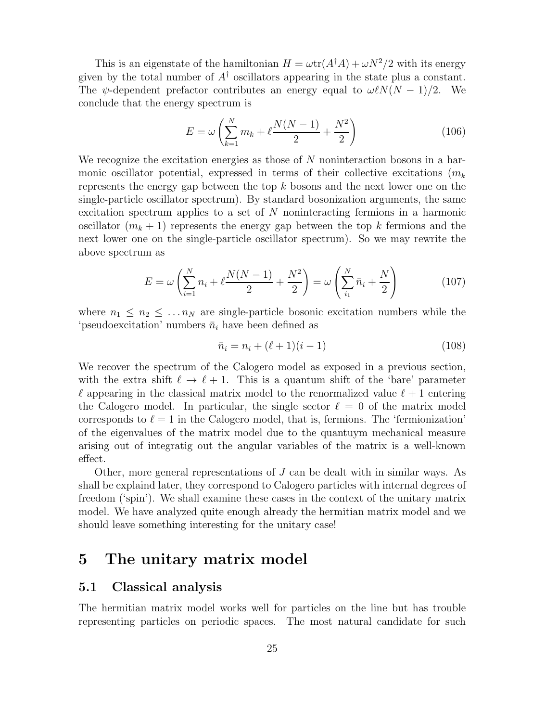This is an eigenstate of the hamiltonian  $H = \omega \text{tr}(A^{\dagger}A) + \omega N^2/2$  with its energy given by the total number of  $A^{\dagger}$  oscillators appearing in the state plus a constant. The  $\psi$ -dependent prefactor contributes an energy equal to  $\omega \ell N(N-1)/2$ . We conclude that the energy spectrum is

$$
E = \omega \left( \sum_{k=1}^{N} m_k + \ell \frac{N(N-1)}{2} + \frac{N^2}{2} \right)
$$
 (106)

We recognize the excitation energies as those of  $N$  noninteraction bosons in a harmonic oscillator potential, expressed in terms of their collective excitations  $(m_k)$ represents the energy gap between the top k bosons and the next lower one on the single-particle oscillator spectrum). By standard bosonization arguments, the same excitation spectrum applies to a set of N noninteracting fermions in a harmonic oscillator  $(m_k + 1)$  represents the energy gap between the top k fermions and the next lower one on the single-particle oscillator spectrum). So we may rewrite the above spectrum as

$$
E = \omega \left( \sum_{i=1}^{N} n_i + \ell \frac{N(N-1)}{2} + \frac{N^2}{2} \right) = \omega \left( \sum_{i=1}^{N} \bar{n}_i + \frac{N}{2} \right)
$$
 (107)

where  $n_1 \leq n_2 \leq \ldots n_N$  are single-particle bosonic excitation numbers while the 'pseudoexcitation' numbers  $\bar{n}_i$  have been defined as

$$
\bar{n}_i = n_i + (\ell + 1)(i - 1) \tag{108}
$$

We recover the spectrum of the Calogero model as exposed in a previous section, with the extra shift  $\ell \to \ell + 1$ . This is a quantum shift of the 'bare' parameter  $\ell$  appearing in the classical matrix model to the renormalized value  $\ell + 1$  entering the Calogero model. In particular, the single sector  $\ell = 0$  of the matrix model corresponds to  $\ell = 1$  in the Calogero model, that is, fermions. The 'fermionization' of the eigenvalues of the matrix model due to the quantuym mechanical measure arising out of integratig out the angular variables of the matrix is a well-known effect.

Other, more general representations of J can be dealt with in similar ways. As shall be explaind later, they correspond to Calogero particles with internal degrees of freedom ('spin'). We shall examine these cases in the context of the unitary matrix model. We have analyzed quite enough already the hermitian matrix model and we should leave something interesting for the unitary case!

### <span id="page-24-1"></span><span id="page-24-0"></span>5 The unitary matrix model

#### 5.1 Classical analysis

The hermitian matrix model works well for particles on the line but has trouble representing particles on periodic spaces. The most natural candidate for such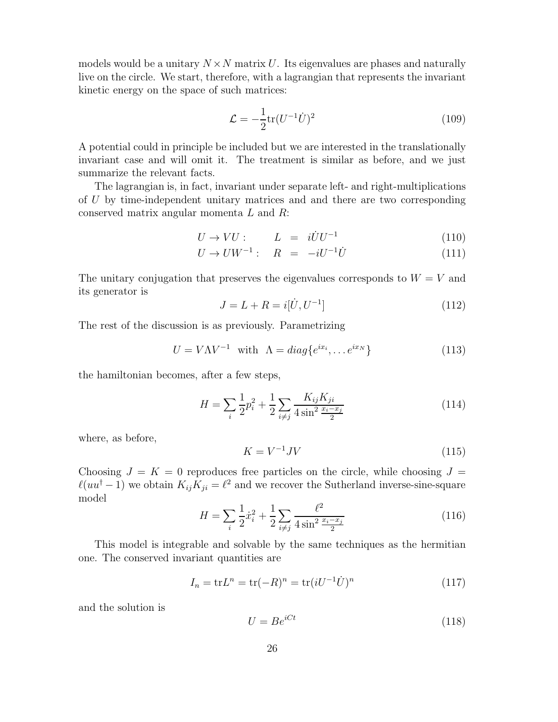models would be a unitary  $N \times N$  matrix U. Its eigenvalues are phases and naturally live on the circle. We start, therefore, with a lagrangian that represents the invariant kinetic energy on the space of such matrices:

$$
\mathcal{L} = -\frac{1}{2} \text{tr}(U^{-1}\dot{U})^2 \tag{109}
$$

A potential could in principle be included but we are interested in the translationally invariant case and will omit it. The treatment is similar as before, and we just summarize the relevant facts.

The lagrangian is, in fact, invariant under separate left- and right-multiplications of U by time-independent unitary matrices and and there are two corresponding conserved matrix angular momenta L and R:

$$
U \to VU: \qquad L = i\dot{U}U^{-1} \tag{110}
$$

$$
U \to U W^{-1} : \quad R = -iU^{-1} \dot{U} \tag{111}
$$

The unitary conjugation that preserves the eigenvalues corresponds to  $W = V$  and its generator is

$$
J = L + R = i[\dot{U}, U^{-1}]
$$
\n(112)

<span id="page-25-0"></span>The rest of the discussion is as previously. Parametrizing

$$
U = V\Lambda V^{-1} \text{ with } \Lambda = diag\{e^{ix_i}, \dots e^{ix_N}\}\tag{113}
$$

the hamiltonian becomes, after a few steps,

$$
H = \sum_{i} \frac{1}{2} p_i^2 + \frac{1}{2} \sum_{i \neq j} \frac{K_{ij} K_{ji}}{4 \sin^2 \frac{x_i - x_j}{2}}
$$
(114)

where, as before,

$$
K = V^{-1}JV \tag{115}
$$

Choosing  $J = K = 0$  reproduces free particles on the circle, while choosing  $J =$  $\ell(uu^{\dagger}-1)$  we obtain  $K_{ij}K_{ji}=\ell^2$  and we recover the Sutherland inverse-sine-square model

$$
H = \sum_{i} \frac{1}{2} \dot{x}_i^2 + \frac{1}{2} \sum_{i \neq j} \frac{\ell^2}{4 \sin^2 \frac{x_i - x_j}{2}} \tag{116}
$$

This model is integrable and solvable by the same techniques as the hermitian one. The conserved invariant quantities are

$$
I_n = \text{tr}L^n = \text{tr}(-R)^n = \text{tr}(iU^{-1}\dot{U})^n
$$
 (117)

and the solution is

$$
U = Be^{iCt} \tag{118}
$$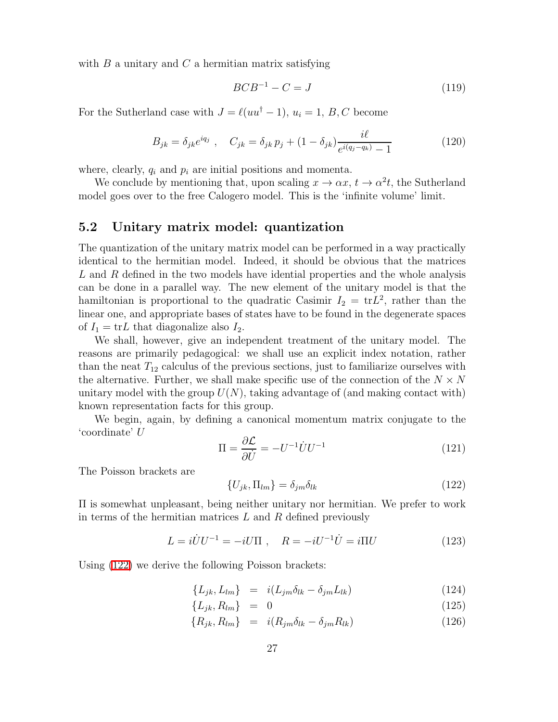with  $B$  a unitary and  $C$  a hermitian matrix satisfying

$$
BCB^{-1} - C = J \tag{119}
$$

For the Sutherland case with  $J = \ell(uu^{\dagger} - 1), u_i = 1, B, C$  become

$$
B_{jk} = \delta_{jk} e^{iq_j}, \quad C_{jk} = \delta_{jk} p_j + (1 - \delta_{jk}) \frac{i\ell}{e^{i(q_j - q_k)} - 1}
$$
(120)

where, clearly,  $q_i$  and  $p_i$  are initial positions and momenta.

We conclude by mentioning that, upon scaling  $x \to \alpha x$ ,  $t \to \alpha^2 t$ , the Sutherland model goes over to the free Calogero model. This is the 'infinite volume' limit.

#### <span id="page-26-0"></span>5.2 Unitary matrix model: quantization

The quantization of the unitary matrix model can be performed in a way practically identical to the hermitian model. Indeed, it should be obvious that the matrices L and R defined in the two models have idential properties and the whole analysis can be done in a parallel way. The new element of the unitary model is that the hamiltonian is proportional to the quadratic Casimir  $I_2 = \text{tr}L^2$ , rather than the linear one, and appropriate bases of states have to be found in the degenerate spaces of  $I_1 = \text{tr} L$  that diagonalize also  $I_2$ .

We shall, however, give an independent treatment of the unitary model. The reasons are primarily pedagogical: we shall use an explicit index notation, rather than the neat  $T_{12}$  calculus of the previous sections, just to familiarize ourselves with the alternative. Further, we shall make specific use of the connection of the  $N \times N$ unitary model with the group  $U(N)$ , taking advantage of (and making contact with) known representation facts for this group.

We begin, again, by defining a canonical momentum matrix conjugate to the 'coordinate' U

<span id="page-26-1"></span>
$$
\Pi = \frac{\partial \mathcal{L}}{\partial \dot{U}} = -U^{-1} \dot{U} U^{-1} \tag{121}
$$

The Poisson brackets are

$$
\{U_{jk}, \Pi_{lm}\} = \delta_{jm}\delta_{lk} \tag{122}
$$

Π is somewhat unpleasant, being neither unitary nor hermitian. We prefer to work in terms of the hermitian matrices  $L$  and  $R$  defined previously

$$
L = i\dot{U}U^{-1} = -iU\Pi \ , \quad R = -iU^{-1}\dot{U} = i\Pi U \tag{123}
$$

Using [\(122\)](#page-26-1) we derive the following Poisson brackets:

$$
\{L_{jk}, L_{lm}\} = i(L_{jm}\delta_{lk} - \delta_{jm}L_{lk}) \qquad (124)
$$

$$
\{L_{jk}, R_{lm}\} = 0 \tag{125}
$$

$$
\{R_{jk}, R_{lm}\} = i(R_{jm}\delta_{lk} - \delta_{jm}R_{lk}) \tag{126}
$$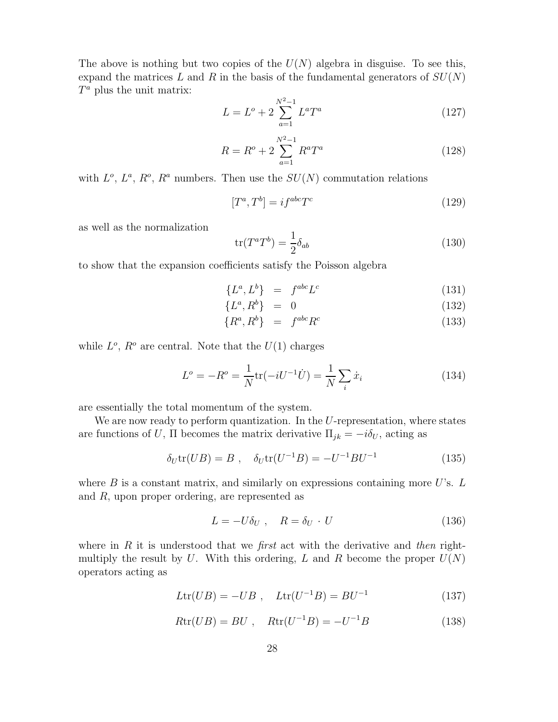The above is nothing but two copies of the  $U(N)$  algebra in disguise. To see this, expand the matrices L and R in the basis of the fundamental generators of  $SU(N)$  $T^a$  plus the unit matrix:

<span id="page-27-0"></span>
$$
L = L^o + 2\sum_{a=1}^{N^2 - 1} L^a T^a \tag{127}
$$

<span id="page-27-1"></span>
$$
R = R^{o} + 2\sum_{a=1}^{N^{2}-1} R^{a}T^{a}
$$
 (128)

with  $L^o$ ,  $L^a$ ,  $R^o$ ,  $R^a$  numbers. Then use the  $SU(N)$  commutation relations

$$
[T^a, T^b] = i f^{abc} T^c \tag{129}
$$

as well as the normalization

$$
\text{tr}(T^a T^b) = \frac{1}{2} \delta_{ab} \tag{130}
$$

to show that the expansion coefficients satisfy the Poisson algebra

$$
\{L^a, L^b\} = f^{abc}L^c \tag{131}
$$

$$
\{L^a, R^b\} = 0 \tag{132}
$$

$$
\{R^a, R^b\} = f^{abc} R^c \tag{133}
$$

while  $L^o$ ,  $R^o$  are central. Note that the  $U(1)$  charges

$$
L^{o} = -R^{o} = \frac{1}{N} \text{tr}(-iU^{-1}\dot{U}) = \frac{1}{N} \sum_{i} \dot{x}_{i}
$$
 (134)

are essentially the total momentum of the system.

We are now ready to perform quantization. In the  $U$ -representation, where states are functions of U,  $\Pi$  becomes the matrix derivative  $\Pi_{jk} = -i\delta_U$ , acting as

$$
\delta_U \text{tr}(UB) = B \ , \quad \delta_U \text{tr}(U^{-1}B) = -U^{-1}BU^{-1} \tag{135}
$$

where  $B$  is a constant matrix, and similarly on expressions containing more U's.  $L$ and R, upon proper ordering, are represented as

$$
L = -U\delta_U , \quad R = \delta_U \cdot U \tag{136}
$$

where in R it is understood that we *first* act with the derivative and *then* rightmultiply the result by U. With this ordering, L and R become the proper  $U(N)$ operators acting as

$$
Ltr(UB) = -UB \ , \quad Ltr(U^{-1}B) = BU^{-1} \tag{137}
$$

$$
Rtr(UB) = BU , \quad Rtr(U^{-1}B) = -U^{-1}B \tag{138}
$$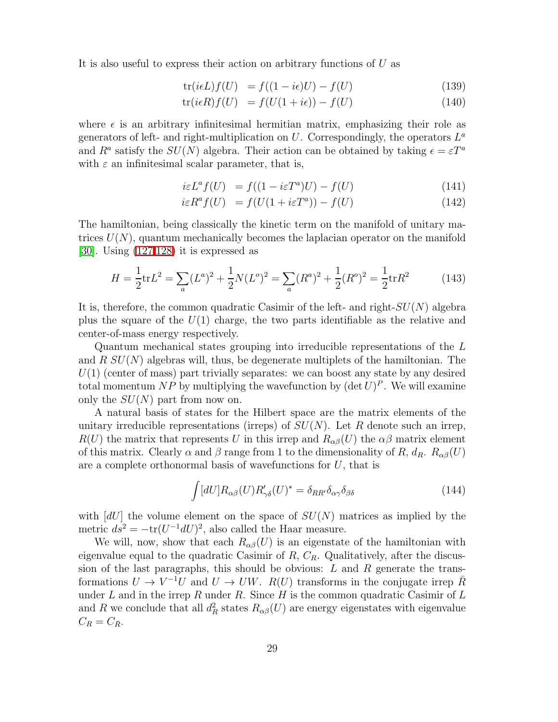It is also useful to express their action on arbitrary functions of  $U$  as

$$
\operatorname{tr}(i\epsilon L)f(U) = f((1 - i\epsilon)U) - f(U) \tag{139}
$$

$$
\operatorname{tr}(i\epsilon R)f(U) = f(U(1+i\epsilon)) - f(U) \tag{140}
$$

where  $\epsilon$  is an arbitrary infinitesimal hermitian matrix, emphasizing their role as generators of left- and right-multiplication on  $U$ . Correspondingly, the operators  $L^a$ and  $R^a$  satisfy the  $SU(N)$  algebra. Their action can be obtained by taking  $\epsilon = \varepsilon T^a$ with  $\varepsilon$  an infinitesimal scalar parameter, that is,

$$
i\varepsilon L^a f(U) = f((1 - i\varepsilon T^a)U) - f(U)
$$
\n(141)

$$
i\varepsilon R^a f(U) = f(U(1 + i\varepsilon T^a)) - f(U)
$$
\n(142)

<span id="page-28-0"></span>The hamiltonian, being classically the kinetic term on the manifold of unitary matrices  $U(N)$ , quantum mechanically becomes the laplacian operator on the manifold [\[30\]](#page-64-4). Using  $(127,128)$  $(127,128)$  it is expressed as

$$
H = \frac{1}{2} \text{tr} L^2 = \sum_{a} (L^a)^2 + \frac{1}{2} N (L^b)^2 = \sum_{a} (R^a)^2 + \frac{1}{2} (R^b)^2 = \frac{1}{2} \text{tr} R^2 \tag{143}
$$

It is, therefore, the common quadratic Casimir of the left- and right- $SU(N)$  algebra plus the square of the  $U(1)$  charge, the two parts identifiable as the relative and center-of-mass energy respectively.

Quantum mechanical states grouping into irreducible representations of the L and  $R SU(N)$  algebras will, thus, be degenerate multiplets of the hamiltonian. The  $U(1)$  (center of mass) part trivially separates: we can boost any state by any desired total momentum NP by multiplying the wavefunction by  $(\det U)^P$ . We will examine only the  $SU(N)$  part from now on.

A natural basis of states for the Hilbert space are the matrix elements of the unitary irreducible representations (irreps) of  $SU(N)$ . Let R denote such an irrep,  $R(U)$  the matrix that represents U in this irrep and  $R_{\alpha\beta}(U)$  the  $\alpha\beta$  matrix element of this matrix. Clearly  $\alpha$  and  $\beta$  range from 1 to the dimensionality of R,  $d_R$ .  $R_{\alpha\beta}(U)$ are a complete orthonormal basis of wavefunctions for  $U$ , that is

$$
\int [dU] R_{\alpha\beta}(U) R'_{\gamma\delta}(U)^* = \delta_{RR'} \delta_{\alpha\gamma} \delta_{\beta\delta} \tag{144}
$$

with  $[dU]$  the volume element on the space of  $SU(N)$  matrices as implied by the metric  $ds^2 = -\text{tr}(U^{-1}dU)^2$ , also called the Haar measure.

We will, now, show that each  $R_{\alpha\beta}(U)$  is an eigenstate of the hamiltonian with eigenvalue equal to the quadratic Casimir of  $R$ ,  $C_R$ . Qualitatively, after the discussion of the last paragraphs, this should be obvious:  $L$  and  $R$  generate the transformations  $U \to V^{-1}U$  and  $U \to UW$ .  $R(U)$  transforms in the conjugate irrep  $\overline{R}$ under  $L$  and in the irrep  $R$  under  $R$ . Since  $H$  is the common quadratic Casimir of  $L$ and R we conclude that all  $d_R^2$  states  $R_{\alpha\beta}(U)$  are energy eigenstates with eigenvalue  $C_R = C_{\bar{R}}$ .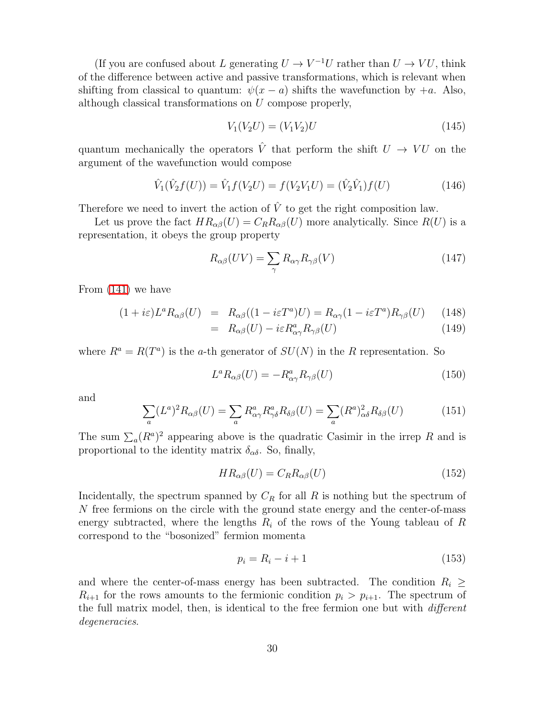(If you are confused about L generating  $U \to V^{-1}U$  rather than  $U \to VU$ , think of the difference between active and passive transformations, which is relevant when shifting from classical to quantum:  $\psi(x-a)$  shifts the wavefunction by  $+a$ . Also, although classical transformations on U compose properly,

$$
V_1(V_2U) = (V_1V_2)U\tag{145}
$$

quantum mechanically the operators  $\hat{V}$  that perform the shift  $U \rightarrow VU$  on the argument of the wavefunction would compose

$$
\hat{V}_1(\hat{V}_2 f(U)) = \hat{V}_1 f(V_2 U) = f(V_2 V_1 U) = (\hat{V}_2 \hat{V}_1) f(U)
$$
\n(146)

Therefore we need to invert the action of  $\hat{V}$  to get the right composition law.

Let us prove the fact  $HR_{\alpha\beta}(U) = C_R R_{\alpha\beta}(U)$  more analytically. Since  $R(U)$  is a representation, it obeys the group property

$$
R_{\alpha\beta}(UV) = \sum_{\gamma} R_{\alpha\gamma} R_{\gamma\beta}(V) \tag{147}
$$

From [\(141\)](#page-28-0) we have

$$
(1 + i\varepsilon)L^a R_{\alpha\beta}(U) = R_{\alpha\beta}((1 - i\varepsilon T^a)U) = R_{\alpha\gamma}(1 - i\varepsilon T^a)R_{\gamma\beta}(U) \qquad (148)
$$

$$
= R_{\alpha\beta}(U) - i\varepsilon R_{\alpha\gamma}^a R_{\gamma\beta}(U) \tag{149}
$$

where  $R^a = R(T^a)$  is the a-th generator of  $SU(N)$  in the R representation. So

$$
L^a R_{\alpha\beta}(U) = -R^a_{\alpha\gamma} R_{\gamma\beta}(U)
$$
\n(150)

and

$$
\sum_{a} (L^{a})^{2} R_{\alpha\beta}(U) = \sum_{a} R^{a}_{\alpha\gamma} R^{a}_{\gamma\delta} R_{\delta\beta}(U) = \sum_{a} (R^{a})^{2}_{\alpha\delta} R_{\delta\beta}(U)
$$
(151)

The sum  $\sum_a (R^a)^2$  appearing above is the quadratic Casimir in the irrep R and is proportional to the identity matrix  $\delta_{\alpha\delta}$ . So, finally,

$$
HR_{\alpha\beta}(U) = C_R R_{\alpha\beta}(U) \tag{152}
$$

Incidentally, the spectrum spanned by  $C_R$  for all R is nothing but the spectrum of N free fermions on the circle with the ground state energy and the center-of-mass energy subtracted, where the lengths  $R_i$  of the rows of the Young tableau of R correspond to the "bosonized" fermion momenta

$$
p_i = R_i - i + 1 \tag{153}
$$

and where the center-of-mass energy has been subtracted. The condition  $R_i \geq$  $R_{i+1}$  for the rows amounts to the fermionic condition  $p_i > p_{i+1}$ . The spectrum of the full matrix model, then, is identical to the free fermion one but with different degeneracies.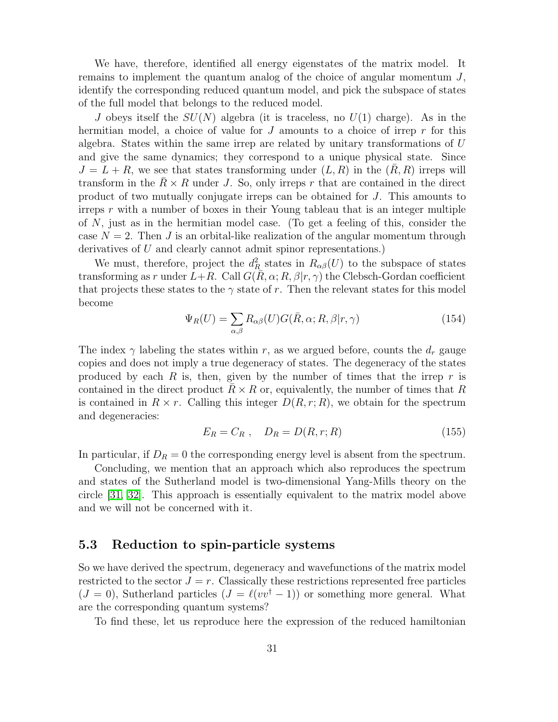We have, therefore, identified all energy eigenstates of the matrix model. It remains to implement the quantum analog of the choice of angular momentum J, identify the corresponding reduced quantum model, and pick the subspace of states of the full model that belongs to the reduced model.

J obeys itself the  $SU(N)$  algebra (it is traceless, no  $U(1)$  charge). As in the hermitian model, a choice of value for  $J$  amounts to a choice of irrep  $r$  for this algebra. States within the same irrep are related by unitary transformations of U and give the same dynamics; they correspond to a unique physical state. Since  $J = L + R$ , we see that states transforming under  $(L, R)$  in the  $(R, R)$  irreps will transform in the  $R \times R$  under J. So, only irreps r that are contained in the direct product of two mutually conjugate irreps can be obtained for J. This amounts to irreps r with a number of boxes in their Young tableau that is an integer multiple of N, just as in the hermitian model case. (To get a feeling of this, consider the case  $N = 2$ . Then J is an orbital-like realization of the angular momentum through derivatives of U and clearly cannot admit spinor representations.)

We must, therefore, project the  $d_R^2$  states in  $R_{\alpha\beta}(U)$  to the subspace of states transforming as r under  $L+R$ . Call  $G(R, \alpha; R, \beta | r, \gamma)$  the Clebsch-Gordan coefficient that projects these states to the  $\gamma$  state of r. Then the relevant states for this model become

$$
\Psi_R(U) = \sum_{\alpha,\beta} R_{\alpha\beta}(U) G(\bar{R}, \alpha; R, \beta | r, \gamma)
$$
\n(154)

The index  $\gamma$  labeling the states within r, as we argued before, counts the  $d_r$  gauge copies and does not imply a true degeneracy of states. The degeneracy of the states produced by each R is, then, given by the number of times that the irrep  $r$  is contained in the direct product  $R \times R$  or, equivalently, the number of times that R is contained in  $R \times r$ . Calling this integer  $D(R, r; R)$ , we obtain for the spectrum and degeneracies:

<span id="page-30-1"></span>
$$
E_R = C_R , \quad D_R = D(R, r; R) \tag{155}
$$

In particular, if  $D_R = 0$  the corresponding energy level is absent from the spectrum.

Concluding, we mention that an approach which also reproduces the spectrum and states of the Sutherland model is two-dimensional Yang-Mills theory on the circle [\[31,](#page-64-5) [32\]](#page-64-6). This approach is essentially equivalent to the matrix model above and we will not be concerned with it.

#### <span id="page-30-0"></span>5.3 Reduction to spin-particle systems

So we have derived the spectrum, degeneracy and wavefunctions of the matrix model restricted to the sector  $J = r$ . Classically these restrictions represented free particles  $(J = 0)$ , Sutherland particles  $(J = \ell(vv^{\dagger} - 1))$  or something more general. What are the corresponding quantum systems?

To find these, let us reproduce here the expression of the reduced hamiltonian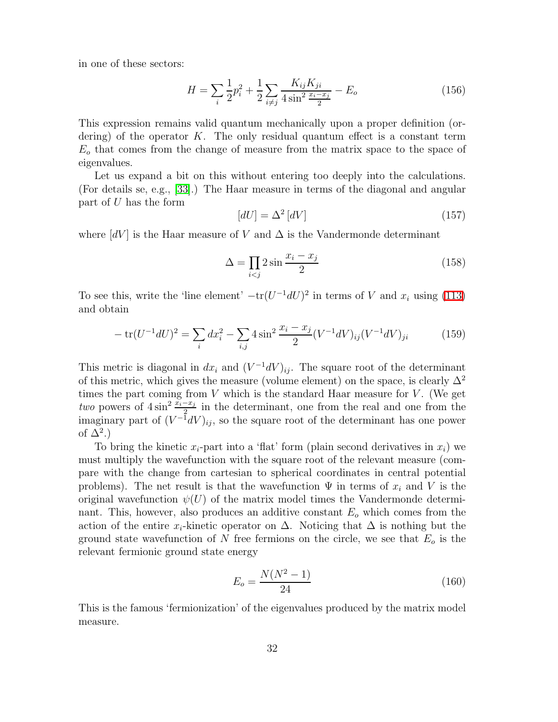<span id="page-31-0"></span>in one of these sectors:

$$
H = \sum_{i} \frac{1}{2} p_i^2 + \frac{1}{2} \sum_{i \neq j} \frac{K_{ij} K_{ji}}{4 \sin^2 \frac{x_i - x_j}{2}} - E_o \tag{156}
$$

This expression remains valid quantum mechanically upon a proper definition (ordering) of the operator K. The only residual quantum effect is a constant term  $E<sub>o</sub>$  that comes from the change of measure from the matrix space to the space of eigenvalues.

Let us expand a bit on this without entering too deeply into the calculations. (For details se, e.g., [\[33\]](#page-64-7).) The Haar measure in terms of the diagonal and angular part of U has the form

$$
[dU] = \Delta^2 [dV] \tag{157}
$$

where  $dV$  is the Haar measure of V and  $\Delta$  is the Vandermonde determinant

$$
\Delta = \prod_{i < j} 2 \sin \frac{x_i - x_j}{2} \tag{158}
$$

To see this, write the 'line element'  $-\text{tr}(U^{-1}dU)^2$  in terms of V and  $x_i$  using [\(113\)](#page-25-0) and obtain

$$
-\operatorname{tr}(U^{-1}dU)^2 = \sum_i dx_i^2 - \sum_{i,j} 4\sin^2\frac{x_i - x_j}{2} (V^{-1}dV)_{ij} (V^{-1}dV)_{ji}
$$
(159)

This metric is diagonal in  $dx_i$  and  $(V^{-1}dV)_{ij}$ . The square root of the determinant of this metric, which gives the measure (volume element) on the space, is clearly  $\Delta^2$ times the part coming from  $V$  which is the standard Haar measure for  $V$ . (We get two powers of  $4\sin^2\frac{x_i-x_j}{2}$  in the determinant, one from the real and one from the imaginary part of  $(V^{-1}dV)_{ij}$ , so the square root of the determinant has one power of  $\Delta^2$ .)

To bring the kinetic  $x_i$ -part into a 'flat' form (plain second derivatives in  $x_i$ ) we must multiply the wavefunction with the square root of the relevant measure (compare with the change from cartesian to spherical coordinates in central potential problems). The net result is that the wavefunction  $\Psi$  in terms of  $x_i$  and V is the original wavefunction  $\psi(U)$  of the matrix model times the Vandermonde determinant. This, however, also produces an additive constant  $E<sub>o</sub>$  which comes from the action of the entire  $x_i$ -kinetic operator on  $\Delta$ . Noticing that  $\Delta$  is nothing but the ground state wavefunction of N free fermions on the circle, we see that  $E<sub>o</sub>$  is the relevant fermionic ground state energy

$$
E_o = \frac{N(N^2 - 1)}{24} \tag{160}
$$

This is the famous 'fermionization' of the eigenvalues produced by the matrix model measure.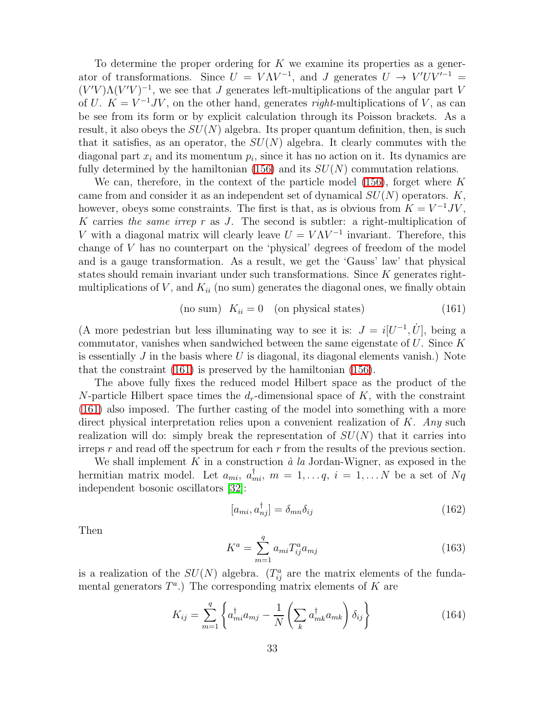To determine the proper ordering for  $K$  we examine its properties as a generator of transformations. Since  $U = V\Lambda V^{-1}$ , and J generates  $U \to V'UV'^{-1} =$  $(V'V)\Lambda(V'V)^{-1}$ , we see that J generates left-multiplications of the angular part V of U.  $K = V^{-1}JV$ , on the other hand, generates right-multiplications of V, as can be see from its form or by explicit calculation through its Poisson brackets. As a result, it also obeys the  $SU(N)$  algebra. Its proper quantum definition, then, is such that it satisfies, as an operator, the  $SU(N)$  algebra. It clearly commutes with the diagonal part  $x_i$  and its momentum  $p_i$ , since it has no action on it. Its dynamics are fully determined by the hamiltonian [\(156\)](#page-31-0) and its  $SU(N)$  commutation relations.

We can, therefore, in the context of the particle model  $(156)$ , forget where K came from and consider it as an independent set of dynamical  $SU(N)$  operators. K, however, obeys some constraints. The first is that, as is obvious from  $K = V^{-1}JV$ , K carries the same irrep r as J. The second is subtler: a right-multiplication of V with a diagonal matrix will clearly leave  $U = V \Lambda V^{-1}$  invariant. Therefore, this change of V has no counterpart on the 'physical' degrees of freedom of the model and is a gauge transformation. As a result, we get the 'Gauss' law' that physical states should remain invariant under such transformations. Since  $K$  generates rightmultiplications of  $V$ , and  $K_{ii}$  (no sum) generates the diagonal ones, we finally obtain

(no sum) 
$$
K_{ii} = 0
$$
 (on physical states) (161)

<span id="page-32-0"></span>(A more pedestrian but less illuminating way to see it is:  $J = i[U^{-1}, \dot{U}]$ , being a commutator, vanishes when sandwiched between the same eigenstate of  $U$ . Since  $K$ is essentially  $J$  in the basis where  $U$  is diagonal, its diagonal elements vanish.) Note that the constraint [\(161\)](#page-32-0) is preserved by the hamiltonian [\(156\)](#page-31-0).

The above fully fixes the reduced model Hilbert space as the product of the N-particle Hilbert space times the  $d_r$ -dimensional space of K, with the constraint [\(161\)](#page-32-0) also imposed. The further casting of the model into something with a more direct physical interpretation relies upon a convenient realization of  $K$ . Any such realization will do: simply break the representation of  $SU(N)$  that it carries into irreps r and read off the spectrum for each r from the results of the previous section.

We shall implement K in a construction  $\dot{a}$  la Jordan-Wigner, as exposed in the hermitian matrix model. Let  $a_{mi}$ ,  $a_{mi}^{\dagger}$ ,  $m = 1, \ldots, q$ ,  $i = 1, \ldots, N$  be a set of  $Nq$ independent bosonic oscillators [\[32\]](#page-64-6):

$$
[a_{mi}, a_{nj}^\dagger] = \delta_{mn}\delta_{ij} \tag{162}
$$

Then

$$
K^{a} = \sum_{m=1}^{q} a_{mi} T_{ij}^{a} a_{mj}
$$
 (163)

<span id="page-32-1"></span>is a realization of the  $SU(N)$  algebra. ( $T_{ij}^a$  are the matrix elements of the fundamental generators  $T^a$ .) The corresponding matrix elements of K are

$$
K_{ij} = \sum_{m=1}^{q} \left\{ a_{mi}^{\dagger} a_{mj} - \frac{1}{N} \left( \sum_{k} a_{mk}^{\dagger} a_{mk} \right) \delta_{ij} \right\}
$$
(164)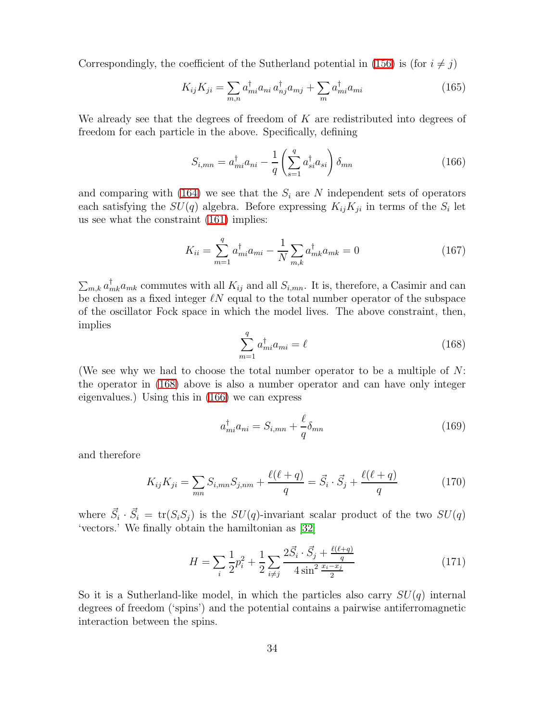Correspondingly, the coefficient of the Sutherland potential in [\(156\)](#page-31-0) is (for  $i \neq j$ )

$$
K_{ij}K_{ji} = \sum_{m,n} a_{mi}^{\dagger} a_{ni} a_{nj}^{\dagger} a_{mj} + \sum_{m} a_{mi}^{\dagger} a_{mi}
$$
 (165)

<span id="page-33-1"></span>We already see that the degrees of freedom of K are redistributed into degrees of freedom for each particle in the above. Specifically, defining

$$
S_{i,mn} = a_{mi}^{\dagger} a_{ni} - \frac{1}{q} \left( \sum_{s=1}^{q} a_{si}^{\dagger} a_{si} \right) \delta_{mn} \tag{166}
$$

and comparing with [\(164\)](#page-32-1) we see that the  $S_i$  are N independent sets of operators each satisfying the  $SU(q)$  algebra. Before expressing  $K_{ij}K_{ji}$  in terms of the  $S_i$  let us see what the constraint [\(161\)](#page-32-0) implies:

$$
K_{ii} = \sum_{m=1}^{q} a_{mi}^{\dagger} a_{mi} - \frac{1}{N} \sum_{m,k} a_{mk}^{\dagger} a_{mk} = 0
$$
 (167)

 $\sum_{m,k} a_{mk}^{\dagger} a_{mk}$  commutes with all  $K_{ij}$  and all  $S_{i,mn}$ . It is, therefore, a Casimir and can be chosen as a fixed integer  $\ell N$  equal to the total number operator of the subspace of the oscillator Fock space in which the model lives. The above constraint, then, implies

<span id="page-33-0"></span>
$$
\sum_{m=1}^{q} a_{mi}^{\dagger} a_{mi} = \ell \tag{168}
$$

(We see why we had to choose the total number operator to be a multiple of N: the operator in [\(168\)](#page-33-0) above is also a number operator and can have only integer eigenvalues.) Using this in [\(166\)](#page-33-1) we can express

$$
a_{mi}^{\dagger} a_{ni} = S_{i,mn} + \frac{\ell}{q} \delta_{mn} \tag{169}
$$

and therefore

$$
K_{ij}K_{ji} = \sum_{mn} S_{i,mn}S_{j,nm} + \frac{\ell(\ell+q)}{q} = \vec{S}_i \cdot \vec{S}_j + \frac{\ell(\ell+q)}{q}
$$
(170)

<span id="page-33-2"></span>where  $\vec{S}_i \cdot \vec{S}_i = \text{tr}(S_i S_j)$  is the  $SU(q)$ -invariant scalar product of the two  $SU(q)$ 'vectors.' We finally obtain the hamiltonian as [\[32\]](#page-64-6)

$$
H = \sum_{i} \frac{1}{2} p_i^2 + \frac{1}{2} \sum_{i \neq j} \frac{2\vec{S}_i \cdot \vec{S}_j + \frac{\ell(\ell+q)}{q}}{4\sin^2 \frac{x_i - x_j}{2}}
$$
(171)

So it is a Sutherland-like model, in which the particles also carry  $SU(q)$  internal degrees of freedom ('spins') and the potential contains a pairwise antiferromagnetic interaction between the spins.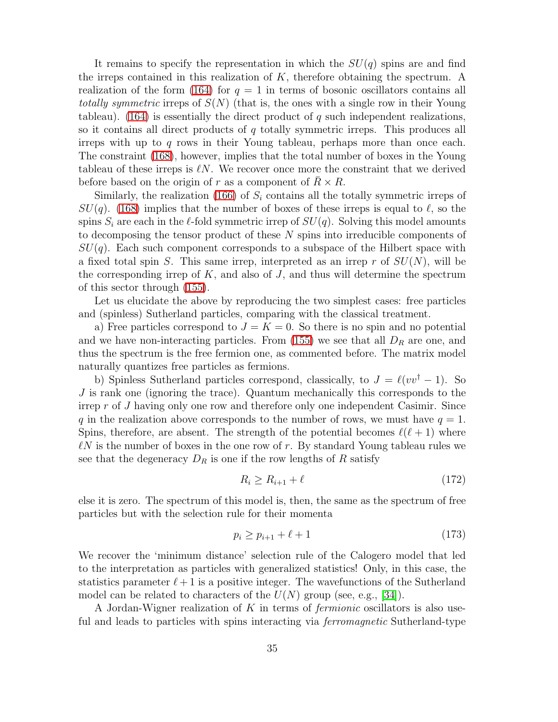It remains to specify the representation in which the  $SU(q)$  spins are and find the irreps contained in this realization of  $K$ , therefore obtaining the spectrum. A realization of the form [\(164\)](#page-32-1) for  $q = 1$  in terms of bosonic oscillators contains all *totally symmetric* irreps of  $S(N)$  (that is, the ones with a single row in their Young tableau). [\(164\)](#page-32-1) is essentially the direct product of q such independent realizations, so it contains all direct products of  $q$  totally symmetric irreps. This produces all irreps with up to q rows in their Young tableau, perhaps more than once each. The constraint [\(168\)](#page-33-0), however, implies that the total number of boxes in the Young tableau of these irreps is  $\ell N$ . We recover once more the constraint that we derived before based on the origin of r as a component of  $R \times R$ .

Similarly, the realization [\(166\)](#page-33-1) of  $S_i$  contains all the totally symmetric irreps of  $SU(q)$ . [\(168\)](#page-33-0) implies that the number of boxes of these irreps is equal to  $\ell$ , so the spins  $S_i$  are each in the  $\ell$ -fold symmetric irrep of  $SU(q)$ . Solving this model amounts to decomposing the tensor product of these N spins into irreducible components of  $SU(q)$ . Each such component corresponds to a subspace of the Hilbert space with a fixed total spin S. This same irrep, interpreted as an irrep r of  $SU(N)$ , will be the corresponding irrep of  $K$ , and also of  $J$ , and thus will determine the spectrum of this sector through [\(155\)](#page-30-1).

Let us elucidate the above by reproducing the two simplest cases: free particles and (spinless) Sutherland particles, comparing with the classical treatment.

a) Free particles correspond to  $J = K = 0$ . So there is no spin and no potential and we have non-interacting particles. From  $(155)$  we see that all  $D_R$  are one, and thus the spectrum is the free fermion one, as commented before. The matrix model naturally quantizes free particles as fermions.

b) Spinless Sutherland particles correspond, classically, to  $J = \ell(vv^{\dagger} - 1)$ . So  $J$  is rank one (ignoring the trace). Quantum mechanically this corresponds to the irrep r of J having only one row and therefore only one independent Casimir. Since q in the realization above corresponds to the number of rows, we must have  $q = 1$ . Spins, therefore, are absent. The strength of the potential becomes  $\ell(\ell+1)$  where  $\ell N$  is the number of boxes in the one row of r. By standard Young tableau rules we see that the degeneracy  $D_R$  is one if the row lengths of R satisfy

$$
R_i \ge R_{i+1} + \ell \tag{172}
$$

else it is zero. The spectrum of this model is, then, the same as the spectrum of free particles but with the selection rule for their momenta

$$
p_i \ge p_{i+1} + \ell + 1 \tag{173}
$$

We recover the 'minimum distance' selection rule of the Calogero model that led to the interpretation as particles with generalized statistics! Only, in this case, the statistics parameter  $\ell+1$  is a positive integer. The wavefunctions of the Sutherland model can be related to characters of the  $U(N)$  group (see, e.g., [\[34\]](#page-64-8)).

A Jordan-Wigner realization of K in terms of *fermionic* oscillators is also useful and leads to particles with spins interacting via *ferromagnetic* Sutherland-type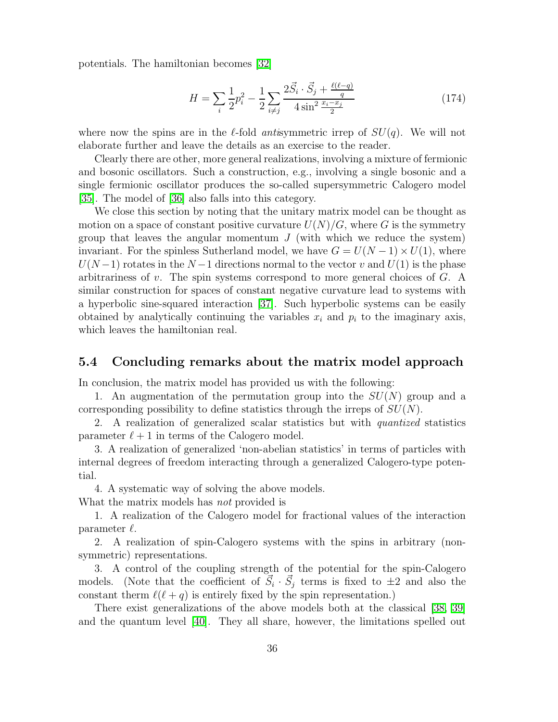potentials. The hamiltonian becomes [\[32\]](#page-64-6)

$$
H = \sum_{i} \frac{1}{2} p_i^2 - \frac{1}{2} \sum_{i \neq j} \frac{2\vec{S}_i \cdot \vec{S}_j + \frac{\ell(\ell - q)}{q}}{4 \sin^2 \frac{x_i - x_j}{2}}
$$
(174)

where now the spins are in the  $\ell$ -fold *antisymmetric* irrep of  $SU(q)$ . We will not elaborate further and leave the details as an exercise to the reader.

Clearly there are other, more general realizations, involving a mixture of fermionic and bosonic oscillators. Such a construction, e.g., involving a single bosonic and a single fermionic oscillator produces the so-called supersymmetric Calogero model [\[35\]](#page-64-9). The model of [\[36\]](#page-64-10) also falls into this category.

We close this section by noting that the unitary matrix model can be thought as motion on a space of constant positive curvature  $U(N)/G$ , where G is the symmetry group that leaves the angular momentum  $J$  (with which we reduce the system) invariant. For the spinless Sutherland model, we have  $G = U(N-1) \times U(1)$ , where  $U(N-1)$  rotates in the N −1 directions normal to the vector v and  $U(1)$  is the phase arbitrariness of v. The spin systems correspond to more general choices of G. A similar construction for spaces of constant negative curvature lead to systems with a hyperbolic sine-squared interaction [\[37\]](#page-64-11). Such hyperbolic systems can be easily obtained by analytically continuing the variables  $x_i$  and  $p_i$  to the imaginary axis, which leaves the hamiltonian real.

#### <span id="page-35-0"></span>5.4 Concluding remarks about the matrix model approach

In conclusion, the matrix model has provided us with the following:

1. An augmentation of the permutation group into the  $SU(N)$  group and a corresponding possibility to define statistics through the irreps of  $SU(N)$ .

2. A realization of generalized scalar statistics but with quantized statistics parameter  $\ell + 1$  in terms of the Calogero model.

3. A realization of generalized 'non-abelian statistics' in terms of particles with internal degrees of freedom interacting through a generalized Calogero-type potential.

4. A systematic way of solving the above models.

What the matrix models has *not* provided is

1. A realization of the Calogero model for fractional values of the interaction parameter  $\ell$ .

2. A realization of spin-Calogero systems with the spins in arbitrary (nonsymmetric) representations.

3. A control of the coupling strength of the potential for the spin-Calogero models. (Note that the coefficient of  $\vec{S}_i \cdot \vec{S}_j$  terms is fixed to  $\pm 2$  and also the constant therm  $\ell(\ell + q)$  is entirely fixed by the spin representation.)

There exist generalizations of the above models both at the classical [\[38,](#page-64-12) [39\]](#page-64-13) and the quantum level [\[40\]](#page-64-14). They all share, however, the limitations spelled out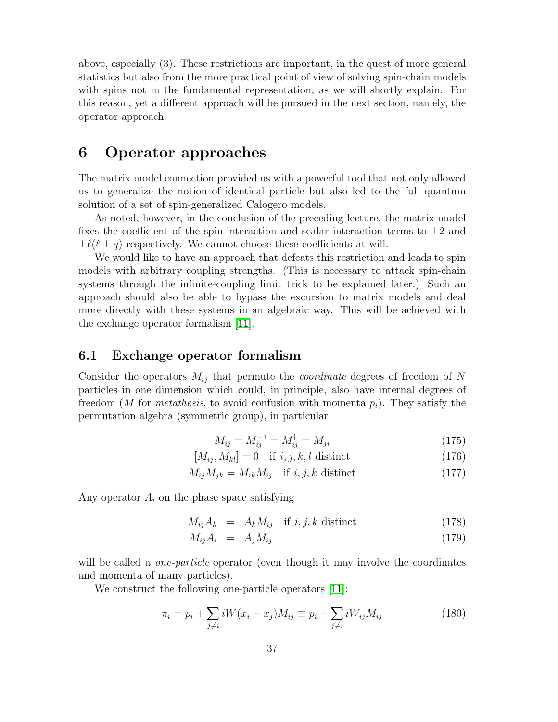above, especially (3). These restrictions are important, in the quest of more general statistics but also from the more practical point of view of solving spin-chain models with spins not in the fundamental representation, as we will shortly explain. For this reason, yet a different approach will be pursued in the next section, namely, the operator approach.

## <span id="page-36-0"></span>6 Operator approaches

The matrix model connection provided us with a powerful tool that not only allowed us to generalize the notion of identical particle but also led to the full quantum solution of a set of spin-generalized Calogero models.

As noted, however, in the conclusion of the preceding lecture, the matrix model fixes the coefficient of the spin-interaction and scalar interaction terms to  $\pm 2$  and  $\pm \ell(\ell \pm q)$  respectively. We cannot choose these coefficients at will.

We would like to have an approach that defeats this restriction and leads to spin models with arbitrary coupling strengths. (This is necessary to attack spin-chain systems through the infinite-coupling limit trick to be explained later.) Such an approach should also be able to bypass the excursion to matrix models and deal more directly with these systems in an algebraic way. This will be achieved with the exchange operator formalism [\[11\]](#page-63-0).

#### <span id="page-36-1"></span>6.1 Exchange operator formalism

Consider the operators  $M_{ij}$  that permute the *coordinate* degrees of freedom of N particles in one dimension which could, in principle, also have internal degrees of freedom (M for *metathesis*, to avoid confusion with momenta  $p_i$ ). They satisfy the permutation algebra (symmetric group), in particular

$$
M_{ij} = M_{ij}^{-1} = M_{ij}^{\dagger} = M_{ji}
$$
\n(175)

$$
[M_{ij}, M_{kl}] = 0 \quad \text{if } i, j, k, l \text{ distinct}
$$
\n
$$
(176)
$$

$$
M_{ij}M_{jk} = M_{ik}M_{ij} \quad \text{if } i, j, k \text{ distinct}
$$
\n(177)

Any operator  $A_i$  on the phase space satisfying

$$
M_{ij}A_k = A_k M_{ij} \quad \text{if } i, j, k \text{ distinct} \tag{178}
$$

$$
M_{ij}A_i = A_j M_{ij} \tag{179}
$$

will be called a *one-particle* operator (even though it may involve the coordinates and momenta of many particles).

We construct the following one-particle operators [\[11\]](#page-63-0):

$$
\pi_i = p_i + \sum_{j \neq i} iW(x_i - x_j)M_{ij} \equiv p_i + \sum_{j \neq i} iW_{ij}M_{ij}
$$
\n(180)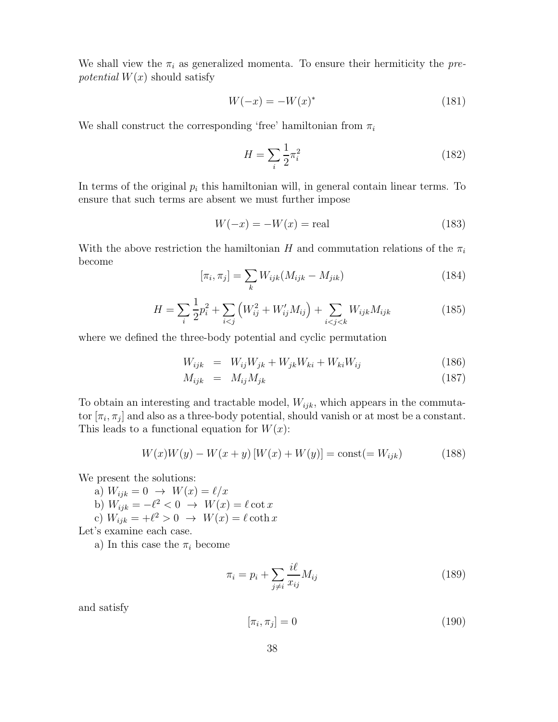We shall view the  $\pi_i$  as generalized momenta. To ensure their hermiticity the prepotential  $W(x)$  should satisfy

$$
W(-x) = -W(x)^*
$$
\n<sup>(181)</sup>

We shall construct the corresponding 'free' hamiltonian from  $\pi_i$ 

$$
H = \sum_{i} \frac{1}{2} \pi_i^2 \tag{182}
$$

In terms of the original  $p_i$  this hamiltonian will, in general contain linear terms. To ensure that such terms are absent we must further impose

$$
W(-x) = -W(x) = \text{real} \tag{183}
$$

With the above restriction the hamiltonian H and commutation relations of the  $\pi_i$ become

$$
[\pi_i, \pi_j] = \sum_k W_{ijk} (M_{ijk} - M_{jik}) \tag{184}
$$

$$
H = \sum_{i} \frac{1}{2} p_i^2 + \sum_{i < j} \left( W_{ij}^2 + W_{ij}' M_{ij} \right) + \sum_{i < j < k} W_{ijk} M_{ijk} \tag{185}
$$

where we defined the three-body potential and cyclic permutation

$$
W_{ijk} = W_{ij}W_{jk} + W_{jk}W_{ki} + W_{ki}W_{ij}
$$
 (186)

$$
M_{ijk} = M_{ij} M_{jk} \tag{187}
$$

To obtain an interesting and tractable model,  $W_{ijk}$ , which appears in the commutator  $[\pi_i, \pi_j]$  and also as a three-body potential, should vanish or at most be a constant. This leads to a functional equation for  $W(x)$ :

$$
W(x)W(y) - W(x + y)[W(x) + W(y)] = \text{const} (= W_{ijk})
$$
\n(188)

We present the solutions:

a)  $W_{ijk} = 0 \rightarrow W(x) = \ell/x$ b)  $W_{ijk} = -\ell^2 < 0 \rightarrow W(x) = \ell \cot x$ c)  $W_{ijk} = +\ell^2 > 0 \rightarrow W(x) = \ell \coth x$ Let's examine each case.

a) In this case the  $\pi_i$  become

$$
\pi_i = p_i + \sum_{j \neq i} \frac{i\ell}{x_{ij}} M_{ij} \tag{189}
$$

and satisfy

$$
[\pi_i, \pi_j] = 0 \tag{190}
$$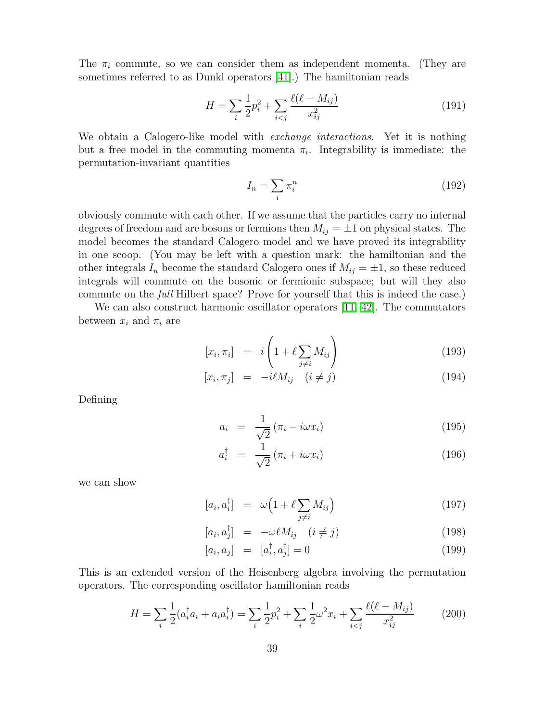The  $\pi_i$  commute, so we can consider them as independent momenta. (They are sometimes referred to as Dunkl operators [\[41\]](#page-64-15).) The hamiltonian reads

$$
H = \sum_{i} \frac{1}{2} p_i^2 + \sum_{i < j} \frac{\ell(\ell - M_{ij})}{x_{ij}^2} \tag{191}
$$

We obtain a Calogero-like model with *exchange interactions*. Yet it is nothing but a free model in the commuting momenta  $\pi_i$ . Integrability is immediate: the permutation-invariant quantities

$$
I_n = \sum_i \pi_i^n \tag{192}
$$

obviously commute with each other. If we assume that the particles carry no internal degrees of freedom and are bosons or fermions then  $M_{ij} = \pm 1$  on physical states. The model becomes the standard Calogero model and we have proved its integrability in one scoop. (You may be left with a question mark: the hamiltonian and the other integrals  $I_n$  become the standard Calogero ones if  $M_{ij} = \pm 1$ , so these reduced integrals will commute on the bosonic or fermionic subspace; but will they also commute on the full Hilbert space? Prove for yourself that this is indeed the case.)

We can also construct harmonic oscillator operators [\[11,](#page-63-0) [42\]](#page-65-0). The commutators between  $x_i$  and  $\pi_i$  are

$$
[x_i, \pi_i] = i \left( 1 + \ell \sum_{j \neq i} M_{ij} \right) \tag{193}
$$

$$
[x_i, \pi_j] = -i\ell M_{ij} \quad (i \neq j)
$$
 (194)

Defining

$$
a_i = \frac{1}{\sqrt{2}} (\pi_i - i\omega x_i) \tag{195}
$$

$$
a_i^{\dagger} = \frac{1}{\sqrt{2}} (\pi_i + i\omega x_i) \tag{196}
$$

we can show

$$
[a_i, a_i^{\dagger}] = \omega \left( 1 + \ell \sum_{j \neq i} M_{ij} \right) \tag{197}
$$

$$
[a_i, a_j^{\dagger}] = -\omega \ell M_{ij} \quad (i \neq j)
$$
 (198)

$$
[a_i, a_j] = [a_i^{\dagger}, a_j^{\dagger}] = 0 \tag{199}
$$

This is an extended version of the Heisenberg algebra involving the permutation operators. The corresponding oscillator hamiltonian reads

$$
H = \sum_{i} \frac{1}{2} (a_i^{\dagger} a_i + a_i a_i^{\dagger}) = \sum_{i} \frac{1}{2} p_i^2 + \sum_{i} \frac{1}{2} \omega^2 x_i + \sum_{i < j} \frac{\ell(\ell - M_{ij})}{x_{ij}^2} \tag{200}
$$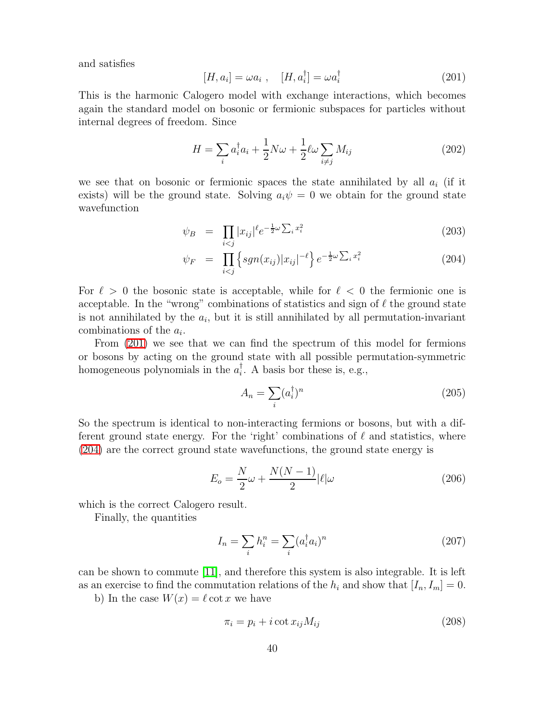<span id="page-39-0"></span>and satisfies

$$
[H, a_i] = \omega a_i , \quad [H, a_i^{\dagger}] = \omega a_i^{\dagger} \tag{201}
$$

This is the harmonic Calogero model with exchange interactions, which becomes again the standard model on bosonic or fermionic subspaces for particles without internal degrees of freedom. Since

$$
H = \sum_{i} a_i^{\dagger} a_i + \frac{1}{2} N \omega + \frac{1}{2} \ell \omega \sum_{i \neq j} M_{ij}
$$
 (202)

<span id="page-39-1"></span>we see that on bosonic or fermionic spaces the state annihilated by all  $a_i$  (if it exists) will be the ground state. Solving  $a_i\psi = 0$  we obtain for the ground state wavefunction

$$
\psi_B = \prod_{i < j} |x_{ij}|^\ell e^{-\frac{1}{2}\omega \sum_i x_i^2} \tag{203}
$$

$$
\psi_F = \prod_{i < j} \left\{ sgn(x_{ij}) |x_{ij}|^{-\ell} \right\} e^{-\frac{1}{2}\omega \sum_i x_i^2} \tag{204}
$$

For  $\ell > 0$  the bosonic state is acceptable, while for  $\ell < 0$  the fermionic one is acceptable. In the "wrong" combinations of statistics and sign of  $\ell$  the ground state is not annihilated by the  $a_i$ , but it is still annihilated by all permutation-invariant combinations of the  $a_i$ .

From [\(201\)](#page-39-0) we see that we can find the spectrum of this model for fermions or bosons by acting on the ground state with all possible permutation-symmetric homogeneous polynomials in the  $a_i^{\dagger}$  $\left[ \cdot \right]$ . A basis bor these is, e.g.,

$$
A_n = \sum_i (a_i^\dagger)^n \tag{205}
$$

So the spectrum is identical to non-interacting fermions or bosons, but with a different ground state energy. For the 'right' combinations of  $\ell$  and statistics, where [\(204\)](#page-39-1) are the correct ground state wavefunctions, the ground state energy is

$$
E_o = \frac{N}{2}\omega + \frac{N(N-1)}{2}|\ell|\omega
$$
\n(206)

which is the correct Calogero result.

Finally, the quantities

$$
I_n = \sum_i h_i^n = \sum_i (a_i^\dagger a_i)^n \tag{207}
$$

can be shown to commute [\[11\]](#page-63-0), and therefore this system is also integrable. It is left as an exercise to find the commutation relations of the  $h_i$  and show that  $[I_n, I_m] = 0$ .

b) In the case  $W(x) = \ell \cot x$  we have

$$
\pi_i = p_i + i \cot x_{ij} M_{ij} \tag{208}
$$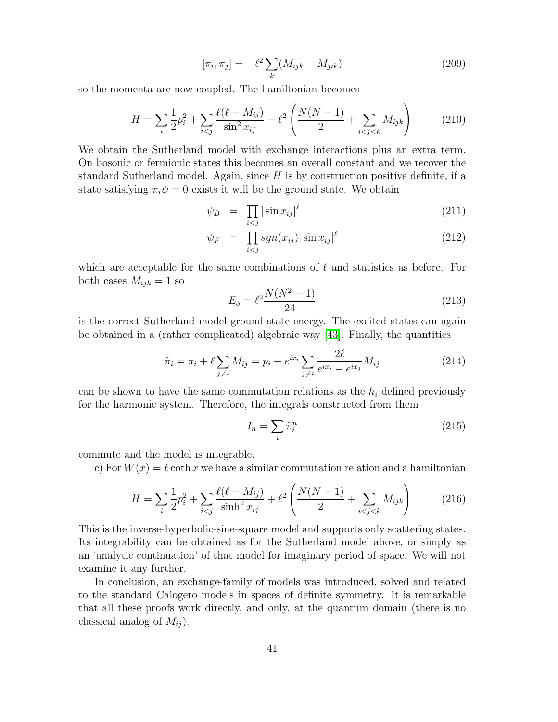$$
[\pi_i, \pi_j] = -\ell^2 \sum_k (M_{ijk} - M_{jik})
$$
\n(209)

so the momenta are now coupled. The hamiltonian becomes

$$
H = \sum_{i} \frac{1}{2} p_i^2 + \sum_{i < j} \frac{\ell(\ell - M_{ij})}{\sin^2 x_{ij}} - \ell^2 \left( \frac{N(N-1)}{2} + \sum_{i < j < k} M_{ijk} \right) \tag{210}
$$

We obtain the Sutherland model with exchange interactions plus an extra term. On bosonic or fermionic states this becomes an overall constant and we recover the standard Sutherland model. Again, since  $H$  is by construction positive definite, if a state satisfying  $\pi_i \psi = 0$  exists it will be the ground state. We obtain

$$
\psi_B = \prod_{i < j} |\sin x_{ij}|^\ell \tag{211}
$$

$$
\psi_F = \prod_{i < j} sgn(x_{ij}) |\sin x_{ij}|^\ell \tag{212}
$$

which are acceptable for the same combinations of  $\ell$  and statistics as before. For both cases  $M_{ijk} = 1$  so

$$
E_o = \ell^2 \frac{N(N^2 - 1)}{24} \tag{213}
$$

is the correct Sutherland model ground state energy. The excited states can again be obtained in a (rather complicated) algebraic way [\[43\]](#page-65-1). Finally, the quantities

$$
\tilde{\pi}_i = \pi_i + \ell \sum_{j \neq i} M_{ij} = p_i + e^{ix_i} \sum_{j \neq i} \frac{2\ell}{e^{ix_i} - e^{ix_j}} M_{ij}
$$
\n(214)

can be shown to have the same commutation relations as the  $h_i$  defined previously for the harmonic system. Therefore, the integrals constructed from them

$$
I_n = \sum_i \tilde{\pi}_i^n \tag{215}
$$

commute and the model is integrable.

c) For  $W(x) = \ell \coth x$  we have a similar commutation relation and a hamiltonian

$$
H = \sum_{i} \frac{1}{2} p_i^2 + \sum_{i < j} \frac{\ell(\ell - M_{ij})}{\sinh^2 x_{ij}} + \ell^2 \left( \frac{N(N-1)}{2} + \sum_{i < j < k} M_{ijk} \right) \tag{216}
$$

This is the inverse-hyperbolic-sine-square model and supports only scattering states. Its integrability can be obtained as for the Sutherland model above, or simply as an 'analytic continuation' of that model for imaginary period of space. We will not examine it any further.

In conclusion, an exchange-family of models was introduced, solved and related to the standard Calogero models in spaces of definite symmetry. It is remarkable that all these proofs work directly, and only, at the quantum domain (there is no classical analog of  $M_{ij}$ ).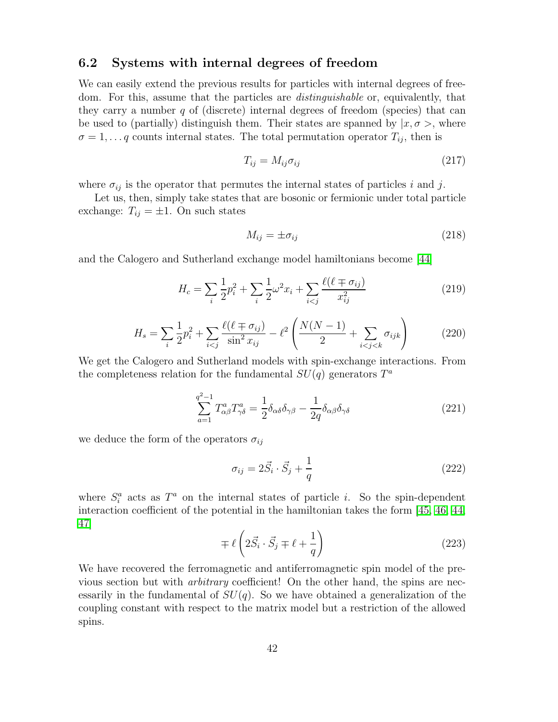#### <span id="page-41-0"></span>6.2 Systems with internal degrees of freedom

We can easily extend the previous results for particles with internal degrees of freedom. For this, assume that the particles are *distinguishable* or, equivalently, that they carry a number  $q$  of (discrete) internal degrees of freedom (species) that can be used to (partially) distinguish them. Their states are spanned by  $|x, \sigma \rangle$ , where  $\sigma = 1, \ldots q$  counts internal states. The total permutation operator  $T_{ij}$ , then is

$$
T_{ij} = M_{ij}\sigma_{ij} \tag{217}
$$

where  $\sigma_{ij}$  is the operator that permutes the internal states of particles i and j.

Let us, then, simply take states that are bosonic or fermionic under total particle exchange:  $T_{ij} = \pm 1$ . On such states

$$
M_{ij} = \pm \sigma_{ij} \tag{218}
$$

and the Calogero and Sutherland exchange model hamiltonians become [\[44\]](#page-65-2)

$$
H_c = \sum_{i} \frac{1}{2} p_i^2 + \sum_{i} \frac{1}{2} \omega^2 x_i + \sum_{i < j} \frac{\ell(\ell \mp \sigma_{ij})}{x_{ij}^2} \tag{219}
$$

$$
H_s = \sum_{i} \frac{1}{2} p_i^2 + \sum_{i < j} \frac{\ell(\ell \mp \sigma_{ij})}{\sin^2 x_{ij}} - \ell^2 \left( \frac{N(N-1)}{2} + \sum_{i < j < k} \sigma_{ijk} \right) \tag{220}
$$

We get the Calogero and Sutherland models with spin-exchange interactions. From the completeness relation for the fundamental  $SU(q)$  generators  $T^a$ 

$$
\sum_{a=1}^{q^2-1} T^a_{\alpha\beta} T^a_{\gamma\delta} = \frac{1}{2} \delta_{\alpha\delta} \delta_{\gamma\beta} - \frac{1}{2q} \delta_{\alpha\beta} \delta_{\gamma\delta} \tag{221}
$$

we deduce the form of the operators  $\sigma_{ij}$ 

$$
\sigma_{ij} = 2\vec{S}_i \cdot \vec{S}_j + \frac{1}{q} \tag{222}
$$

where  $S_i^a$  acts as  $T^a$  on the internal states of particle *i*. So the spin-dependent interaction coefficient of the potential in the hamiltonian takes the form [\[45,](#page-65-3) [46,](#page-65-4) [44,](#page-65-2) [47\]](#page-65-5)

$$
\mp \ell \left( 2\vec{S}_i \cdot \vec{S}_j \mp \ell + \frac{1}{q} \right) \tag{223}
$$

We have recovered the ferromagnetic and antiferromagnetic spin model of the previous section but with arbitrary coefficient! On the other hand, the spins are necessarily in the fundamental of  $SU(q)$ . So we have obtained a generalization of the coupling constant with respect to the matrix model but a restriction of the allowed spins.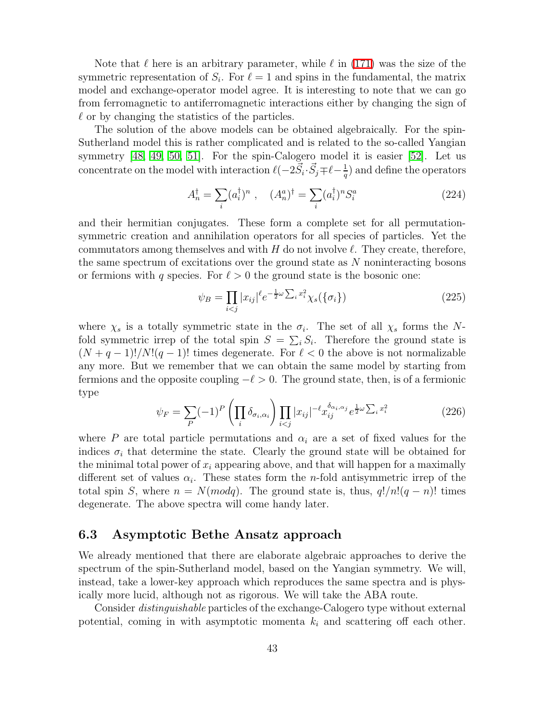Note that  $\ell$  here is an arbitrary parameter, while  $\ell$  in [\(171\)](#page-33-2) was the size of the symmetric representation of  $S_i$ . For  $\ell = 1$  and spins in the fundamental, the matrix model and exchange-operator model agree. It is interesting to note that we can go from ferromagnetic to antiferromagnetic interactions either by changing the sign of  $\ell$  or by changing the statistics of the particles.

The solution of the above models can be obtained algebraically. For the spin-Sutherland model this is rather complicated and is related to the so-called Yangian symmetry [\[48,](#page-65-6) [49,](#page-65-7) [50,](#page-65-8) [51\]](#page-65-9). For the spin-Calogero model it is easier [\[52\]](#page-65-10). Let us concentrate on the model with interaction  $\ell(-2\vec{S}_i \cdot \vec{S}_j \mp \ell - \frac{1}{q})$  $\frac{1}{q}$ ) and define the operators

$$
A_n^{\dagger} = \sum_i (a_i^{\dagger})^n , \quad (A_n^a)^{\dagger} = \sum_i (a_i^{\dagger})^n S_i^a
$$
 (224)

and their hermitian conjugates. These form a complete set for all permutationsymmetric creation and annihilation operators for all species of particles. Yet the commutators among themselves and with H do not involve  $\ell$ . They create, therefore, the same spectrum of excitations over the ground state as N noninteracting bosons or fermions with q species. For  $\ell > 0$  the ground state is the bosonic one:

$$
\psi_B = \prod_{i < j} |x_{ij}|^\ell e^{-\frac{1}{2}\omega \sum_i x_i^2} \chi_s(\{\sigma_i\}) \tag{225}
$$

where  $\chi_s$  is a totally symmetric state in the  $\sigma_i$ . The set of all  $\chi_s$  forms the Nfold symmetric irrep of the total spin  $S = \sum_i S_i$ . Therefore the ground state is  $(N + q - 1)!/N!(q - 1)!$  times degenerate. For  $\ell < 0$  the above is not normalizable any more. But we remember that we can obtain the same model by starting from fermions and the opposite coupling  $-\ell > 0$ . The ground state, then, is of a fermionic type

$$
\psi_F = \sum_P (-1)^P \left( \prod_i \delta_{\sigma_i, \alpha_i} \right) \prod_{i < j} |x_{ij}|^{-\ell} x_{ij}^{\delta_{\alpha_i, \alpha_j}} e^{\frac{1}{2}\omega \sum_i x_i^2} \tag{226}
$$

where P are total particle permutations and  $\alpha_i$  are a set of fixed values for the indices  $\sigma_i$  that determine the state. Clearly the ground state will be obtained for the minimal total power of  $x_i$  appearing above, and that will happen for a maximally different set of values  $\alpha_i$ . These states form the *n*-fold antisymmetric irrep of the total spin S, where  $n = N(modq)$ . The ground state is, thus,  $q!/n!(q-n)!$  times degenerate. The above spectra will come handy later.

#### <span id="page-42-0"></span>6.3 Asymptotic Bethe Ansatz approach

We already mentioned that there are elaborate algebraic approaches to derive the spectrum of the spin-Sutherland model, based on the Yangian symmetry. We will, instead, take a lower-key approach which reproduces the same spectra and is physically more lucid, although not as rigorous. We will take the ABA route.

Consider distinguishable particles of the exchange-Calogero type without external potential, coming in with asymptotic momenta  $k_i$  and scattering off each other.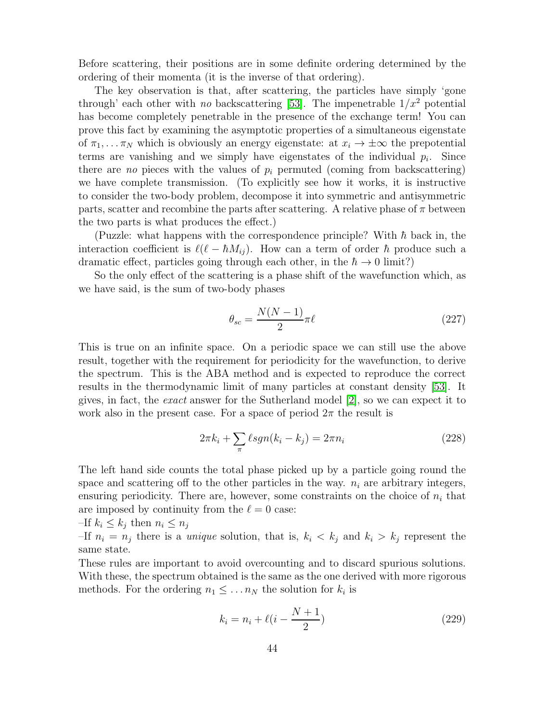Before scattering, their positions are in some definite ordering determined by the ordering of their momenta (it is the inverse of that ordering).

The key observation is that, after scattering, the particles have simply 'gone through' each other with no backscattering [\[53\]](#page-65-11). The impenetrable  $1/x^2$  potential has become completely penetrable in the presence of the exchange term! You can prove this fact by examining the asymptotic properties of a simultaneous eigenstate of  $\pi_1, \ldots, \pi_N$  which is obviously an energy eigenstate: at  $x_i \to \pm \infty$  the prepotential terms are vanishing and we simply have eigenstates of the individual  $p_i$ . Since there are no pieces with the values of  $p_i$  permuted (coming from backscattering) we have complete transmission. (To explicitly see how it works, it is instructive to consider the two-body problem, decompose it into symmetric and antisymmetric parts, scatter and recombine the parts after scattering. A relative phase of  $\pi$  between the two parts is what produces the effect.)

(Puzzle: what happens with the correspondence principle? With  $\hbar$  back in, the interaction coefficient is  $\ell(\ell - \hbar M_{ij})$ . How can a term of order  $\hbar$  produce such a dramatic effect, particles going through each other, in the  $\hbar \to 0$  limit?)

So the only effect of the scattering is a phase shift of the wavefunction which, as we have said, is the sum of two-body phases

$$
\theta_{sc} = \frac{N(N-1)}{2}\pi\ell\tag{227}
$$

This is true on an infinite space. On a periodic space we can still use the above result, together with the requirement for periodicity for the wavefunction, to derive the spectrum. This is the ABA method and is expected to reproduce the correct results in the thermodynamic limit of many particles at constant density [\[53\]](#page-65-11). It gives, in fact, the exact answer for the Sutherland model [\[2\]](#page-62-2), so we can expect it to work also in the present case. For a space of period  $2\pi$  the result is

$$
2\pi k_i + \sum_{\pi} \ell sgn(k_i - k_j) = 2\pi n_i \tag{228}
$$

The left hand side counts the total phase picked up by a particle going round the space and scattering off to the other particles in the way.  $n_i$  are arbitrary integers, ensuring periodicity. There are, however, some constraints on the choice of  $n_i$  that are imposed by continuity from the  $\ell = 0$  case:

 $-If \; k_i \leq k_j \; \text{then} \; n_i \leq n_j$ 

–If  $n_i = n_j$  there is a *unique* solution, that is,  $k_i < k_j$  and  $k_i > k_j$  represent the same state.

These rules are important to avoid overcounting and to discard spurious solutions. With these, the spectrum obtained is the same as the one derived with more rigorous methods. For the ordering  $n_1 \leq \ldots n_N$  the solution for  $k_i$  is

<span id="page-43-0"></span>
$$
k_i = n_i + \ell(i - \frac{N+1}{2})
$$
\n(229)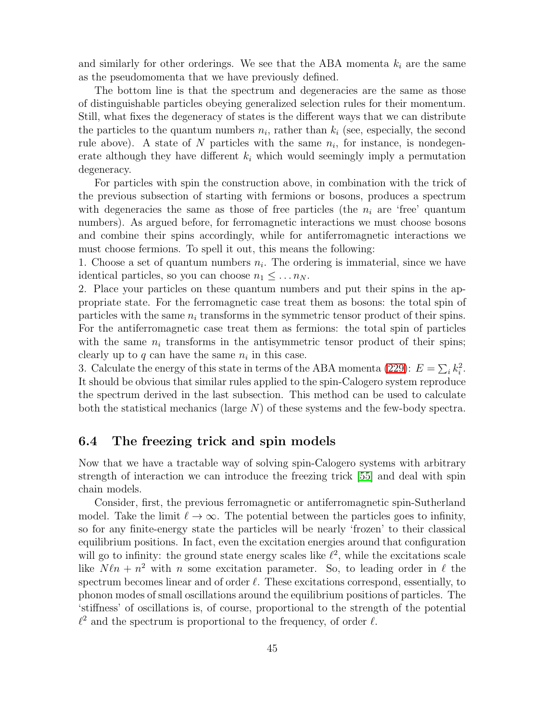and similarly for other orderings. We see that the ABA momenta  $k_i$  are the same as the pseudomomenta that we have previously defined.

The bottom line is that the spectrum and degeneracies are the same as those of distinguishable particles obeying generalized selection rules for their momentum. Still, what fixes the degeneracy of states is the different ways that we can distribute the particles to the quantum numbers  $n_i$ , rather than  $k_i$  (see, especially, the second rule above). A state of N particles with the same  $n_i$ , for instance, is nondegenerate although they have different  $k_i$  which would seemingly imply a permutation degeneracy.

For particles with spin the construction above, in combination with the trick of the previous subsection of starting with fermions or bosons, produces a spectrum with degeneracies the same as those of free particles (the  $n_i$  are 'free' quantum numbers). As argued before, for ferromagnetic interactions we must choose bosons and combine their spins accordingly, while for antiferromagnetic interactions we must choose fermions. To spell it out, this means the following:

1. Choose a set of quantum numbers  $n_i$ . The ordering is immaterial, since we have identical particles, so you can choose  $n_1 \leq \ldots n_N$ .

2. Place your particles on these quantum numbers and put their spins in the appropriate state. For the ferromagnetic case treat them as bosons: the total spin of particles with the same  $n_i$  transforms in the symmetric tensor product of their spins. For the antiferromagnetic case treat them as fermions: the total spin of particles with the same  $n_i$  transforms in the antisymmetric tensor product of their spins; clearly up to  $q$  can have the same  $n_i$  in this case.

3. Calculate the energy of this state in terms of the ABA momenta [\(229\)](#page-43-0):  $E = \sum_i k_i^2$ . It should be obvious that similar rules applied to the spin-Calogero system reproduce the spectrum derived in the last subsection. This method can be used to calculate both the statistical mechanics (large  $N$ ) of these systems and the few-body spectra.

#### <span id="page-44-0"></span>6.4 The freezing trick and spin models

Now that we have a tractable way of solving spin-Calogero systems with arbitrary strength of interaction we can introduce the freezing trick [\[55\]](#page-65-12) and deal with spin chain models.

Consider, first, the previous ferromagnetic or antiferromagnetic spin-Sutherland model. Take the limit  $\ell \to \infty$ . The potential between the particles goes to infinity, so for any finite-energy state the particles will be nearly 'frozen' to their classical equilibrium positions. In fact, even the excitation energies around that configuration will go to infinity: the ground state energy scales like  $\ell^2$ , while the excitations scale like  $N\ell n + n^2$  with n some excitation parameter. So, to leading order in  $\ell$  the spectrum becomes linear and of order  $\ell$ . These excitations correspond, essentially, to phonon modes of small oscillations around the equilibrium positions of particles. The 'stiffness' of oscillations is, of course, proportional to the strength of the potential  $\ell^2$  and the spectrum is proportional to the frequency, of order  $\ell$ .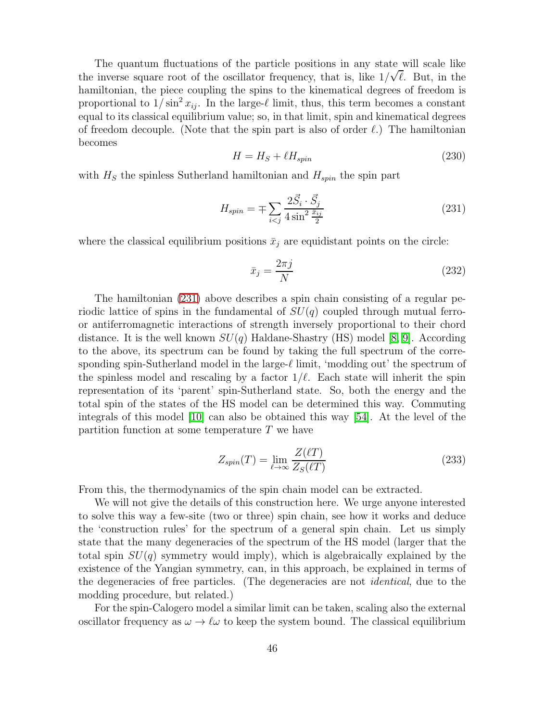The quantum fluctuations of the particle positions in any state will scale like the inverse square root of the oscillator frequency, that is, like  $1/\sqrt{\ell}$ . But, in the hamiltonian, the piece coupling the spins to the kinematical degrees of freedom is proportional to  $1/\sin^2 x_{ij}$ . In the large- $\ell$  limit, thus, this term becomes a constant equal to its classical equilibrium value; so, in that limit, spin and kinematical degrees of freedom decouple. (Note that the spin part is also of order  $\ell$ .) The hamiltonian becomes

$$
H = H_S + \ell H_{spin} \tag{230}
$$

with  $H<sub>S</sub>$  the spinless Sutherland hamiltonian and  $H<sub>spin</sub>$  the spin part

<span id="page-45-0"></span>
$$
H_{spin} = \mp \sum_{i < j} \frac{2\vec{S}_i \cdot \vec{S}_j}{4\sin^2 \frac{\bar{x}_{ij}}{2}}\tag{231}
$$

where the classical equilibrium positions  $\bar{x}_j$  are equidistant points on the circle:

$$
\bar{x}_j = \frac{2\pi j}{N} \tag{232}
$$

The hamiltonian [\(231\)](#page-45-0) above describes a spin chain consisting of a regular periodic lattice of spins in the fundamental of  $SU(q)$  coupled through mutual ferroor antiferromagnetic interactions of strength inversely proportional to their chord distance. It is the well known  $SU(q)$  Haldane-Shastry (HS) model [\[8,](#page-63-17) [9\]](#page-63-18). According to the above, its spectrum can be found by taking the full spectrum of the corresponding spin-Sutherland model in the large- $\ell$  limit, 'modding out' the spectrum of the spinless model and rescaling by a factor  $1/\ell$ . Each state will inherit the spin representation of its 'parent' spin-Sutherland state. So, both the energy and the total spin of the states of the HS model can be determined this way. Commuting integrals of this model [\[10\]](#page-63-19) can also be obtained this way [\[54\]](#page-65-13). At the level of the partition function at some temperature  $T$  we have

$$
Z_{spin}(T) = \lim_{\ell \to \infty} \frac{Z(\ell T)}{Z_S(\ell T)}
$$
\n(233)

From this, the thermodynamics of the spin chain model can be extracted.

We will not give the details of this construction here. We urge anyone interested to solve this way a few-site (two or three) spin chain, see how it works and deduce the 'construction rules' for the spectrum of a general spin chain. Let us simply state that the many degeneracies of the spectrum of the HS model (larger that the total spin  $SU(q)$  symmetry would imply), which is algebraically explained by the existence of the Yangian symmetry, can, in this approach, be explained in terms of the degeneracies of free particles. (The degeneracies are not identical, due to the modding procedure, but related.)

For the spin-Calogero model a similar limit can be taken, scaling also the external oscillator frequency as  $\omega \to \ell \omega$  to keep the system bound. The classical equilibrium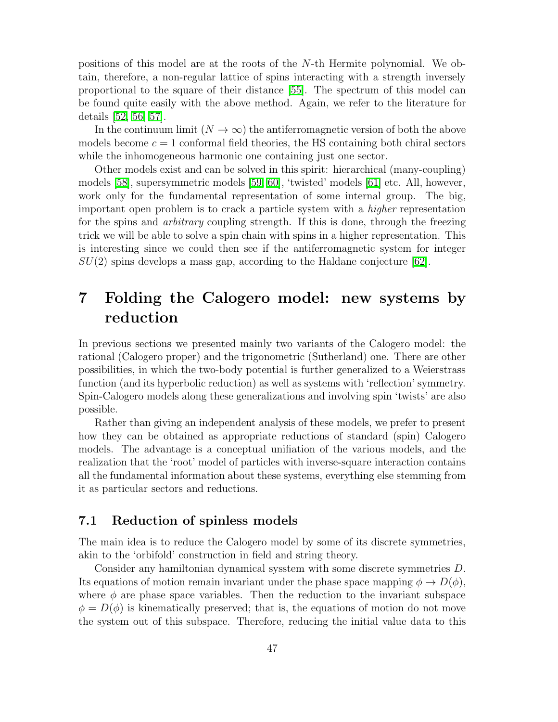positions of this model are at the roots of the N-th Hermite polynomial. We obtain, therefore, a non-regular lattice of spins interacting with a strength inversely proportional to the square of their distance [\[55\]](#page-65-12). The spectrum of this model can be found quite easily with the above method. Again, we refer to the literature for details [\[52,](#page-65-10) [56,](#page-65-14) [57\]](#page-65-15).

In the continuum limit  $(N \to \infty)$  the antiferromagnetic version of both the above models become  $c = 1$  conformal field theories, the HS containing both chiral sectors while the inhomogeneous harmonic one containing just one sector.

Other models exist and can be solved in this spirit: hierarchical (many-coupling) models [\[58\]](#page-65-16), supersymmetric models [\[59,](#page-65-17) [60\]](#page-65-18), 'twisted' models [\[61\]](#page-65-19) etc. All, however, work only for the fundamental representation of some internal group. The big, important open problem is to crack a particle system with a higher representation for the spins and arbitrary coupling strength. If this is done, through the freezing trick we will be able to solve a spin chain with spins in a higher representation. This is interesting since we could then see if the antiferromagnetic system for integer  $SU(2)$  spins develops a mass gap, according to the Haldane conjecture [\[62\]](#page-65-20).

## <span id="page-46-0"></span>7 Folding the Calogero model: new systems by reduction

In previous sections we presented mainly two variants of the Calogero model: the rational (Calogero proper) and the trigonometric (Sutherland) one. There are other possibilities, in which the two-body potential is further generalized to a Weierstrass function (and its hyperbolic reduction) as well as systems with 'reflection' symmetry. Spin-Calogero models along these generalizations and involving spin 'twists' are also possible.

Rather than giving an independent analysis of these models, we prefer to present how they can be obtained as appropriate reductions of standard (spin) Calogero models. The advantage is a conceptual unifiation of the various models, and the realization that the 'root' model of particles with inverse-square interaction contains all the fundamental information about these systems, everything else stemming from it as particular sectors and reductions.

#### <span id="page-46-1"></span>7.1 Reduction of spinless models

The main idea is to reduce the Calogero model by some of its discrete symmetries, akin to the 'orbifold' construction in field and string theory.

Consider any hamiltonian dynamical sysstem with some discrete symmetries D. Its equations of motion remain invariant under the phase space mapping  $\phi \to D(\phi)$ , where  $\phi$  are phase space variables. Then the reduction to the invariant subspace  $\phi = D(\phi)$  is kinematically preserved; that is, the equations of motion do not move the system out of this subspace. Therefore, reducing the initial value data to this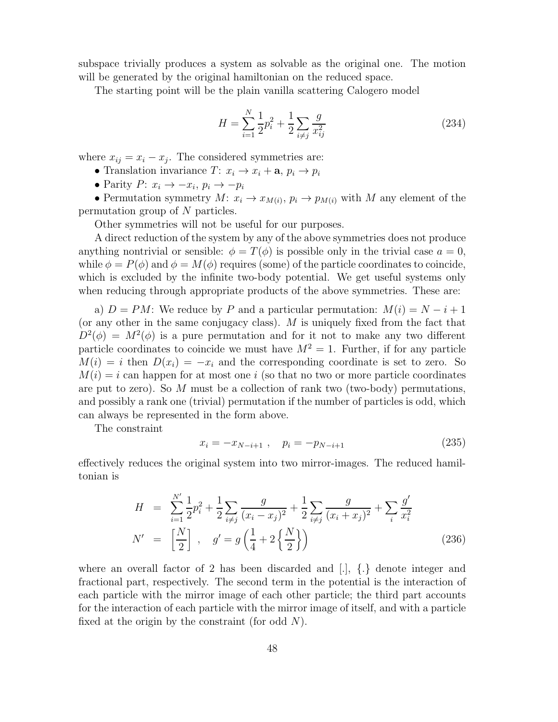subspace trivially produces a system as solvable as the original one. The motion will be generated by the original hamiltonian on the reduced space.

The starting point will be the plain vanilla scattering Calogero model

$$
H = \sum_{i=1}^{N} \frac{1}{2} p_i^2 + \frac{1}{2} \sum_{i \neq j} \frac{g}{x_{ij}^2}
$$
 (234)

where  $x_{ij} = x_i - x_j$ . The considered symmetries are:

- Translation invariance  $T: x_i \to x_i + \mathbf{a}, p_i \to p_i$
- Parity  $P: x_i \to -x_i, p_i \to -p_i$

• Permutation symmetry  $M: x_i \to x_{M(i)}, p_i \to p_{M(i)}$  with M any element of the permutation group of N particles.

Other symmetries will not be useful for our purposes.

A direct reduction of the system by any of the above symmetries does not produce anything nontrivial or sensible:  $\phi = T(\phi)$  is possible only in the trivial case  $a = 0$ , while  $\phi = P(\phi)$  and  $\phi = M(\phi)$  requires (some) of the particle coordinates to coincide, which is excluded by the infinite two-body potential. We get useful systems only when reducing through appropriate products of the above symmetries. These are:

a)  $D = PM$ : We reduce by P and a particular permutation:  $M(i) = N - i + 1$ (or any other in the same conjugacy class).  $M$  is uniquely fixed from the fact that  $D^2(\phi) = M^2(\phi)$  is a pure permutation and for it not to make any two different particle coordinates to coincide we must have  $M^2 = 1$ . Further, if for any particle  $M(i) = i$  then  $D(x_i) = -x_i$  and the corresponding coordinate is set to zero. So  $M(i) = i$  can happen for at most one i (so that no two or more particle coordinates are put to zero). So  $M$  must be a collection of rank two (two-body) permutations, and possibly a rank one (trivial) permutation if the number of particles is odd, which can always be represented in the form above.

The constraint

$$
x_i = -x_{N-i+1} \ , \quad p_i = -p_{N-i+1} \tag{235}
$$

effectively reduces the original system into two mirror-images. The reduced hamiltonian is

$$
H = \sum_{i=1}^{N'} \frac{1}{2} p_i^2 + \frac{1}{2} \sum_{i \neq j} \frac{g}{(x_i - x_j)^2} + \frac{1}{2} \sum_{i \neq j} \frac{g}{(x_i + x_j)^2} + \sum_{i} \frac{g'}{x_i^2}
$$
  
\n
$$
N' = \left[\frac{N}{2}\right], \quad g' = g\left(\frac{1}{4} + 2\left\{\frac{N}{2}\right\}\right)
$$
\n(236)

where an overall factor of 2 has been discarded and [.], {.} denote integer and fractional part, respectively. The second term in the potential is the interaction of each particle with the mirror image of each other particle; the third part accounts for the interaction of each particle with the mirror image of itself, and with a particle fixed at the origin by the constraint (for odd  $N$ ).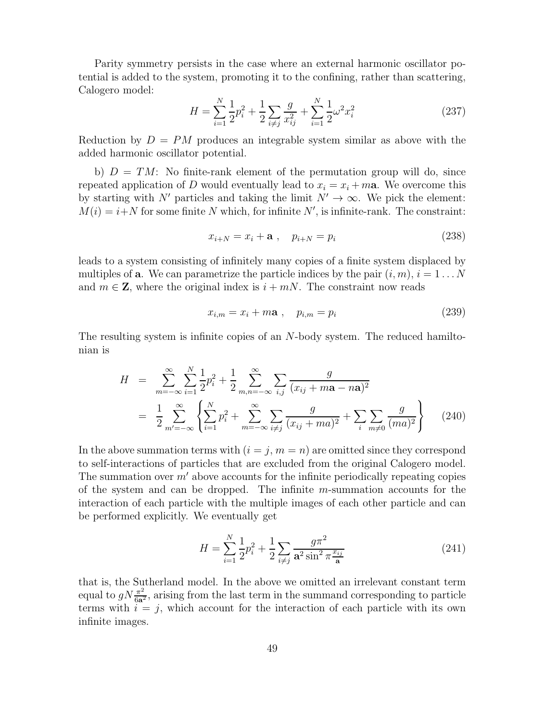Parity symmetry persists in the case where an external harmonic oscillator potential is added to the system, promoting it to the confining, rather than scattering, Calogero model:

$$
H = \sum_{i=1}^{N} \frac{1}{2} p_i^2 + \frac{1}{2} \sum_{i \neq j} \frac{g}{x_{ij}^2} + \sum_{i=1}^{N} \frac{1}{2} \omega^2 x_i^2
$$
 (237)

Reduction by  $D = PM$  produces an integrable system similar as above with the added harmonic oscillator potential.

b)  $D = TM$ : No finite-rank element of the permutation group will do, since repeated application of D would eventually lead to  $x_i = x_i + m$ **a**. We overcome this by starting with N' particles and taking the limit  $N' \to \infty$ . We pick the element:  $M(i) = i + N$  for some finite N which, for infinite N', is infinite-rank. The constraint:

$$
x_{i+N} = x_i + \mathbf{a} \ , \quad p_{i+N} = p_i \tag{238}
$$

leads to a system consisting of infinitely many copies of a finite system displaced by multiples of **a**. We can parametrize the particle indices by the pair  $(i, m)$ ,  $i = 1...N$ and  $m \in \mathbb{Z}$ , where the original index is  $i + mN$ . The constraint now reads

<span id="page-48-0"></span>
$$
x_{i,m} = x_i + m\mathbf{a} \ , \quad p_{i,m} = p_i \tag{239}
$$

The resulting system is infinite copies of an N-body system. The reduced hamiltonian is

$$
H = \sum_{m=-\infty}^{\infty} \sum_{i=1}^{N} \frac{1}{2} p_i^2 + \frac{1}{2} \sum_{m,n=-\infty}^{\infty} \sum_{i,j} \frac{g}{(x_{ij} + m\mathbf{a} - n\mathbf{a})^2}
$$
  
= 
$$
\frac{1}{2} \sum_{m'=-\infty}^{\infty} \left\{ \sum_{i=1}^{N} p_i^2 + \sum_{m=-\infty}^{\infty} \sum_{i \neq j} \frac{g}{(x_{ij} + m a)^2} + \sum_{i} \sum_{m \neq 0} \frac{g}{(m a)^2} \right\}
$$
(240)

In the above summation terms with  $(i = j, m = n)$  are omitted since they correspond to self-interactions of particles that are excluded from the original Calogero model. The summation over  $m'$  above accounts for the infinite periodically repeating copies of the system and can be dropped. The infinite m-summation accounts for the interaction of each particle with the multiple images of each other particle and can be performed explicitly. We eventually get

$$
H = \sum_{i=1}^{N} \frac{1}{2} p_i^2 + \frac{1}{2} \sum_{i \neq j} \frac{g \pi^2}{\mathbf{a}^2 \sin^2 \pi \frac{x_{ij}}{\mathbf{a}}} \tag{241}
$$

that is, the Sutherland model. In the above we omitted an irrelevant constant term equal to  $gN\frac{\pi^2}{6a^2}$ , arising from the last term in the summand corresponding to particle terms with  $i = j$ , which account for the interaction of each particle with its own infinite images.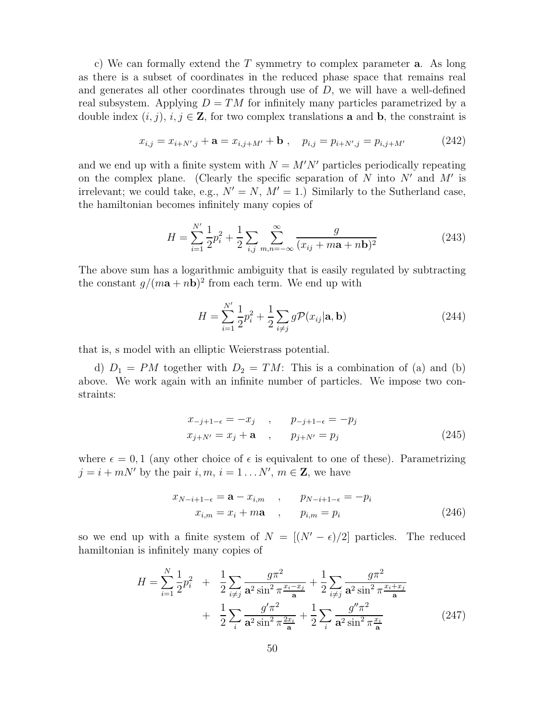c) We can formally extend the  $T$  symmetry to complex parameter **a**. As long as there is a subset of coordinates in the reduced phase space that remains real and generates all other coordinates through use of  $D$ , we will have a well-defined real subsystem. Applying  $D = TM$  for infinitely many particles parametrized by a double index  $(i, j)$ ,  $i, j \in \mathbb{Z}$ , for two complex translations **a** and **b**, the constraint is

$$
x_{i,j} = x_{i+N',j} + \mathbf{a} = x_{i,j+M'} + \mathbf{b} , \quad p_{i,j} = p_{i+N',j} = p_{i,j+M'} \tag{242}
$$

and we end up with a finite system with  $N = M'N'$  particles periodically repeating on the complex plane. (Clearly the specific separation of  $N$  into  $N'$  and  $M'$  is irrelevant; we could take, e.g.,  $N' = N$ ,  $M' = 1$ .) Similarly to the Sutherland case, the hamiltonian becomes infinitely many copies of

$$
H = \sum_{i=1}^{N'} \frac{1}{2} p_i^2 + \frac{1}{2} \sum_{i,j} \sum_{m,n=-\infty}^{\infty} \frac{g}{(x_{ij} + m\mathbf{a} + n\mathbf{b})^2}
$$
(243)

The above sum has a logarithmic ambiguity that is easily regulated by subtracting the constant  $g/(m\mathbf{a}+n\mathbf{b})^2$  from each term. We end up with

$$
H = \sum_{i=1}^{N'} \frac{1}{2} p_i^2 + \frac{1}{2} \sum_{i \neq j} g \mathcal{P}(x_{ij} | \mathbf{a}, \mathbf{b})
$$
(244)

that is, s model with an elliptic Weierstrass potential.

d)  $D_1 = PM$  together with  $D_2 = TM$ : This is a combination of (a) and (b) above. We work again with an infinite number of particles. We impose two constraints:

$$
x_{-j+1-\epsilon} = -x_j , \t p_{-j+1-\epsilon} = -p_j \n x_{j+N'} = x_j + \mathbf{a} , \t p_{j+N'} = p_j
$$
\n(245)

where  $\epsilon = 0, 1$  (any other choice of  $\epsilon$  is equivalent to one of these). Parametrizing  $j = i + mN'$  by the pair  $i, m, i = 1...N'$ ,  $m \in \mathbf{Z}$ , we have

$$
x_{N-i+1-\epsilon} = \mathbf{a} - x_{i,m} \qquad , \qquad p_{N-i+1-\epsilon} = -p_i
$$
  

$$
x_{i,m} = x_i + m\mathbf{a} \qquad , \qquad p_{i,m} = p_i \qquad (246)
$$

so we end up with a finite system of  $N = [(N' - \epsilon)/2]$  particles. The reduced hamiltonian is infinitely many copies of

$$
H = \sum_{i=1}^{N} \frac{1}{2} p_i^2 + \frac{1}{2} \sum_{i \neq j} \frac{g \pi^2}{\mathbf{a}^2 \sin^2 \pi \frac{x_i - x_j}{\mathbf{a}}} + \frac{1}{2} \sum_{i \neq j} \frac{g \pi^2}{\mathbf{a}^2 \sin^2 \pi \frac{x_i + x_j}{\mathbf{a}}}
$$
  
+ 
$$
\frac{1}{2} \sum_{i} \frac{g' \pi^2}{\mathbf{a}^2 \sin^2 \pi \frac{2x_i}{\mathbf{a}}} + \frac{1}{2} \sum_{i} \frac{g'' \pi^2}{\mathbf{a}^2 \sin^2 \pi \frac{x_i}{\mathbf{a}}}
$$
(247)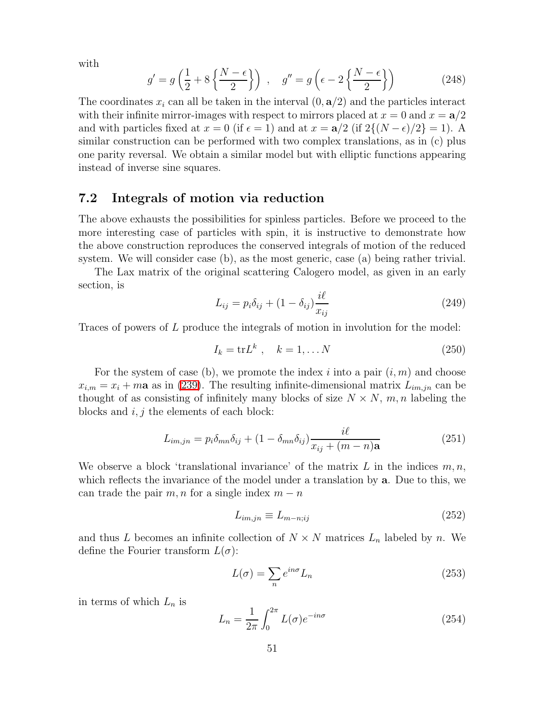with

$$
g' = g\left(\frac{1}{2} + 8\left\{\frac{N-\epsilon}{2}\right\}\right) , \quad g'' = g\left(\epsilon - 2\left\{\frac{N-\epsilon}{2}\right\}\right)
$$
 (248)

The coordinates  $x_i$  can all be taken in the interval  $(0, \mathbf{a}/2)$  and the particles interact with their infinite mirror-images with respect to mirrors placed at  $x = 0$  and  $x = a/2$ and with particles fixed at  $x = 0$  (if  $\epsilon = 1$ ) and at  $x = a/2$  (if  $2\{(N - \epsilon)/2\} = 1$ ). A similar construction can be performed with two complex translations, as in (c) plus one parity reversal. We obtain a similar model but with elliptic functions appearing instead of inverse sine squares.

#### <span id="page-50-0"></span>7.2 Integrals of motion via reduction

The above exhausts the possibilities for spinless particles. Before we proceed to the more interesting case of particles with spin, it is instructive to demonstrate how the above construction reproduces the conserved integrals of motion of the reduced system. We will consider case (b), as the most generic, case (a) being rather trivial.

The Lax matrix of the original scattering Calogero model, as given in an early section, is

$$
L_{ij} = p_i \delta_{ij} + (1 - \delta_{ij}) \frac{i\ell}{x_{ij}} \tag{249}
$$

Traces of powers of L produce the integrals of motion in involution for the model:

$$
I_k = \text{tr}L^k \ , \quad k = 1, \dots N \tag{250}
$$

For the system of case (b), we promote the index i into a pair  $(i, m)$  and choose  $x_{i,m} = x_i + m$  as in [\(239\)](#page-48-0). The resulting infinite-dimensional matrix  $L_{im,jn}$  can be thought of as consisting of infinitely many blocks of size  $N \times N$ ,  $m, n$  labeling the blocks and  $i, j$  the elements of each block:

$$
L_{im,jn} = p_i \delta_{mn} \delta_{ij} + (1 - \delta_{mn} \delta_{ij}) \frac{i\ell}{x_{ij} + (m - n)\mathbf{a}} \tag{251}
$$

We observe a block 'translational invariance' of the matrix L in the indices  $m, n$ , which reflects the invariance of the model under a translation by a. Due to this, we can trade the pair  $m, n$  for a single index  $m - n$ 

$$
L_{im,jn} \equiv L_{m-n;ij} \tag{252}
$$

and thus L becomes an infinite collection of  $N \times N$  matrices  $L_n$  labeled by n. We define the Fourier transform  $L(\sigma)$ :

$$
L(\sigma) = \sum_{n} e^{in\sigma} L_n \tag{253}
$$

in terms of which  $L_n$  is

$$
L_n = \frac{1}{2\pi} \int_0^{2\pi} L(\sigma) e^{-in\sigma}
$$
 (254)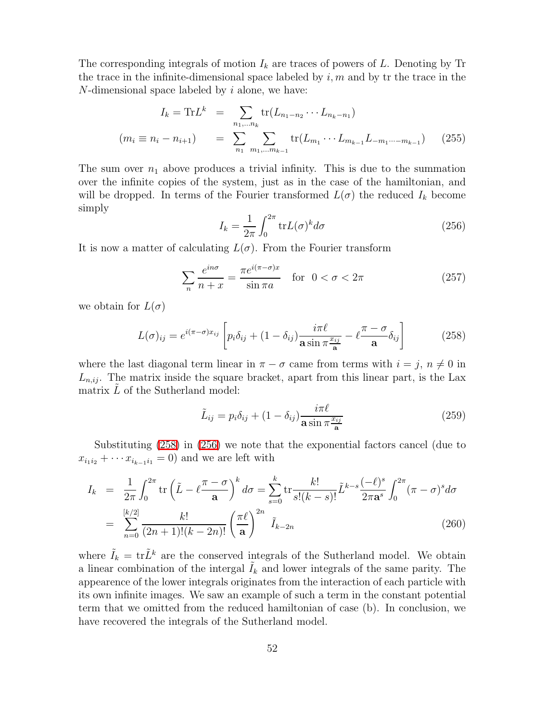The corresponding integrals of motion  $I_k$  are traces of powers of L. Denoting by Tr the trace in the infinite-dimensional space labeled by  $i, m$  and by tr the trace in the  $N$ -dimensional space labeled by  $i$  alone, we have:

$$
I_k = \text{Tr}L^k = \sum_{n_1, \dots n_k} \text{tr}(L_{n_1 - n_2} \cdots L_{n_k - n_1})
$$
  
\n
$$
(m_i \equiv n_i - n_{i+1}) = \sum_{n_1} \sum_{m_1, \dots m_{k-1}} \text{tr}(L_{m_1} \cdots L_{m_{k-1}} L_{-m_1 \cdots - m_{k-1}})
$$
 (255)

The sum over  $n_1$  above produces a trivial infinity. This is due to the summation over the infinite copies of the system, just as in the case of the hamiltonian, and will be dropped. In terms of the Fourier transformed  $L(\sigma)$  the reduced  $I_k$  become simply

$$
I_k = \frac{1}{2\pi} \int_0^{2\pi} \text{tr} L(\sigma)^k d\sigma \tag{256}
$$

<span id="page-51-2"></span>It is now a matter of calculating  $L(\sigma)$ . From the Fourier transform

<span id="page-51-1"></span>
$$
\sum_{n} \frac{e^{in\sigma}}{n+x} = \frac{\pi e^{i(\pi-\sigma)x}}{\sin \pi a} \quad \text{for} \quad 0 < \sigma < 2\pi \tag{257}
$$

<span id="page-51-0"></span>we obtain for  $L(\sigma)$ 

$$
L(\sigma)_{ij} = e^{i(\pi - \sigma)x_{ij}} \left[ p_i \delta_{ij} + (1 - \delta_{ij}) \frac{i\pi \ell}{\mathbf{a} \sin \pi \frac{x_{ij}}{\mathbf{a}}} - \ell \frac{\pi - \sigma}{\mathbf{a}} \delta_{ij} \right]
$$
(258)

where the last diagonal term linear in  $\pi - \sigma$  came from terms with  $i = j, n \neq 0$  in  $L_{n,ij}$ . The matrix inside the square bracket, apart from this linear part, is the Lax matrix  $\tilde{L}$  of the Sutherland model:

$$
\tilde{L}_{ij} = p_i \delta_{ij} + (1 - \delta_{ij}) \frac{i\pi \ell}{\mathbf{a} \sin \pi \frac{x_{ij}}{\mathbf{a}}}
$$
\n(259)

Substituting [\(258\)](#page-51-0) in [\(256\)](#page-51-1) we note that the exponential factors cancel (due to  $x_{i_1 i_2} + \cdots x_{i_{k-1} i_1} = 0$  and we are left with

$$
I_{k} = \frac{1}{2\pi} \int_{0}^{2\pi} \text{tr}\left(\tilde{L} - \ell \frac{\pi - \sigma}{\mathbf{a}}\right)^{k} d\sigma = \sum_{s=0}^{k} \text{tr}\frac{k!}{s!(k-s)!} \tilde{L}^{k-s} \frac{(-\ell)^{s}}{2\pi \mathbf{a}^{s}} \int_{0}^{2\pi} (\pi - \sigma)^{s} d\sigma
$$

$$
= \sum_{n=0}^{\lfloor k/2 \rfloor} \frac{k!}{(2n+1)!(k-2n)!} \left(\frac{\pi \ell}{\mathbf{a}}\right)^{2n} \tilde{I}_{k-2n}
$$
(260)

where  $\tilde{I}_k = \text{tr} \tilde{L}^k$  are the conserved integrals of the Sutherland model. We obtain a linear combination of the intergal  $I_k$  and lower integrals of the same parity. The appearence of the lower integrals originates from the interaction of each particle with its own infinite images. We saw an example of such a term in the constant potential term that we omitted from the reduced hamiltonian of case (b). In conclusion, we have recovered the integrals of the Sutherland model.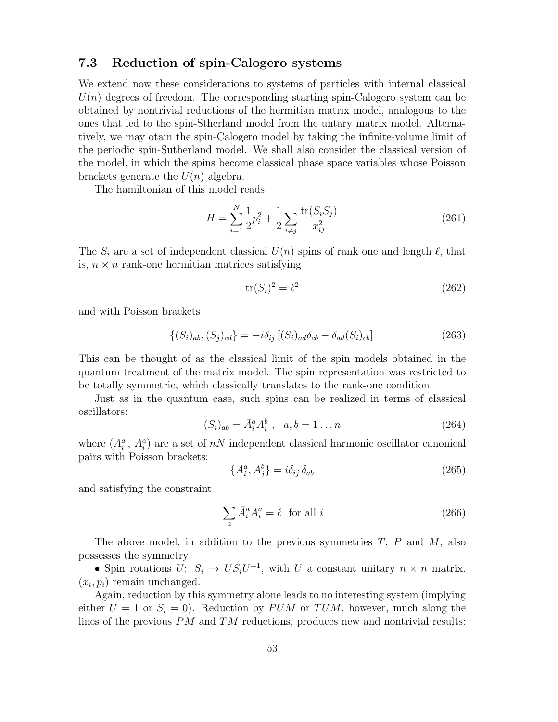#### <span id="page-52-0"></span>7.3 Reduction of spin-Calogero systems

We extend now these considerations to systems of particles with internal classical  $U(n)$  degrees of freedom. The corresponding starting spin-Calogero system can be obtained by nontrivial reductions of the hermitian matrix model, analogous to the ones that led to the spin-Stherland model from the untary matrix model. Alternatively, we may otain the spin-Calogero model by taking the infinite-volume limit of the periodic spin-Sutherland model. We shall also consider the classical version of the model, in which the spins become classical phase space variables whose Poisson brackets generate the  $U(n)$  algebra.

The hamiltonian of this model reads

$$
H = \sum_{i=1}^{N} \frac{1}{2} p_i^2 + \frac{1}{2} \sum_{i \neq j} \frac{\text{tr}(S_i S_j)}{x_{ij}^2}
$$
 (261)

The  $S_i$  are a set of independent classical  $U(n)$  spins of rank one and length  $\ell$ , that is,  $n \times n$  rank-one hermitian matrices satisfying

$$
\operatorname{tr}(S_i)^2 = \ell^2 \tag{262}
$$

and with Poisson brackets

<span id="page-52-1"></span>
$$
\{(S_i)_{ab}, (S_j)_{cd}\} = -i\delta_{ij} [(S_i)_{ad}\delta_{cb} - \delta_{ad}(S_i)_{cb}]
$$
\n(263)

This can be thought of as the classical limit of the spin models obtained in the quantum treatment of the matrix model. The spin representation was restricted to be totally symmetric, which classically translates to the rank-one condition.

<span id="page-52-2"></span>Just as in the quantum case, such spins can be realized in terms of classical oscillators:

$$
(S_i)_{ab} = \bar{A}_i^a A_i^b , \quad a, b = 1 \dots n \tag{264}
$$

where  $(A_i^a, \bar{A}_i^a)$  are a set of  $nN$  independent classical harmonic oscillator canonical pairs with Poisson brackets:

$$
\{A_i^a, \bar{A}_j^b\} = i\delta_{ij} \,\delta_{ab} \tag{265}
$$

and satisfying the constraint

<span id="page-52-3"></span>
$$
\sum_{a} \bar{A}_i^a A_i^a = \ell \quad \text{for all } i \tag{266}
$$

The above model, in addition to the previous symmetries  $T$ ,  $P$  and  $M$ , also possesses the symmetry

• Spin rotations  $U: S_i \to US_iU^{-1}$ , with U a constant unitary  $n \times n$  matrix.  $(x_i, p_i)$  remain unchanged.

Again, reduction by this symmetry alone leads to no interesting system (implying either  $U = 1$  or  $S_i = 0$ ). Reduction by PUM or TUM, however, much along the lines of the previous  $PM$  and  $TM$  reductions, produces new and nontrivial results: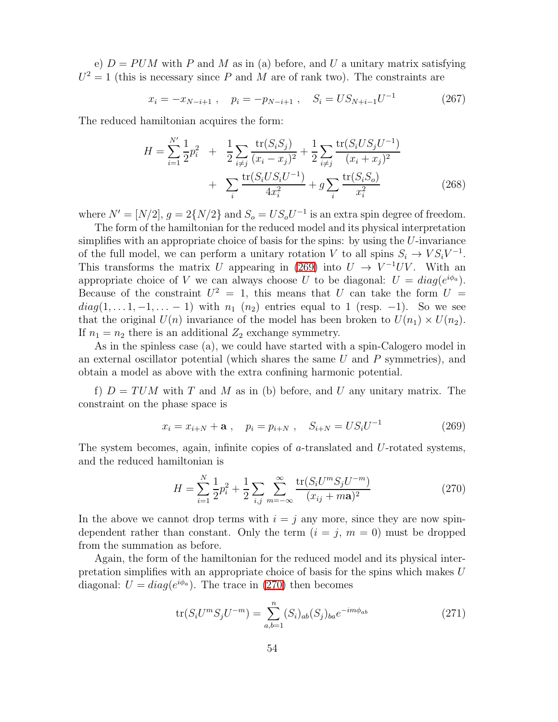e)  $D = P U M$  with P and M as in (a) before, and U a unitary matrix satisfying  $U^2 = 1$  (this is necessary since P and M are of rank two). The constraints are

$$
x_i = -x_{N-i+1} , \quad p_i = -p_{N-i+1} , \quad S_i = US_{N+i-1}U^{-1}
$$
 (267)

The reduced hamiltonian acquires the form:

$$
H = \sum_{i=1}^{N'} \frac{1}{2} p_i^2 + \frac{1}{2} \sum_{i \neq j} \frac{\text{tr}(S_i S_j)}{(x_i - x_j)^2} + \frac{1}{2} \sum_{i \neq j} \frac{\text{tr}(S_i U S_j U^{-1})}{(x_i + x_j)^2} + \sum_{i} \frac{\text{tr}(S_i U S_i U^{-1})}{4x_i^2} + g \sum_{i} \frac{\text{tr}(S_i S_o)}{x_i^2}
$$
(268)

where  $N' = [N/2], g = 2{N/2}$  and  $S_o = US_oU^{-1}$  is an extra spin degree of freedom.

The form of the hamiltonian for the reduced model and its physical interpretation simplifies with an appropriate choice of basis for the spins: by using the U-invariance of the full model, we can perform a unitary rotation V to all spins  $S_i \to VS_iV^{-1}$ . This transforms the matrix U appearing in [\(269\)](#page-53-0) into  $U \to V^{-1}UV$ . With an appropriate choice of V we can always choose U to be diagonal:  $U = diag(e^{i\phi_a})$ . Because of the constraint  $U^2 = 1$ , this means that U can take the form  $U =$  $diag(1, \ldots 1, -1, \ldots -1)$  with  $n_1$   $(n_2)$  entries equal to 1 (resp. -1). So we see that the original  $U(n)$  invariance of the model has been broken to  $U(n_1) \times U(n_2)$ . If  $n_1 = n_2$  there is an additional  $Z_2$  exchange symmetry.

As in the spinless case (a), we could have started with a spin-Calogero model in an external oscillator potential (which shares the same  $U$  and  $P$  symmetries), and obtain a model as above with the extra confining harmonic potential.

<span id="page-53-0"></span>f)  $D = TUM$  with T and M as in (b) before, and U any unitary matrix. The constraint on the phase space is

$$
x_i = x_{i+N} + \mathbf{a} , \quad p_i = p_{i+N} , \quad S_{i+N} = US_iU^{-1}
$$
 (269)

<span id="page-53-1"></span>The system becomes, again, infinite copies of a-translated and U-rotated systems, and the reduced hamiltonian is

$$
H = \sum_{i=1}^{N} \frac{1}{2} p_i^2 + \frac{1}{2} \sum_{i,j} \sum_{m=-\infty}^{\infty} \frac{\text{tr}(S_i U^m S_j U^{-m})}{(x_{ij} + m\mathbf{a})^2}
$$
(270)

In the above we cannot drop terms with  $i = j$  any more, since they are now spindependent rather than constant. Only the term  $(i = j, m = 0)$  must be dropped from the summation as before.

Again, the form of the hamiltonian for the reduced model and its physical interpretation simplifies with an appropriate choice of basis for the spins which makes U diagonal:  $U = diag(e^{i\phi_a})$ . The trace in [\(270\)](#page-53-1) then becomes

$$
\text{tr}(S_i U^m S_j U^{-m}) = \sum_{a,b=1}^n (S_i)_{ab} (S_j)_{ba} e^{-im\phi_{ab}}
$$
(271)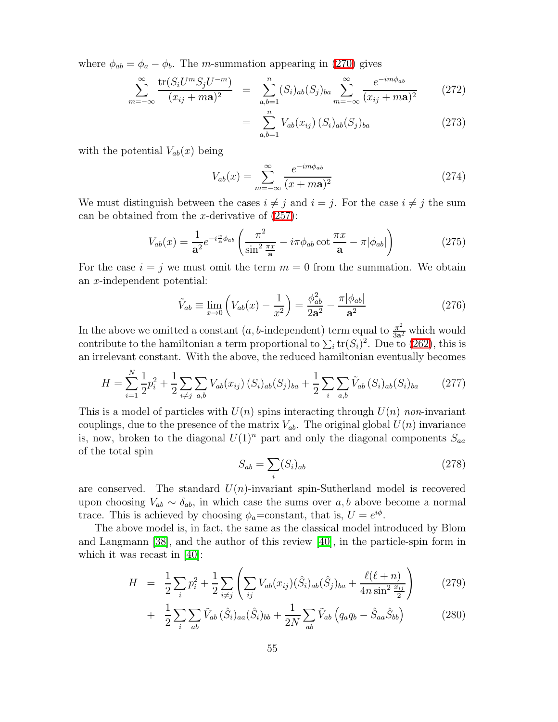where  $\phi_{ab} = \phi_a - \phi_b$ . The *m*-summation appearing in [\(270\)](#page-53-1) gives

$$
\sum_{m=-\infty}^{\infty} \frac{\text{tr}(S_i U^m S_j U^{-m})}{(x_{ij} + m\mathbf{a})^2} = \sum_{a,b=1}^{n} (S_i)_{ab} (S_j)_{ba} \sum_{m=-\infty}^{\infty} \frac{e^{-im\phi_{ab}}}{(x_{ij} + m\mathbf{a})^2}
$$
(272)

$$
= \sum_{a,b=1}^{n} V_{ab}(x_{ij}) (S_i)_{ab} (S_j)_{ba} \tag{273}
$$

with the potential  $V_{ab}(x)$  being

$$
V_{ab}(x) = \sum_{m = -\infty}^{\infty} \frac{e^{-im\phi_{ab}}}{(x + m\mathbf{a})^2}
$$
(274)

We must distinguish between the cases  $i \neq j$  and  $i = j$ . For the case  $i \neq j$  the sum can be obtained from the x-derivative of  $(257)$ :

$$
V_{ab}(x) = \frac{1}{a^2} e^{-i\frac{x}{a}\phi_{ab}} \left( \frac{\pi^2}{\sin^2 \frac{\pi x}{a}} - i\pi \phi_{ab} \cot \frac{\pi x}{a} - \pi |\phi_{ab}|\right)
$$
(275)

For the case  $i = j$  we must omit the term  $m = 0$  from the summation. We obtain an x-independent potential:

$$
\tilde{V}_{ab} \equiv \lim_{x \to 0} \left( V_{ab}(x) - \frac{1}{x^2} \right) = \frac{\phi_{ab}^2}{2a^2} - \frac{\pi |\phi_{ab}|}{a^2}
$$
\n(276)

<span id="page-54-1"></span>In the above we omitted a constant  $(a, b\text{-independent})$  term equal to  $\frac{\pi^2}{3a^2}$  which would contribute to the hamiltonian a term proportional to  $\sum_i \text{tr}(S_i)^2$ . Due to [\(262\)](#page-52-1), this is an irrelevant constant. With the above, the reduced hamiltonian eventually becomes

$$
H = \sum_{i=1}^{N} \frac{1}{2} p_i^2 + \frac{1}{2} \sum_{i \neq j} \sum_{a,b} V_{ab}(x_{ij}) (S_i)_{ab} (S_j)_{ba} + \frac{1}{2} \sum_{i} \sum_{a,b} \tilde{V}_{ab} (S_i)_{ab} (S_i)_{ba}
$$
(277)

This is a model of particles with  $U(n)$  spins interacting through  $U(n)$  non-invariant couplings, due to the presence of the matrix  $V_{ab}$ . The original global  $U(n)$  invariance is, now, broken to the diagonal  $U(1)^n$  part and only the diagonal components  $S_{aa}$ of the total spin

$$
S_{ab} = \sum_{i} (S_i)_{ab} \tag{278}
$$

are conserved. The standard  $U(n)$ -invariant spin-Sutherland model is recovered upon choosing  $V_{ab} \sim \delta_{ab}$ , in which case the sums over a, b above become a normal trace. This is achieved by choosing  $\phi_a = \text{constant}$ , that is,  $U = e^{i\phi}$ .

<span id="page-54-0"></span>The above model is, in fact, the same as the classical model introduced by Blom and Langmann [\[38\]](#page-64-12), and the author of this review [\[40\]](#page-64-14), in the particle-spin form in which it was recast in [\[40\]](#page-64-14):

$$
H = \frac{1}{2} \sum_{i} p_i^2 + \frac{1}{2} \sum_{i \neq j} \left( \sum_{ij} V_{ab}(x_{ij}) (\hat{S}_i)_{ab} (\hat{S}_j)_{ba} + \frac{\ell(\ell+n)}{4n \sin^2 \frac{x_{ij}}{2}} \right) \tag{279}
$$

$$
+ \frac{1}{2} \sum_{i} \sum_{ab} \tilde{V}_{ab} (\hat{S}_i)_{aa} (\hat{S}_i)_{bb} + \frac{1}{2N} \sum_{ab} \tilde{V}_{ab} (q_a q_b - \hat{S}_{aa} \hat{S}_{bb}) \tag{280}
$$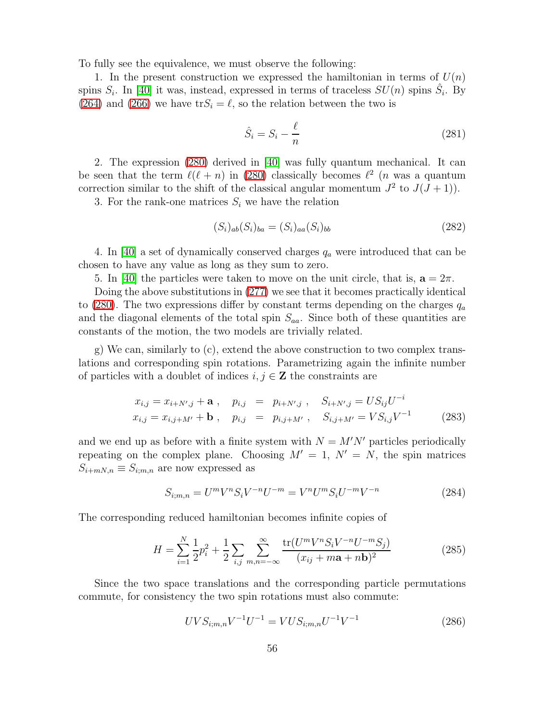To fully see the equivalence, we must observe the following:

1. In the present construction we expressed the hamiltonian in terms of  $U(n)$ spins  $S_i$ . In [\[40\]](#page-64-14) it was, instead, expressed in terms of traceless  $SU(n)$  spins  $\hat{S}_i$ . By [\(264\)](#page-52-2) and [\(266\)](#page-52-3) we have  $\text{tr}S_i = \ell$ , so the relation between the two is

$$
\hat{S}_i = S_i - \frac{\ell}{n} \tag{281}
$$

2. The expression [\(280\)](#page-54-0) derived in [\[40\]](#page-64-14) was fully quantum mechanical. It can be seen that the term  $\ell(\ell+n)$  in [\(280\)](#page-54-0) classically becomes  $\ell^2$  (*n* was a quantum correction similar to the shift of the classical angular momentum  $J^2$  to  $J(J+1)$ .

3. For the rank-one matrices  $S_i$  we have the relation

$$
(S_i)_{ab}(S_i)_{ba} = (S_i)_{aa}(S_i)_{bb} \tag{282}
$$

4. In [\[40\]](#page-64-14) a set of dynamically conserved charges  $q_a$  were introduced that can be chosen to have any value as long as they sum to zero.

5. In [\[40\]](#page-64-14) the particles were taken to move on the unit circle, that is,  $\mathbf{a} = 2\pi$ .

Doing the above substitutions in [\(277\)](#page-54-1) we see that it becomes practically identical to [\(280\)](#page-54-0). The two expressions differ by constant terms depending on the charges  $q_a$ and the diagonal elements of the total spin  $S_{aa}$ . Since both of these quantities are constants of the motion, the two models are trivially related.

g) We can, similarly to (c), extend the above construction to two complex translations and corresponding spin rotations. Parametrizing again the infinite number of particles with a doublet of indices  $i, j \in \mathbb{Z}$  the constraints are

$$
x_{i,j} = x_{i+N',j} + \mathbf{a} , \quad p_{i,j} = p_{i+N',j} , \quad S_{i+N',j} = US_{ij}U^{-i}
$$
  

$$
x_{i,j} = x_{i,j+M'} + \mathbf{b} , \quad p_{i,j} = p_{i,j+M'} , \quad S_{i,j+M'} = VS_{i,j}V^{-1}
$$
(283)

and we end up as before with a finite system with  $N = M'N'$  particles periodically repeating on the complex plane. Choosing  $M' = 1$ ,  $N' = N$ , the spin matrices  $S_{i+mN,n} \equiv S_{i;m,n}$  are now expressed as

$$
S_{i;m,n} = U^m V^n S_i V^{-n} U^{-m} = V^n U^m S_i U^{-m} V^{-n}
$$
\n(284)

<span id="page-55-0"></span>The corresponding reduced hamiltonian becomes infinite copies of

$$
H = \sum_{i=1}^{N} \frac{1}{2} p_i^2 + \frac{1}{2} \sum_{i,j} \sum_{m,n=-\infty}^{\infty} \frac{\text{tr}(U^m V^n S_i V^{-n} U^{-m} S_j)}{(x_{ij} + m\mathbf{a} + n\mathbf{b})^2}
$$
(285)

Since the two space translations and the corresponding particle permutations commute, for consistency the two spin rotations must also commute:

$$
UVS_{i;m,n}V^{-1}U^{-1} = VUS_{i;m,n}U^{-1}V^{-1}
$$
\n(286)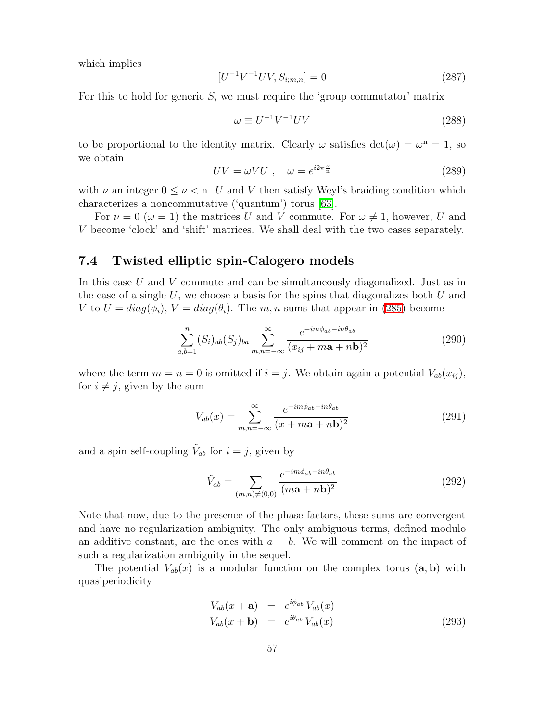which implies

$$
[U^{-1}V^{-1}UV, S_{i;m,n}] = 0
$$
\n(287)

For this to hold for generic  $S_i$  we must require the 'group commutator' matrix

$$
\omega \equiv U^{-1}V^{-1}UV\tag{288}
$$

to be proportional to the identity matrix. Clearly  $\omega$  satisfies  $det(\omega) = \omega^{n} = 1$ , so we obtain

$$
UV = \omega VU \ , \quad \omega = e^{i2\pi \frac{\nu}{n}} \tag{289}
$$

with  $\nu$  an integer  $0 \leq \nu <$  n. U and V then satisfy Weyl's braiding condition which characterizes a noncommutative ('quantum') torus [\[63\]](#page-66-0).

For  $\nu = 0$  ( $\omega = 1$ ) the matrices U and V commute. For  $\omega \neq 1$ , however, U and V become 'clock' and 'shift' matrices. We shall deal with the two cases separately.

#### <span id="page-56-0"></span>7.4 Twisted elliptic spin-Calogero models

In this case U and V commute and can be simultaneously diagonalized. Just as in the case of a single  $U$ , we choose a basis for the spins that diagonalizes both  $U$  and V to  $U = diag(\phi_i)$ ,  $V = diag(\theta_i)$ . The m, n-sums that appear in [\(285\)](#page-55-0) become

$$
\sum_{a,b=1}^{n} (S_i)_{ab} (S_j)_{ba} \sum_{m,n=-\infty}^{\infty} \frac{e^{-im\phi_{ab} - in\theta_{ab}}}{(x_{ij} + m\mathbf{a} + n\mathbf{b})^2}
$$
(290)

where the term  $m = n = 0$  is omitted if  $i = j$ . We obtain again a potential  $V_{ab}(x_{ij}),$ for  $i \neq j$ , given by the sum

$$
V_{ab}(x) = \sum_{m,n=-\infty}^{\infty} \frac{e^{-im\phi_{ab}-in\theta_{ab}}}{(x+m\mathbf{a}+n\mathbf{b})^2}
$$
(291)

and a spin self-coupling  $\tilde{V}_{ab}$  for  $i = j$ , given by

$$
\tilde{V}_{ab} = \sum_{(m,n)\neq(0,0)} \frac{e^{-im\phi_{ab}-in\theta_{ab}}}{(m\mathbf{a}+n\mathbf{b})^2}
$$
\n(292)

Note that now, due to the presence of the phase factors, these sums are convergent and have no regularization ambiguity. The only ambiguous terms, defined modulo an additive constant, are the ones with  $a = b$ . We will comment on the impact of such a regularization ambiguity in the sequel.

The potential  $V_{ab}(x)$  is a modular function on the complex torus  $(a, b)$  with quasiperiodicity

$$
V_{ab}(x+\mathbf{a}) = e^{i\phi_{ab}} V_{ab}(x)
$$
  
\n
$$
V_{ab}(x+\mathbf{b}) = e^{i\theta_{ab}} V_{ab}(x)
$$
\n(293)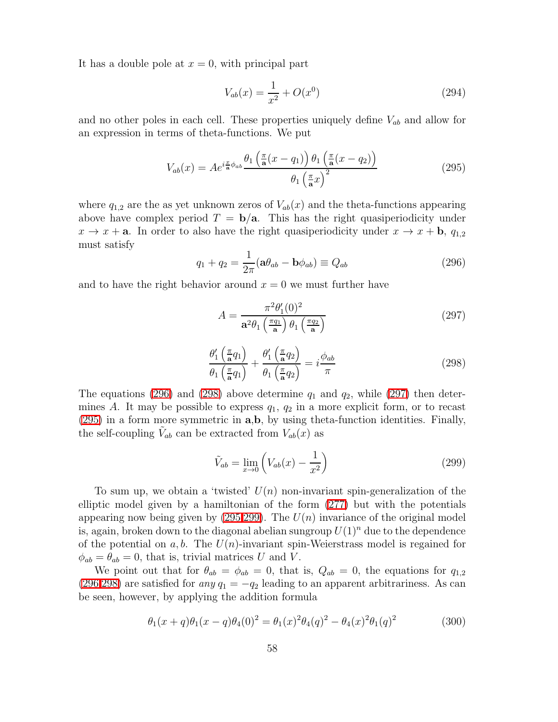It has a double pole at  $x = 0$ , with principal part

$$
V_{ab}(x) = \frac{1}{x^2} + O(x^0)
$$
\n(294)

<span id="page-57-3"></span>and no other poles in each cell. These properties uniquely define  $V_{ab}$  and allow for an expression in terms of theta-functions. We put

$$
V_{ab}(x) = Ae^{i\frac{x}{a}\phi_{ab}}\frac{\theta_1\left(\frac{\pi}{a}(x-q_1)\right)\theta_1\left(\frac{\pi}{a}(x-q_2)\right)}{\theta_1\left(\frac{\pi}{a}x\right)^2}
$$
(295)

where  $q_{1,2}$  are the as yet unknown zeros of  $V_{ab}(x)$  and the theta-functions appearing above have complex period  $T = \mathbf{b}/\mathbf{a}$ . This has the right quasiperiodicity under  $x \to x + \mathbf{a}$ . In order to also have the right quasiperiodicity under  $x \to x + \mathbf{b}$ ,  $q_{1,2}$ must satisfy

<span id="page-57-2"></span>
$$
q_1 + q_2 = \frac{1}{2\pi} (\mathbf{a}\theta_{ab} - \mathbf{b}\phi_{ab}) \equiv Q_{ab} \tag{296}
$$

<span id="page-57-0"></span>and to have the right behavior around  $x = 0$  we must further have

$$
A = \frac{\pi^2 \theta_1'(0)^2}{\mathbf{a}^2 \theta_1 \left(\frac{\pi q_1}{\mathbf{a}}\right) \theta_1 \left(\frac{\pi q_2}{\mathbf{a}}\right)}
$$
(297)

<span id="page-57-1"></span>
$$
\frac{\theta_1'\left(\frac{\pi}{a}q_1\right)}{\theta_1\left(\frac{\pi}{a}q_1\right)} + \frac{\theta_1'\left(\frac{\pi}{a}q_2\right)}{\theta_1\left(\frac{\pi}{a}q_2\right)} = i\frac{\phi_{ab}}{\pi}
$$
\n(298)

The equations [\(296\)](#page-57-0) and [\(298\)](#page-57-1) above determine  $q_1$  and  $q_2$ , while [\(297\)](#page-57-2) then determines A. It may be possible to express  $q_1, q_2$  in a more explicit form, or to recast  $(295)$  in a form more symmetric in  $a,b$ , by using theta-function identities. Finally, the self-coupling  $\tilde{V}_{ab}$  can be extracted from  $V_{ab}(x)$  as

<span id="page-57-4"></span>
$$
\tilde{V}_{ab} = \lim_{x \to 0} \left( V_{ab}(x) - \frac{1}{x^2} \right) \tag{299}
$$

To sum up, we obtain a 'twisted'  $U(n)$  non-invariant spin-generalization of the elliptic model given by a hamiltonian of the form [\(277\)](#page-54-1) but with the potentials appearing now being given by  $(295,299)$  $(295,299)$ . The  $U(n)$  invariance of the original model is, again, broken down to the diagonal abelian sungroup  $U(1)^n$  due to the dependence of the potential on a, b. The  $U(n)$ -invariant spin-Weierstrass model is regained for  $\phi_{ab} = \theta_{ab} = 0$ , that is, trivial matrices U and V.

We point out that for  $\theta_{ab} = \phi_{ab} = 0$ , that is,  $Q_{ab} = 0$ , the equations for  $q_{1,2}$ [\(296](#page-57-0)[,298\)](#page-57-1) are satisfied for any  $q_1 = -q_2$  leading to an apparent arbitrariness. As can be seen, however, by applying the addition formula

$$
\theta_1(x+q)\theta_1(x-q)\theta_4(0)^2 = \theta_1(x)^2\theta_4(q)^2 - \theta_4(x)^2\theta_1(q)^2 \tag{300}
$$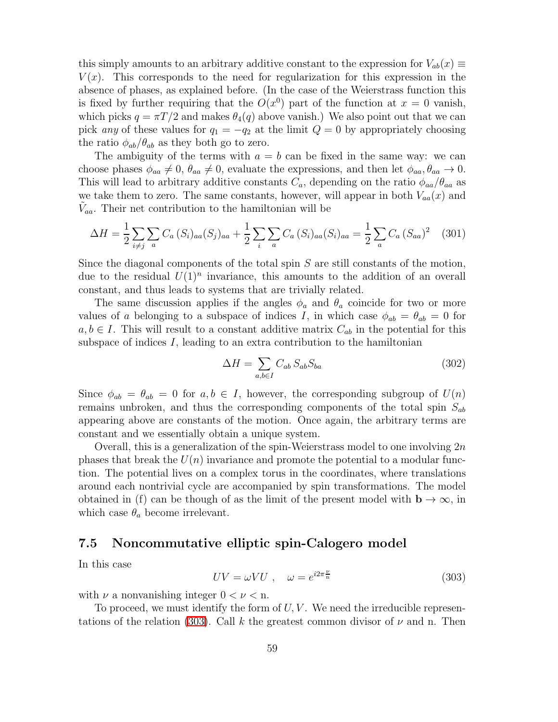this simply amounts to an arbitrary additive constant to the expression for  $V_{ab}(x) \equiv$  $V(x)$ . This corresponds to the need for regularization for this expression in the absence of phases, as explained before. (In the case of the Weierstrass function this is fixed by further requiring that the  $O(x^0)$  part of the function at  $x = 0$  vanish, which picks  $q = \pi T/2$  and makes  $\theta_4(q)$  above vanish.) We also point out that we can pick any of these values for  $q_1 = -q_2$  at the limit  $Q = 0$  by appropriately choosing the ratio  $\phi_{ab}/\theta_{ab}$  as they both go to zero.

The ambiguity of the terms with  $a = b$  can be fixed in the same way: we can choose phases  $\phi_{aa} \neq 0$ ,  $\theta_{aa} \neq 0$ , evaluate the expressions, and then let  $\phi_{aa}, \theta_{aa} \rightarrow 0$ . This will lead to arbitrary additive constants  $C_a$ , depending on the ratio  $\phi_{aa}/\theta_{aa}$  as we take them to zero. The same constants, however, will appear in both  $V_{aa}(x)$  and  $\tilde{V}_{aa}$ . Their net contribution to the hamiltonian will be

$$
\Delta H = \frac{1}{2} \sum_{i \neq j} \sum_{a} C_{a} (S_{i})_{aa} (S_{j})_{aa} + \frac{1}{2} \sum_{i} \sum_{a} C_{a} (S_{i})_{aa} (S_{i})_{aa} = \frac{1}{2} \sum_{a} C_{a} (S_{aa})^{2} \quad (301)
$$

Since the diagonal components of the total spin S are still constants of the motion, due to the residual  $U(1)^n$  invariance, this amounts to the addition of an overall constant, and thus leads to systems that are trivially related.

The same discussion applies if the angles  $\phi_a$  and  $\theta_a$  coincide for two or more values of a belonging to a subspace of indices I, in which case  $\phi_{ab} = \theta_{ab} = 0$  for  $a, b \in I$ . This will result to a constant additive matrix  $C_{ab}$  in the potential for this subspace of indices  $I$ , leading to an extra contribution to the hamiltonian

$$
\Delta H = \sum_{a,b \in I} C_{ab} S_{ab} S_{ba} \tag{302}
$$

Since  $\phi_{ab} = \theta_{ab} = 0$  for  $a, b \in I$ , however, the corresponding subgroup of  $U(n)$ remains unbroken, and thus the corresponding components of the total spin  $S_{ab}$ appearing above are constants of the motion. Once again, the arbitrary terms are constant and we essentially obtain a unique system.

Overall, this is a generalization of the spin-Weierstrass model to one involving  $2n$ phases that break the  $U(n)$  invariance and promote the potential to a modular function. The potential lives on a complex torus in the coordinates, where translations around each nontrivial cycle are accompanied by spin transformations. The model obtained in (f) can be though of as the limit of the present model with  $b \to \infty$ , in which case  $\theta_a$  become irrelevant.

#### <span id="page-58-0"></span>7.5 Noncommutative elliptic spin-Calogero model

In this case

<span id="page-58-1"></span>
$$
UV = \omega VU \ , \quad \omega = e^{i2\pi \frac{\nu}{n}} \tag{303}
$$

with  $\nu$  a nonvanishing integer  $0 < \nu < n$ .

To proceed, we must identify the form of  $U, V$ . We need the irreducible represen-tations of the relation [\(303\)](#page-58-1). Call k the greatest common divisor of  $\nu$  and n. Then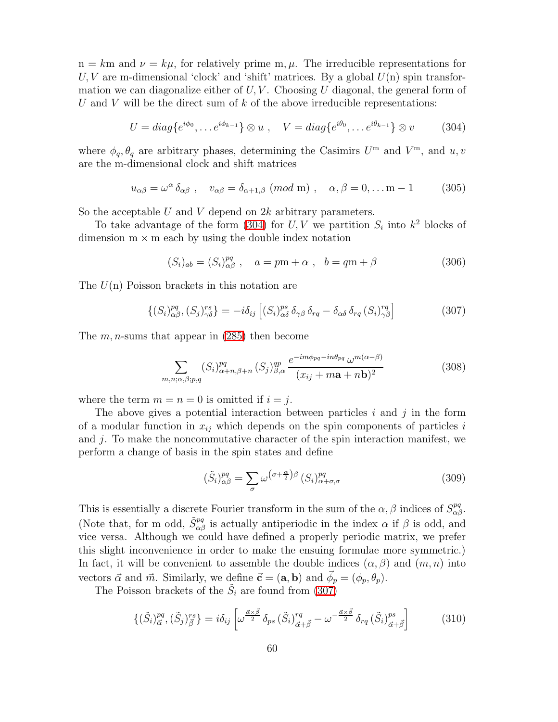$n = km$  and  $\nu = k\mu$ , for relatively prime m,  $\mu$ . The irreducible representations for  $U, V$  are m-dimensional 'clock' and 'shift' matrices. By a global  $U(n)$  spin transformation we can diagonalize either of  $U, V$ . Choosing U diagonal, the general form of U and V will be the direct sum of  $k$  of the above irreducible representations:

$$
U = diag\{e^{i\phi_0}, \dots e^{i\phi_{k-1}}\} \otimes u \ , \quad V = diag\{e^{i\theta_0}, \dots e^{i\theta_{k-1}}\} \otimes v \tag{304}
$$

<span id="page-59-0"></span>where  $\phi_q$ ,  $\theta_q$  are arbitrary phases, determining the Casimirs  $U^{\rm m}$  and  $V^{\rm m}$ , and  $u, v$ are the m-dimensional clock and shift matrices

$$
u_{\alpha\beta} = \omega^{\alpha} \delta_{\alpha\beta} , \quad v_{\alpha\beta} = \delta_{\alpha+1,\beta} \ (mod \ m) , \quad \alpha, \beta = 0, \dots m-1 \tag{305}
$$

So the acceptable  $U$  and  $V$  depend on  $2k$  arbitrary parameters.

To take advantage of the form [\(304\)](#page-59-0) for  $U, V$  we partition  $S_i$  into  $k^2$  blocks of dimension  $m \times m$  each by using the double index notation

$$
(S_i)_{ab} = (S_i)_{\alpha\beta}^{pq} , \quad a = pm + \alpha , \quad b = qm + \beta
$$
 (306)

<span id="page-59-1"></span>The  $U(n)$  Poisson brackets in this notation are

$$
\{(S_i)_{\alpha\beta}^{pq}, (S_j)_{\gamma\delta}^{rs}\} = -i\delta_{ij} \left[ (S_i)_{\alpha\delta}^{ps} \delta_{\gamma\beta} \delta_{rq} - \delta_{\alpha\delta} \delta_{rq} (S_i)_{\gamma\beta}^{rq} \right]
$$
(307)

<span id="page-59-3"></span>The  $m, n$ -sums that appear in [\(285\)](#page-55-0) then become

$$
\sum_{(n;\alpha,\beta;p,q)} (S_i)_{\alpha+n,\beta+n}^{pq} (S_j)_{\beta,\alpha}^{qp} \frac{e^{-im\phi_{pq} - in\theta_{pq}} \omega^{m(\alpha-\beta)}}{(x_{ij} + m\mathbf{a} + n\mathbf{b})^2}
$$
(308)

where the term  $m = n = 0$  is omitted if  $i = j$ .

 $m$ 

The above gives a potential interaction between particles  $i$  and  $j$  in the form of a modular function in  $x_{ij}$  which depends on the spin components of particles i and  $j$ . To make the noncommutative character of the spin interaction manifest, we perform a change of basis in the spin states and define

<span id="page-59-2"></span>
$$
(\tilde{S}_i)_{\alpha\beta}^{pq} = \sum_{\sigma} \omega^{\left(\sigma + \frac{\alpha}{2}\right)\beta} \left(S_i\right)_{\alpha + \sigma, \sigma}^{pq} \tag{309}
$$

This is essentially a discrete Fourier transform in the sum of the  $\alpha$ ,  $\beta$  indices of  $S_{\alpha\beta}^{pq}$ . (Note that, for m odd,  $\tilde{S}^{pq}_{\alpha\beta}$  is actually antiperiodic in the index  $\alpha$  if  $\beta$  is odd, and vice versa. Although we could have defined a properly periodic matrix, we prefer this slight inconvenience in order to make the ensuing formulae more symmetric.) In fact, it will be convenient to assemble the double indices  $(\alpha, \beta)$  and  $(m, n)$  into vectors  $\vec{\alpha}$  and  $\vec{m}$ . Similarly, we define  $\vec{\mathbf{c}} = (\mathbf{a}, \mathbf{b})$  and  $\vec{\phi}_p = (\phi_p, \theta_p)$ .

The Poisson brackets of the  $\tilde{S}_i$  are found from [\(307\)](#page-59-1)

$$
\{(\tilde{S}_i)_{\vec{\alpha}}^{pq}, (\tilde{S}_j)_{\vec{\beta}}^{rs}\} = i\delta_{ij} \left[ \omega^{\frac{\vec{\alpha} \times \vec{\beta}}{2}} \delta_{ps} (\tilde{S}_i)_{\vec{\alpha} + \vec{\beta}}^{rq} - \omega^{-\frac{\vec{\alpha} \times \vec{\beta}}{2}} \delta_{rq} (\tilde{S}_i)_{\vec{\alpha} + \vec{\beta}}^{ps} \right]
$$
(310)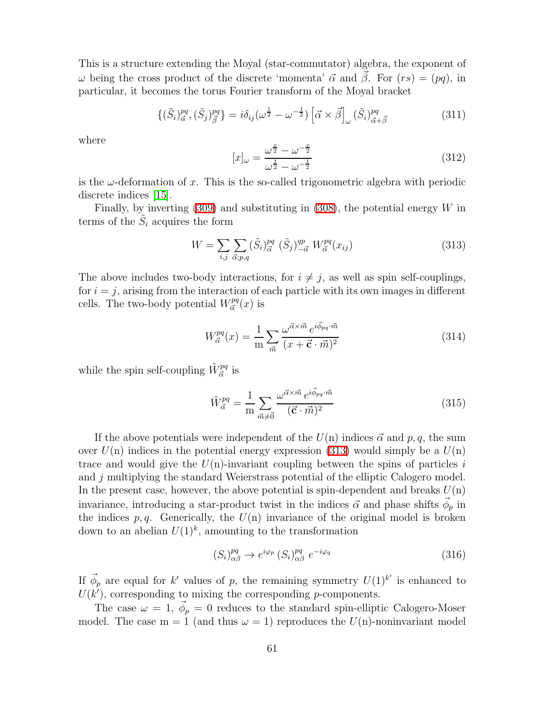This is a structure extending the Moyal (star-commutator) algebra, the exponent of  $ω$  being the cross product of the discrete 'momenta'  $\vec{\alpha}$  and  $\vec{\beta}$ . For  $(rs) = (pq)$ , in particular, it becomes the torus Fourier transform of the Moyal bracket

$$
\{(\tilde{S}_i)_{\vec{\alpha}}^{pq}, (\tilde{S}_j)_{\vec{\beta}}^{pq}\} = i\delta_{ij}(\omega^{\frac{1}{2}} - \omega^{-\frac{1}{2}}) \left[\vec{\alpha} \times \vec{\beta}\right]_{\omega} (\tilde{S}_i)_{\vec{\alpha} + \vec{\beta}}^{pq}
$$
(311)

where

$$
[x]_{\omega} = \frac{\omega^{\frac{x}{2}} - \omega^{-\frac{x}{2}}}{\omega^{\frac{1}{2}} - \omega^{-\frac{1}{2}}}
$$
(312)

is the  $\omega$ -deformation of x. This is the so-called trigonometric algebra with periodic discrete indices [\[15\]](#page-63-11).

<span id="page-60-0"></span>Finally, by inverting  $(309)$  and substituting in  $(308)$ , the potential energy W in terms of the  $\tilde{S}_i$  acquires the form

$$
W = \sum_{i,j} \sum_{\vec{\alpha}; p,q} (\tilde{S}_i)^{pq}_{\vec{\alpha}} (\tilde{S}_j)^{qp}_{-\vec{\alpha}} W^{pq}_{\vec{\alpha}}(x_{ij})
$$
(313)

The above includes two-body interactions, for  $i \neq j$ , as well as spin self-couplings, for  $i = j$ , arising from the interaction of each particle with its own images in different cells. The two-body potential  $W_{\vec{\alpha}}^{pq}$  $\frac{pq}{\vec{\alpha}}(x)$  is

<span id="page-60-1"></span>
$$
W_{\vec{\alpha}}^{pq}(x) = \frac{1}{\mathrm{m}} \sum_{\vec{m}} \frac{\omega^{\vec{\alpha} \times \vec{m}} e^{i \vec{\phi}_{pq} \cdot \vec{m}}}{(x + \vec{\mathbf{c}} \cdot \vec{m})^2}
$$
(314)

while the spin self-coupling  $\tilde{W}^{pq}_{\vec{\alpha}}$  is

<span id="page-60-2"></span>
$$
\tilde{W}_{\vec{\alpha}}^{pq} = \frac{1}{\mathrm{m}} \sum_{\vec{m} \neq \vec{0}} \frac{\omega^{\vec{\alpha} \times \vec{m}} e^{i \vec{\phi}_{pq} \cdot \vec{m}}}{(\vec{\mathbf{c}} \cdot \vec{m})^2} \tag{315}
$$

If the above potentials were independent of the  $U(n)$  indices  $\vec{\alpha}$  and p, q, the sum over  $U(n)$  indices in the potential energy expression [\(313\)](#page-60-0) would simply be a  $U(n)$ trace and would give the  $U(n)$ -invariant coupling between the spins of particles i and j multiplying the standard Weierstrass potential of the elliptic Calogero model. In the present case, however, the above potential is spin-dependent and breaks  $U(n)$ invariance, introducing a star-product twist in the indices  $\vec{\alpha}$  and phase shifts  $\vec{\phi}_p$  in the indices p, q. Generically, the  $U(n)$  invariance of the original model is broken down to an abelian  $U(1)^k$ , amounting to the transformation

$$
(S_i)_{\alpha\beta}^{pq} \to e^{i\varphi_p} \left( S_i \right)_{\alpha\beta}^{pq} e^{-i\varphi_q} \tag{316}
$$

If  $\vec{\phi}_p$  are equal for k' values of p, the remaining symmetry  $U(1)^{k'}$  is enhanced to  $U(k')$ , corresponding to mixing the corresponding p-components.

The case  $\omega = 1, \, \vec{\phi}_p = 0$  reduces to the standard spin-elliptic Calogero-Moser model. The case  $m = 1$  (and thus  $\omega = 1$ ) reproduces the  $U(n)$ -noninvariant model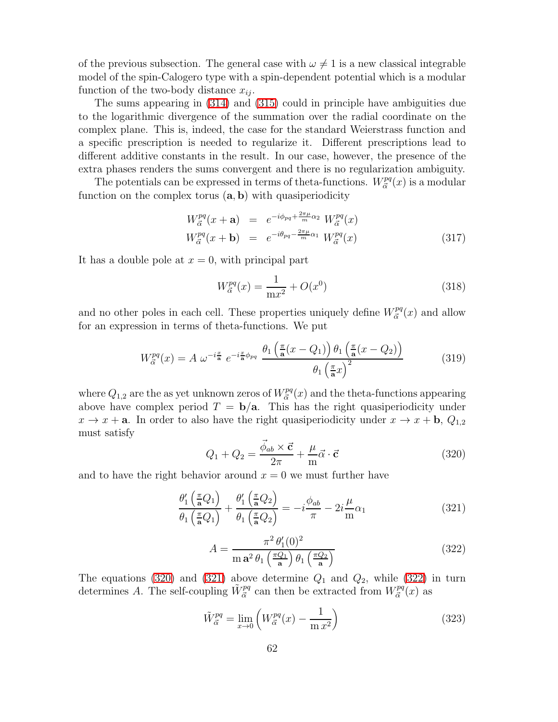of the previous subsection. The general case with  $\omega \neq 1$  is a new classical integrable model of the spin-Calogero type with a spin-dependent potential which is a modular function of the two-body distance  $x_{ij}$ .

The sums appearing in [\(314\)](#page-60-1) and [\(315\)](#page-60-2) could in principle have ambiguities due to the logarithmic divergence of the summation over the radial coordinate on the complex plane. This is, indeed, the case for the standard Weierstrass function and a specific prescription is needed to regularize it. Different prescriptions lead to different additive constants in the result. In our case, however, the presence of the extra phases renders the sums convergent and there is no regularization ambiguity.

The potentials can be expressed in terms of theta-functions.  $W_{\vec{\alpha}}^{pq}$  $\frac{d^{pq}}{dt^{q}}(x)$  is a modular function on the complex torus  $(a, b)$  with quasiperiodicity

$$
W_{\vec{\alpha}}^{pq}(x+\mathbf{a}) = e^{-i\phi_{pq} + \frac{2\pi\mu}{m}\alpha_2} W_{\vec{\alpha}}^{pq}(x)
$$
  

$$
W_{\vec{\alpha}}^{pq}(x+\mathbf{b}) = e^{-i\theta_{pq} - \frac{2\pi\mu}{m}\alpha_1} W_{\vec{\alpha}}^{pq}(x)
$$
(317)

It has a double pole at  $x = 0$ , with principal part

$$
W_{\vec{\alpha}}^{pq}(x) = \frac{1}{\mathbf{m}x^2} + O(x^0)
$$
\n(318)

and no other poles in each cell. These properties uniquely define  $W_{\vec{\alpha}}^{pq}$  $\frac{d}{d}x^q(x)$  and allow for an expression in terms of theta-functions. We put

$$
W_{\vec{\alpha}}^{pq}(x) = A \omega^{-i\frac{x}{\mathbf{a}}} e^{-i\frac{x}{\mathbf{a}}\phi_{pq}} \frac{\theta_1\left(\frac{\pi}{\mathbf{a}}(x - Q_1)\right)\theta_1\left(\frac{\pi}{\mathbf{a}}(x - Q_2)\right)}{\theta_1\left(\frac{\pi}{\mathbf{a}}x\right)^2}
$$
(319)

where  $Q_{1,2}$  are the as yet unknown zeros of  $W_{\vec{\alpha}}^{pq}$  $\frac{r^{pq}}{r^{q}}(x)$  and the theta-functions appearing above have complex period  $T = \mathbf{b}/\mathbf{a}$ . This has the right quasiperiodicity under  $x \to x + \mathbf{a}$ . In order to also have the right quasiperiodicity under  $x \to x + \mathbf{b}$ ,  $Q_{1,2}$ must satisfy

$$
Q_1 + Q_2 = \frac{\vec{\phi}_{ab} \times \vec{c}}{2\pi} + \frac{\mu}{m}\vec{\alpha} \cdot \vec{c}
$$
 (320)

<span id="page-61-1"></span>and to have the right behavior around  $x = 0$  we must further have

<span id="page-61-2"></span><span id="page-61-0"></span>
$$
\frac{\theta_1'\left(\frac{\pi}{a}Q_1\right)}{\theta_1\left(\frac{\pi}{a}Q_1\right)} + \frac{\theta_1'\left(\frac{\pi}{a}Q_2\right)}{\theta_1\left(\frac{\pi}{a}Q_2\right)} = -i\frac{\phi_{ab}}{\pi} - 2i\frac{\mu}{m}\alpha_1\tag{321}
$$

$$
A = \frac{\pi^2 \theta_1'(0)^2}{\max\limits_{\mathbf{a}} \theta_1 \left(\frac{\pi Q_1}{\mathbf{a}}\right) \theta_1 \left(\frac{\pi Q_2}{\mathbf{a}}\right)}
$$
(322)

The equations [\(320\)](#page-61-0) and [\(321\)](#page-61-1) above determine  $Q_1$  and  $Q_2$ , while [\(322\)](#page-61-2) in turn determines A. The self-coupling  $\tilde{W}^{pq}_{\vec{\alpha}}$  can then be extracted from  $W^{pq}_{\vec{\alpha}}$  $\frac{pq}{\vec{\alpha}}(x)$  as

$$
\tilde{W}_{\vec{\alpha}}^{pq} = \lim_{x \to 0} \left( W_{\vec{\alpha}}^{pq}(x) - \frac{1}{\mathbf{m} x^2} \right) \tag{323}
$$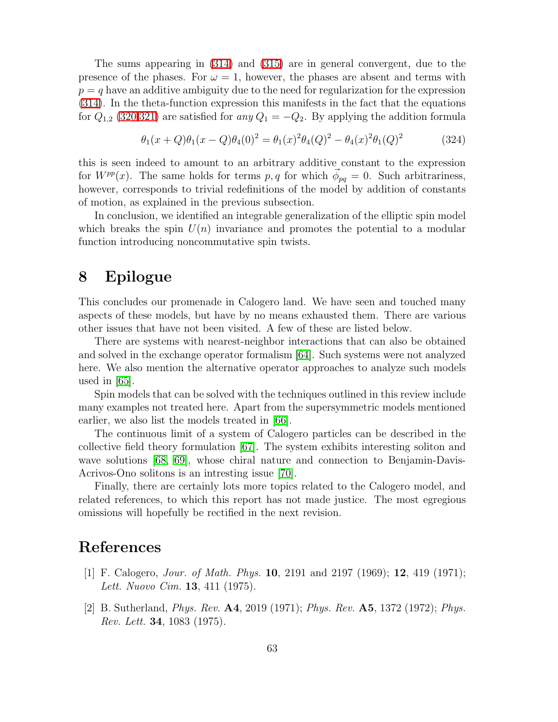The sums appearing in [\(314\)](#page-60-1) and [\(315\)](#page-60-2) are in general convergent, due to the presence of the phases. For  $\omega = 1$ , however, the phases are absent and terms with  $p = q$  have an additive ambiguity due to the need for regularization for the expression [\(314\)](#page-60-1). In the theta-function expression this manifests in the fact that the equations for  $Q_{1,2}$  [\(320,](#page-61-0)[321\)](#page-61-1) are satisfied for any  $Q_1 = -Q_2$ . By applying the addition formula

$$
\theta_1(x+Q)\theta_1(x-Q)\theta_4(0)^2 = \theta_1(x)^2\theta_4(Q)^2 - \theta_4(x)^2\theta_1(Q)^2 \tag{324}
$$

this is seen indeed to amount to an arbitrary additive constant to the expression for  $W^{pp}(x)$ . The same holds for terms p, q for which  $\vec{\phi}_{pq} = 0$ . Such arbitrariness, however, corresponds to trivial redefinitions of the model by addition of constants of motion, as explained in the previous subsection.

In conclusion, we identified an integrable generalization of the elliptic spin model which breaks the spin  $U(n)$  invariance and promotes the potential to a modular function introducing noncommutative spin twists.

## <span id="page-62-0"></span>8 Epilogue

This concludes our promenade in Calogero land. We have seen and touched many aspects of these models, but have by no means exhausted them. There are various other issues that have not been visited. A few of these are listed below.

There are systems with nearest-neighbor interactions that can also be obtained and solved in the exchange operator formalism [\[64\]](#page-66-1). Such systems were not analyzed here. We also mention the alternative operator approaches to analyze such models used in [\[65\]](#page-66-2).

Spin models that can be solved with the techniques outlined in this review include many examples not treated here. Apart from the supersymmetric models mentioned earlier, we also list the models treated in [\[66\]](#page-66-3).

The continuous limit of a system of Calogero particles can be described in the collective field theory formulation [\[67\]](#page-66-4). The system exhibits interesting soliton and wave solutions [\[68,](#page-66-5) [69\]](#page-66-6), whose chiral nature and connection to Benjamin-Davis-Acrivos-Ono solitons is an intresting issue [\[70\]](#page-66-7).

Finally, there are certainly lots more topics related to the Calogero model, and related references, to which this report has not made justice. The most egregious omissions will hopefully be rectified in the next revision.

## <span id="page-62-1"></span>References

- [1] F. Calogero, Jour. of Math. Phys. 10, 2191 and 2197 (1969); 12, 419 (1971); Lett. Nuovo Cim. 13, 411 (1975).
- <span id="page-62-2"></span>[2] B. Sutherland, Phys. Rev. A4, 2019 (1971); Phys. Rev. A5, 1372 (1972); Phys. Rev. Lett. 34, 1083 (1975).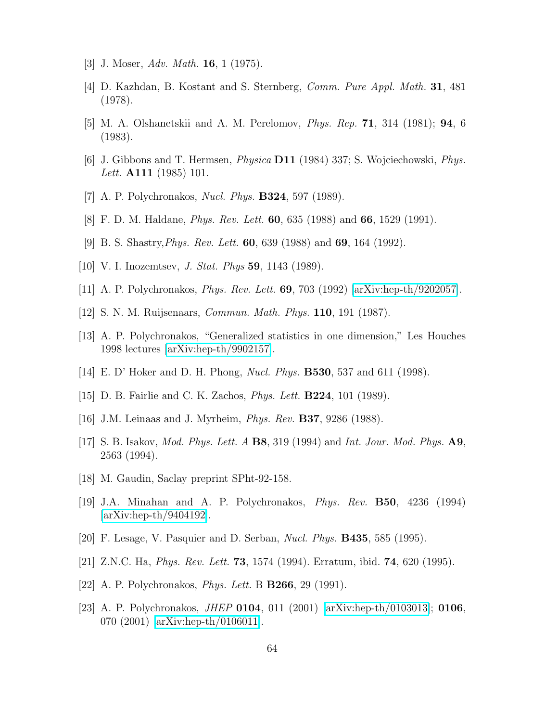- <span id="page-63-15"></span>[3] J. Moser, Adv. Math. 16, 1 (1975).
- <span id="page-63-1"></span>[4] D. Kazhdan, B. Kostant and S. Sternberg, Comm. Pure Appl. Math. 31, 481 (1978).
- <span id="page-63-16"></span>[5] M. A. Olshanetskii and A. M. Perelomov, Phys. Rep. 71, 314 (1981); 94, 6 (1983).
- <span id="page-63-5"></span>[6] J. Gibbons and T. Hermsen, Physica D11 (1984) 337; S. Wojciechowski, Phys. Lett. **A111** (1985) 101.
- <span id="page-63-17"></span>[7] A. P. Polychronakos, *Nucl. Phys.* **B324**, 597 (1989).
- <span id="page-63-18"></span>[8] F. D. M. Haldane, Phys. Rev. Lett. 60, 635 (1988) and 66, 1529 (1991).
- [9] B. S. Shastry,Phys. Rev. Lett. 60, 639 (1988) and 69, 164 (1992).
- <span id="page-63-19"></span><span id="page-63-0"></span>[10] V. I. Inozemtsev, *J. Stat. Phys* **59**, 1143 (1989).
- <span id="page-63-2"></span>[11] A. P. Polychronakos, Phys. Rev. Lett. 69, 703 (1992) [\[arXiv:hep-th/9202057\]](http://arxiv.org/abs/hep-th/9202057).
- <span id="page-63-3"></span>[12] S. N. M. Ruijsenaars, Commun. Math. Phys. 110, 191 (1987).
- <span id="page-63-4"></span>[13] A. P. Polychronakos, "Generalized statistics in one dimension," Les Houches 1998 lectures [\[arXiv:hep-th/9902157\]](http://arxiv.org/abs/hep-th/9902157).
- <span id="page-63-11"></span>[14] E. D' Hoker and D. H. Phong, Nucl. Phys. B530, 537 and 611 (1998).
- <span id="page-63-12"></span>[15] D. B. Fairlie and C. K. Zachos, *Phys. Lett.* **B224**, 101 (1989).
- <span id="page-63-6"></span>[16] J.M. Leinaas and J. Myrheim, Phys. Rev. B37, 9286 (1988).
- <span id="page-63-7"></span>[17] S. B. Isakov, Mod. Phys. Lett. A B8, 319 (1994) and Int. Jour. Mod. Phys. A9, 2563 (1994).
- <span id="page-63-8"></span>[18] M. Gaudin, Saclay preprint SPht-92-158.
- [19] J.A. Minahan and A. P. Polychronakos, Phys. Rev. B50, 4236 (1994) [\[arXiv:hep-th/9404192\]](http://arxiv.org/abs/hep-th/9404192).
- <span id="page-63-10"></span><span id="page-63-9"></span>[20] F. Lesage, V. Pasquier and D. Serban, Nucl. Phys. B435, 585 (1995).
- <span id="page-63-13"></span>[21] Z.N.C. Ha, Phys. Rev. Lett. 73, 1574 (1994). Erratum, ibid. 74, 620 (1995).
- <span id="page-63-14"></span>[22] A. P. Polychronakos, Phys. Lett. B B266, 29 (1991).
- [23] A. P. Polychronakos, JHEP 0104, 011 (2001) [\[arXiv:hep-th/0103013\]](http://arxiv.org/abs/hep-th/0103013); 0106, 070 (2001) [\[arXiv:hep-th/0106011\]](http://arxiv.org/abs/hep-th/0106011).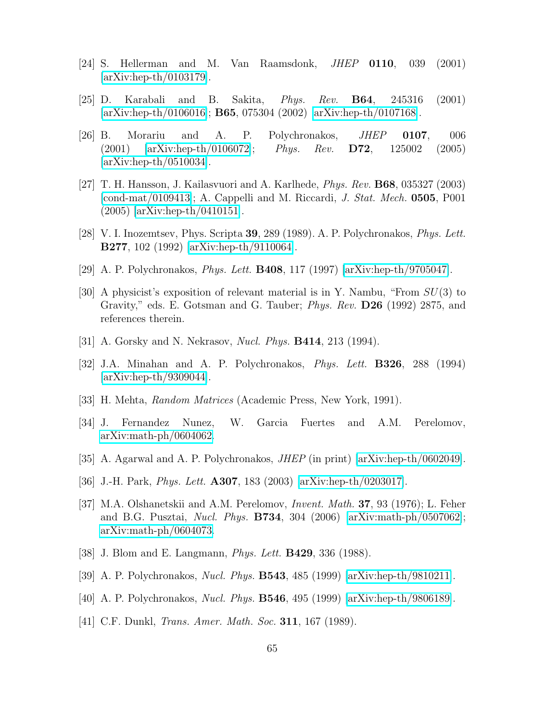- <span id="page-64-3"></span>[24] S. Hellerman and M. Van Raamsdonk, JHEP 0110, 039 (2001) [\[arXiv:hep-th/0103179\]](http://arxiv.org/abs/hep-th/0103179).
- [25] D. Karabali and B. Sakita, Phys. Rev. B64, 245316 (2001) [\[arXiv:hep-th/0106016\]](http://arxiv.org/abs/hep-th/0106016); B65, 075304 (2002) [\[arXiv:hep-th/0107168\]](http://arxiv.org/abs/hep-th/0107168).
- [26] B. Morariu and A. P. Polychronakos, JHEP 0107, 006  $(2001)$  [\[arXiv:hep-th/0106072\]](http://arxiv.org/abs/hep-th/0106072); Phys. Rev. **D72**, 125002 (2005) [\[arXiv:hep-th/0510034\]](http://arxiv.org/abs/hep-th/0510034).
- <span id="page-64-0"></span>[27] T. H. Hansson, J. Kailasvuori and A. Karlhede, Phys. Rev. B68, 035327 (2003) [\[cond-mat/0109413\]](http://arxiv.org/abs/cond-mat/0109413); A. Cappelli and M. Riccardi, J. Stat. Mech. 0505, P001 (2005) [\[arXiv:hep-th/0410151\]](http://arxiv.org/abs/hep-th/0410151).
- <span id="page-64-2"></span><span id="page-64-1"></span>[28] V. I. Inozemtsev, Phys. Scripta 39, 289 (1989). A. P. Polychronakos, Phys. Lett. B277, 102 (1992) [\[arXiv:hep-th/9110064\]](http://arxiv.org/abs/hep-th/9110064).
- <span id="page-64-4"></span>[29] A. P. Polychronakos, Phys. Lett. B408, 117 (1997) [\[arXiv:hep-th/9705047\]](http://arxiv.org/abs/hep-th/9705047).
- [30] A physicist's exposition of relevant material is in Y. Nambu, "From  $SU(3)$  to Gravity," eds. E. Gotsman and G. Tauber; *Phys. Rev.* **D26** (1992) 2875, and references therein.
- <span id="page-64-6"></span><span id="page-64-5"></span>[31] A. Gorsky and N. Nekrasov, *Nucl. Phys.* **B414**, 213 (1994).
- [32] J.A. Minahan and A. P. Polychronakos, Phys. Lett. B326, 288 (1994)  $\arXiv:hep-th/9309044$ .
- <span id="page-64-8"></span><span id="page-64-7"></span>[33] H. Mehta, Random Matrices (Academic Press, New York, 1991).
- <span id="page-64-9"></span>[34] J. Fernandez Nunez, W. Garcia Fuertes and A.M. Perelomov, [arXiv:math-ph/0604062.](http://arxiv.org/abs/math-ph/0604062)
- <span id="page-64-10"></span>[35] A. Agarwal and A. P. Polychronakos, JHEP (in print) [\[arXiv:hep-th/0602049\]](http://arxiv.org/abs/hep-th/0602049).
- <span id="page-64-11"></span>[36] J.-H. Park, Phys. Lett. A307, 183 (2003) [\[arXiv:hep-th/0203017\]](http://arxiv.org/abs/hep-th/0203017).
- [37] M.A. Olshanetskii and A.M. Perelomov, Invent. Math. 37, 93 (1976); L. Feher and B.G. Pusztai, *Nucl. Phys.* **B734**, 304 (2006)  $\arXiv:math-ph/0507062$ ; [arXiv:math-ph/0604073.](http://arxiv.org/abs/math-ph/0604073)
- <span id="page-64-13"></span><span id="page-64-12"></span>[38] J. Blom and E. Langmann, *Phys. Lett.* **B429**, 336 (1988).
- <span id="page-64-14"></span>[39] A. P. Polychronakos, Nucl. Phys. B543, 485 (1999) [\[arXiv:hep-th/9810211\]](http://arxiv.org/abs/hep-th/9810211).
- <span id="page-64-15"></span>[40] A. P. Polychronakos, Nucl. Phys. B546, 495 (1999) [\[arXiv:hep-th/9806189\]](http://arxiv.org/abs/hep-th/9806189).
- [41] C.F. Dunkl, *Trans. Amer. Math. Soc.* **311**, 167 (1989).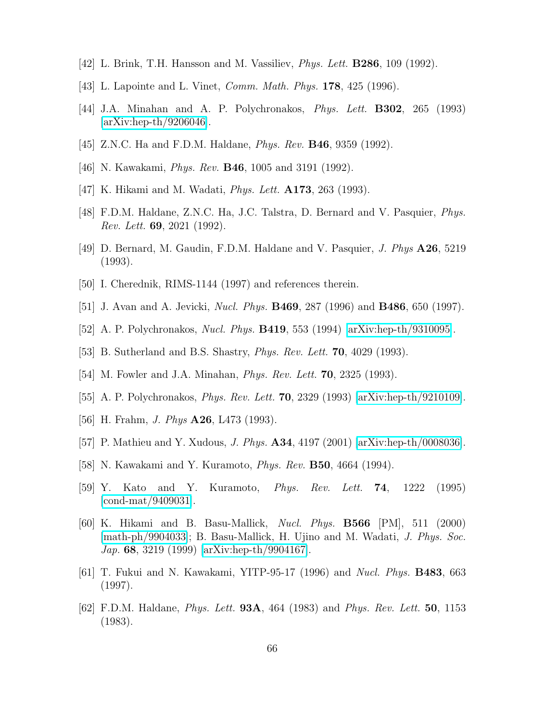- <span id="page-65-1"></span><span id="page-65-0"></span>[42] L. Brink, T.H. Hansson and M. Vassiliev, Phys. Lett. B286, 109 (1992).
- <span id="page-65-2"></span>[43] L. Lapointe and L. Vinet, *Comm. Math. Phys.* **178**, 425 (1996).
- <span id="page-65-3"></span>[44] J.A. Minahan and A. P. Polychronakos, Phys. Lett. B302, 265 (1993)  $\arXiv:hep-th/9206046$ .
- <span id="page-65-4"></span>[45] Z.N.C. Ha and F.D.M. Haldane, *Phys. Rev.* **B46**, 9359 (1992).
- <span id="page-65-5"></span>[46] N. Kawakami, Phys. Rev. B46, 1005 and 3191 (1992).
- <span id="page-65-6"></span>[47] K. Hikami and M. Wadati, *Phys. Lett.* **A173**, 263 (1993).
- <span id="page-65-7"></span>[48] F.D.M. Haldane, Z.N.C. Ha, J.C. Talstra, D. Bernard and V. Pasquier, Phys. Rev. Lett. 69, 2021 (1992).
- <span id="page-65-8"></span>[49] D. Bernard, M. Gaudin, F.D.M. Haldane and V. Pasquier, J. Phys A26, 5219 (1993).
- <span id="page-65-9"></span>[50] I. Cherednik, RIMS-1144 (1997) and references therein.
- <span id="page-65-10"></span>[51] J. Avan and A. Jevicki, Nucl. Phys. B469, 287 (1996) and B486, 650 (1997).
- <span id="page-65-11"></span>[52] A. P. Polychronakos, Nucl. Phys. B419, 553 (1994) [\[arXiv:hep-th/9310095\]](http://arxiv.org/abs/hep-th/9310095).
- <span id="page-65-13"></span>[53] B. Sutherland and B.S. Shastry, *Phys. Rev. Lett.* **70**, 4029 (1993).
- <span id="page-65-12"></span>[54] M. Fowler and J.A. Minahan, *Phys. Rev. Lett.* **70**, 2325 (1993).
- <span id="page-65-14"></span>[55] A. P. Polychronakos, Phys. Rev. Lett. 70, 2329 (1993) [\[arXiv:hep-th/9210109\]](http://arxiv.org/abs/hep-th/9210109).
- <span id="page-65-15"></span>[56] H. Frahm, *J. Phys* **A26**, L473 (1993).
- <span id="page-65-16"></span>[57] P. Mathieu and Y. Xudous, J. Phys. A34, 4197 (2001) [\[arXiv:hep-th/0008036\]](http://arxiv.org/abs/hep-th/0008036).
- <span id="page-65-17"></span>[58] N. Kawakami and Y. Kuramoto, Phys. Rev. B50, 4664 (1994).
- [59] Y. Kato and Y. Kuramoto, Phys. Rev. Lett. 74, 1222 (1995) [\[cond-mat/9409031\]](http://arxiv.org/abs/cond-mat/9409031).
- <span id="page-65-18"></span>[60] K. Hikami and B. Basu-Mallick, Nucl. Phys. B566 [PM], 511 (2000) [\[math-ph/9904033\]](http://arxiv.org/abs/math-ph/9904033); B. Basu-Mallick, H. Ujino and M. Wadati, J. Phys. Soc. Jap. 68, 3219 (1999) [\[arXiv:hep-th/9904167\]](http://arxiv.org/abs/hep-th/9904167).
- <span id="page-65-19"></span>[61] T. Fukui and N. Kawakami, YITP-95-17 (1996) and Nucl. Phys. B483, 663 (1997).
- <span id="page-65-20"></span>[62] F.D.M. Haldane, *Phys. Lett.* **93A**, 464 (1983) and *Phys. Rev. Lett.* **50**, 1153 (1983).